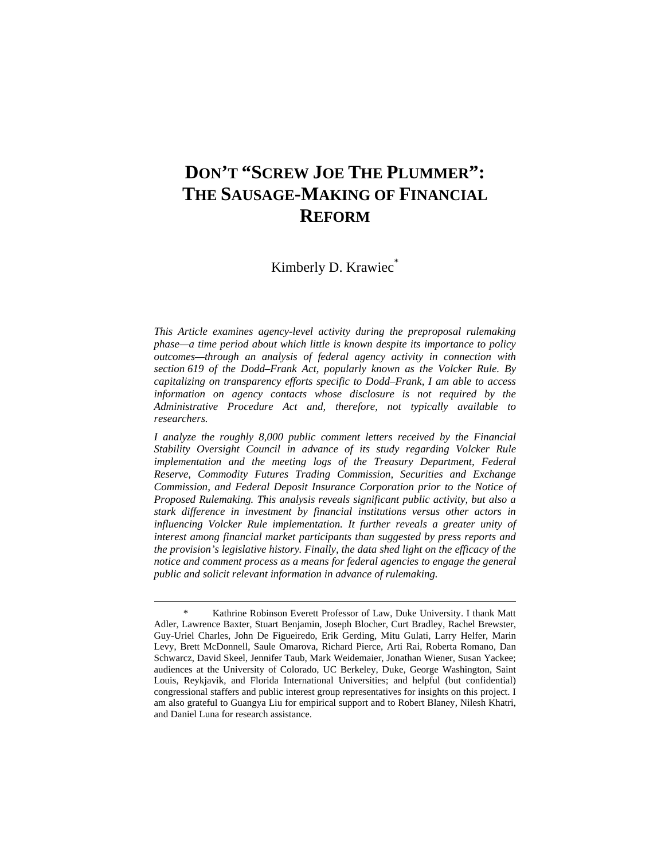## **DON'T "SCREW JOE THE PLUMMER": THE SAUSAGE-MAKING OF FINANCIAL REFORM**

Kimberly D. Krawiec\*

*This Article examines agency-level activity during the preproposal rulemaking phase—a time period about which little is known despite its importance to policy outcomes—through an analysis of federal agency activity in connection with section 619 of the Dodd–Frank Act, popularly known as the Volcker Rule. By capitalizing on transparency efforts specific to Dodd–Frank, I am able to access information on agency contacts whose disclosure is not required by the Administrative Procedure Act and, therefore, not typically available to researchers.* 

*I analyze the roughly 8,000 public comment letters received by the Financial Stability Oversight Council in advance of its study regarding Volcker Rule implementation and the meeting logs of the Treasury Department, Federal Reserve, Commodity Futures Trading Commission, Securities and Exchange Commission, and Federal Deposit Insurance Corporation prior to the Notice of Proposed Rulemaking. This analysis reveals significant public activity, but also a stark difference in investment by financial institutions versus other actors in influencing Volcker Rule implementation. It further reveals a greater unity of interest among financial market participants than suggested by press reports and the provision's legislative history. Finally, the data shed light on the efficacy of the notice and comment process as a means for federal agencies to engage the general public and solicit relevant information in advance of rulemaking.*

Kathrine Robinson Everett Professor of Law, Duke University. I thank Matt Adler, Lawrence Baxter, Stuart Benjamin, Joseph Blocher, Curt Bradley, Rachel Brewster, Guy-Uriel Charles, John De Figueiredo, Erik Gerding, Mitu Gulati, Larry Helfer, Marin Levy, Brett McDonnell, Saule Omarova, Richard Pierce, Arti Rai, Roberta Romano, Dan Schwarcz, David Skeel, Jennifer Taub, Mark Weidemaier, Jonathan Wiener, Susan Yackee; audiences at the University of Colorado, UC Berkeley, Duke, George Washington, Saint Louis, Reykjavik, and Florida International Universities; and helpful (but confidential) congressional staffers and public interest group representatives for insights on this project. I am also grateful to Guangya Liu for empirical support and to Robert Blaney, Nilesh Khatri, and Daniel Luna for research assistance.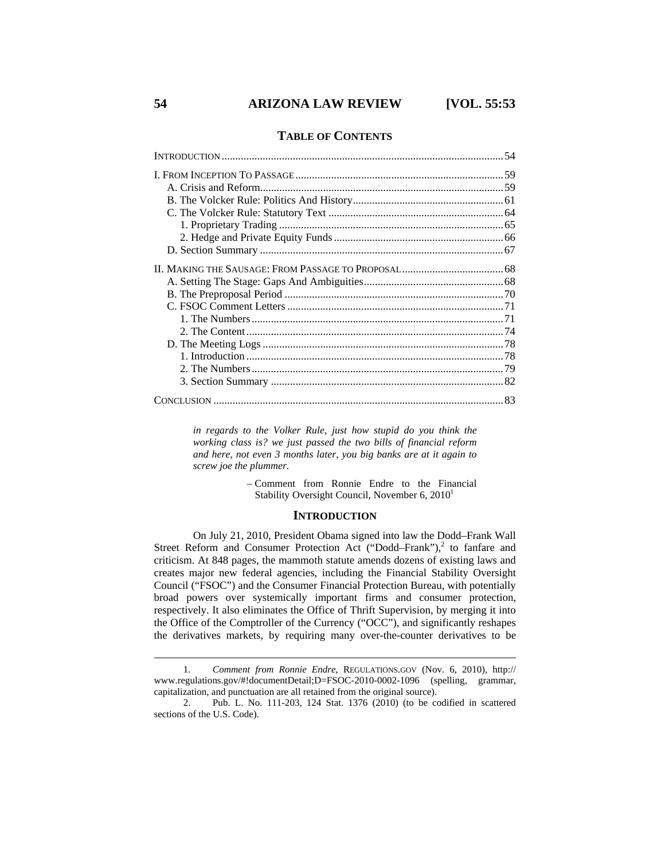### **TABLE OF CONTENTS**

*in regards to the Volker Rule, just how stupid do you think the working class is? we just passed the two bills of financial reform and here, not even 3 months later, you big banks are at it again to screw joe the plummer.* 

> – Comment from Ronnie Endre to the Financial Stability Oversight Council, November 6,  $2010<sup>1</sup>$

#### **INTRODUCTION**

On July 21, 2010, President Obama signed into law the Dodd–Frank Wall Street Reform and Consumer Protection Act ("Dodd–Frank"),<sup>2</sup> to fanfare and criticism. At 848 pages, the mammoth statute amends dozens of existing laws and creates major new federal agencies, including the Financial Stability Oversight Council ("FSOC") and the Consumer Financial Protection Bureau, with potentially broad powers over systemically important firms and consumer protection, respectively. It also eliminates the Office of Thrift Supervision, by merging it into the Office of the Comptroller of the Currency ("OCC"), and significantly reshapes the derivatives markets, by requiring many over-the-counter derivatives to be

 <sup>1.</sup> *Comment from Ronnie Endre*, REGULATIONS.GOV (Nov. 6, 2010), http:// www.regulations.gov/#!documentDetail;D=FSOC-2010-0002-1096 (spelling, grammar, capitalization, and punctuation are all retained from the original source).

 <sup>2.</sup> Pub. L. No. 111-203, 124 Stat. 1376 (2010) (to be codified in scattered sections of the U.S. Code).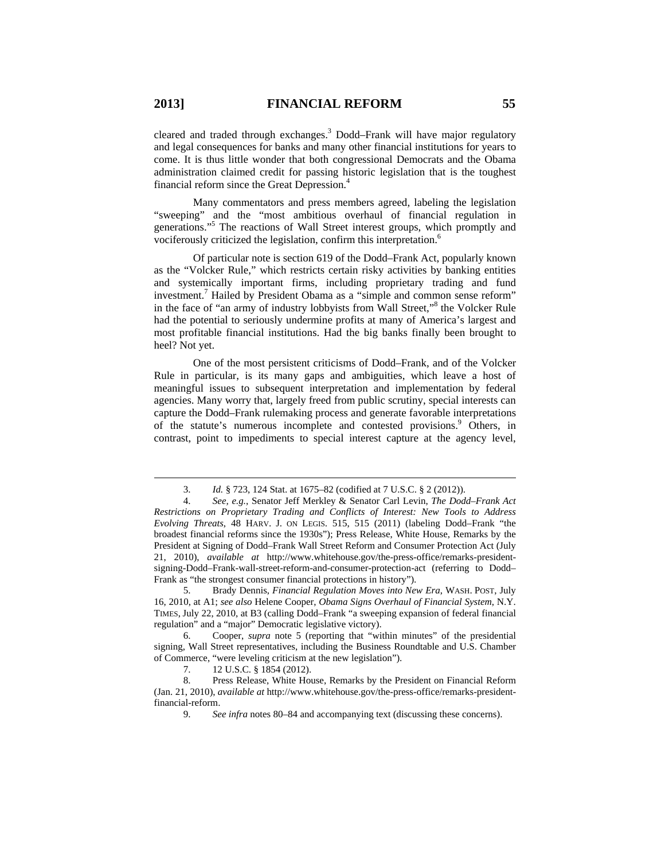cleared and traded through exchanges.<sup>3</sup> Dodd–Frank will have major regulatory and legal consequences for banks and many other financial institutions for years to come. It is thus little wonder that both congressional Democrats and the Obama administration claimed credit for passing historic legislation that is the toughest financial reform since the Great Depression.4

Many commentators and press members agreed, labeling the legislation "sweeping" and the "most ambitious overhaul of financial regulation in generations."5 The reactions of Wall Street interest groups, which promptly and vociferously criticized the legislation, confirm this interpretation.6

Of particular note is section 619 of the Dodd–Frank Act, popularly known as the "Volcker Rule," which restricts certain risky activities by banking entities and systemically important firms, including proprietary trading and fund investment.<sup>7</sup> Hailed by President Obama as a "simple and common sense reform" in the face of "an army of industry lobbyists from Wall Street,"<sup>8</sup> the Volcker Rule had the potential to seriously undermine profits at many of America's largest and most profitable financial institutions. Had the big banks finally been brought to heel? Not yet.

One of the most persistent criticisms of Dodd–Frank, and of the Volcker Rule in particular, is its many gaps and ambiguities, which leave a host of meaningful issues to subsequent interpretation and implementation by federal agencies. Many worry that, largely freed from public scrutiny, special interests can capture the Dodd–Frank rulemaking process and generate favorable interpretations of the statute's numerous incomplete and contested provisions.<sup>9</sup> Others, in contrast, point to impediments to special interest capture at the agency level,

 <sup>3.</sup> *Id.* § 723, 124 Stat. at 1675–82 (codified at 7 U.S.C. § 2 (2012)).

 <sup>4.</sup> *See, e.g.*, Senator Jeff Merkley & Senator Carl Levin, *The Dodd–Frank Act Restrictions on Proprietary Trading and Conflicts of Interest: New Tools to Address Evolving Threats*, 48 HARV. J. ON LEGIS. 515, 515 (2011) (labeling Dodd–Frank "the broadest financial reforms since the 1930s"); Press Release, White House, Remarks by the President at Signing of Dodd–Frank Wall Street Reform and Consumer Protection Act (July 21, 2010), *available at* http://www.whitehouse.gov/the-press-office/remarks-presidentsigning-Dodd–Frank-wall-street-reform-and-consumer-protection-act (referring to Dodd– Frank as "the strongest consumer financial protections in history").

 <sup>5.</sup> Brady Dennis, *Financial Regulation Moves into New Era*, WASH. POST, July 16, 2010, at A1; *see also* Helene Cooper, *Obama Signs Overhaul of Financial System*, N.Y. TIMES, July 22, 2010, at B3 (calling Dodd–Frank "a sweeping expansion of federal financial regulation" and a "major" Democratic legislative victory).

 <sup>6.</sup> Cooper, *supra* note 5 (reporting that "within minutes" of the presidential signing, Wall Street representatives, including the Business Roundtable and U.S. Chamber of Commerce, "were leveling criticism at the new legislation").

 <sup>7. 12</sup> U.S.C. § 1854 (2012).

 <sup>8.</sup> Press Release, White House, Remarks by the President on Financial Reform (Jan. 21, 2010), *available at* http://www.whitehouse.gov/the-press-office/remarks-presidentfinancial-reform.

 <sup>9.</sup> *See infra* notes 80–84 and accompanying text (discussing these concerns).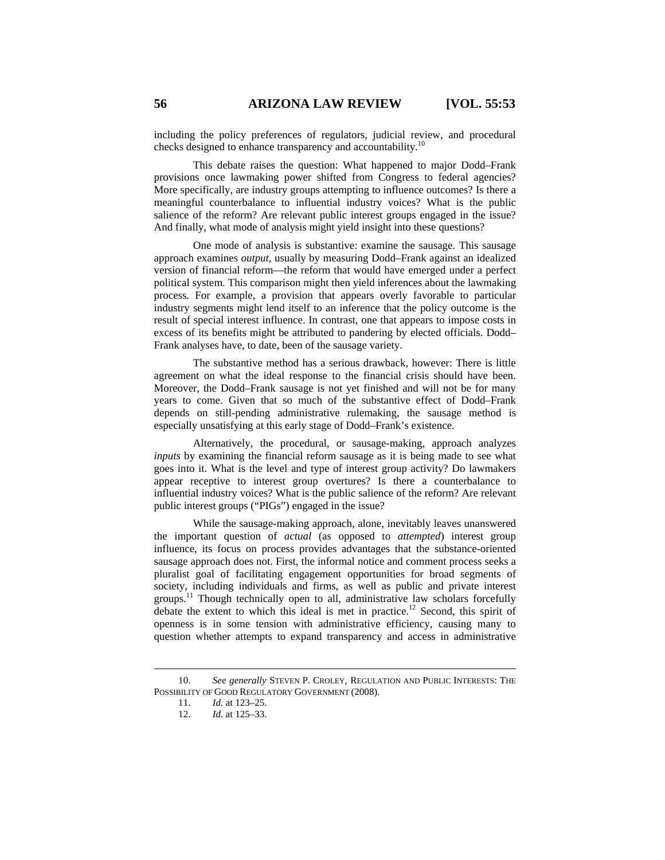including the policy preferences of regulators, judicial review, and procedural checks designed to enhance transparency and accountability.<sup>10</sup>

This debate raises the question: What happened to major Dodd–Frank provisions once lawmaking power shifted from Congress to federal agencies? More specifically, are industry groups attempting to influence outcomes? Is there a meaningful counterbalance to influential industry voices? What is the public salience of the reform? Are relevant public interest groups engaged in the issue? And finally, what mode of analysis might yield insight into these questions?

One mode of analysis is substantive: examine the sausage. This sausage approach examines *output*, usually by measuring Dodd–Frank against an idealized version of financial reform—the reform that would have emerged under a perfect political system. This comparison might then yield inferences about the lawmaking process. For example, a provision that appears overly favorable to particular industry segments might lend itself to an inference that the policy outcome is the result of special interest influence. In contrast, one that appears to impose costs in excess of its benefits might be attributed to pandering by elected officials. Dodd– Frank analyses have, to date, been of the sausage variety.

The substantive method has a serious drawback, however: There is little agreement on what the ideal response to the financial crisis should have been. Moreover, the Dodd–Frank sausage is not yet finished and will not be for many years to come. Given that so much of the substantive effect of Dodd–Frank depends on still-pending administrative rulemaking, the sausage method is especially unsatisfying at this early stage of Dodd–Frank's existence.

Alternatively, the procedural, or sausage-making, approach analyzes *inputs* by examining the financial reform sausage as it is being made to see what goes into it. What is the level and type of interest group activity? Do lawmakers appear receptive to interest group overtures? Is there a counterbalance to influential industry voices? What is the public salience of the reform? Are relevant public interest groups ("PIGs") engaged in the issue?

While the sausage-making approach, alone, inevitably leaves unanswered the important question of *actual* (as opposed to *attempted*) interest group influence, its focus on process provides advantages that the substance-oriented sausage approach does not. First, the informal notice and comment process seeks a pluralist goal of facilitating engagement opportunities for broad segments of society, including individuals and firms, as well as public and private interest groups.<sup>11</sup> Though technically open to all, administrative law scholars forcefully debate the extent to which this ideal is met in practice.<sup>12</sup> Second, this spirit of openness is in some tension with administrative efficiency, causing many to question whether attempts to expand transparency and access in administrative

 <sup>10.</sup> *See generally* STEVEN P. CROLEY, REGULATION AND PUBLIC INTERESTS: THE POSSIBILITY OF GOOD REGULATORY GOVERNMENT (2008).

 <sup>11.</sup> *Id.* at 123–25.

 <sup>12.</sup> *Id.* at 125–33.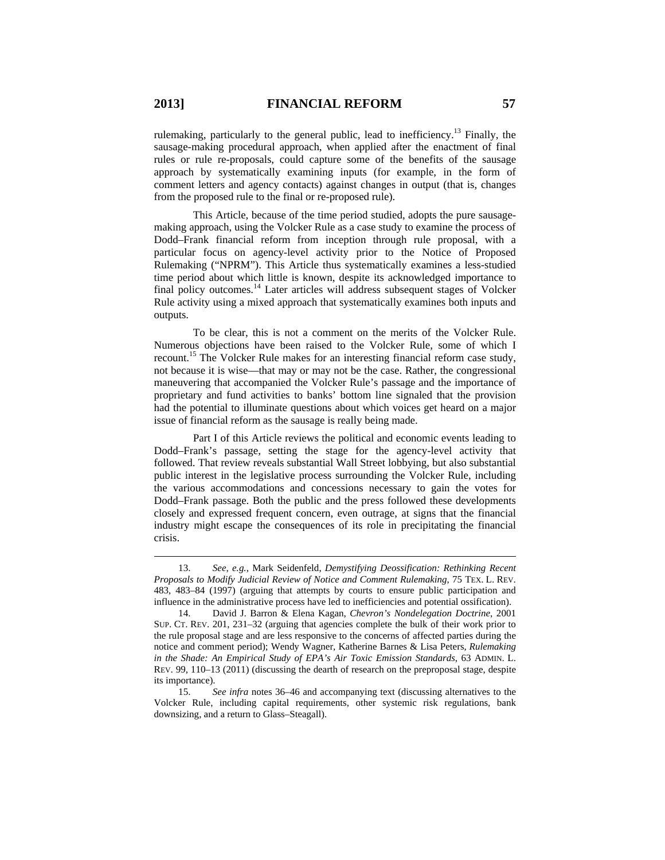rulemaking, particularly to the general public, lead to inefficiency.<sup>13</sup> Finally, the sausage-making procedural approach, when applied after the enactment of final rules or rule re-proposals, could capture some of the benefits of the sausage approach by systematically examining inputs (for example, in the form of comment letters and agency contacts) against changes in output (that is, changes from the proposed rule to the final or re-proposed rule).

This Article, because of the time period studied, adopts the pure sausagemaking approach, using the Volcker Rule as a case study to examine the process of Dodd–Frank financial reform from inception through rule proposal, with a particular focus on agency-level activity prior to the Notice of Proposed Rulemaking ("NPRM"). This Article thus systematically examines a less-studied time period about which little is known, despite its acknowledged importance to final policy outcomes.<sup>14</sup> Later articles will address subsequent stages of Volcker Rule activity using a mixed approach that systematically examines both inputs and outputs.

To be clear, this is not a comment on the merits of the Volcker Rule. Numerous objections have been raised to the Volcker Rule, some of which I recount.<sup>15</sup> The Volcker Rule makes for an interesting financial reform case study, not because it is wise—that may or may not be the case. Rather, the congressional maneuvering that accompanied the Volcker Rule's passage and the importance of proprietary and fund activities to banks' bottom line signaled that the provision had the potential to illuminate questions about which voices get heard on a major issue of financial reform as the sausage is really being made.

Part I of this Article reviews the political and economic events leading to Dodd–Frank's passage, setting the stage for the agency-level activity that followed. That review reveals substantial Wall Street lobbying, but also substantial public interest in the legislative process surrounding the Volcker Rule, including the various accommodations and concessions necessary to gain the votes for Dodd–Frank passage. Both the public and the press followed these developments closely and expressed frequent concern, even outrage, at signs that the financial industry might escape the consequences of its role in precipitating the financial crisis.

 <sup>13.</sup> *See, e.g.*, Mark Seidenfeld, *Demystifying Deossification: Rethinking Recent Proposals to Modify Judicial Review of Notice and Comment Rulemaking*, 75 TEX. L. REV. 483, 483–84 (1997) (arguing that attempts by courts to ensure public participation and influence in the administrative process have led to inefficiencies and potential ossification).

 <sup>14.</sup> David J. Barron & Elena Kagan, *Chevron's Nondelegation Doctrine*, 2001 SUP. CT. REV. 201, 231–32 (arguing that agencies complete the bulk of their work prior to the rule proposal stage and are less responsive to the concerns of affected parties during the notice and comment period); Wendy Wagner, Katherine Barnes & Lisa Peters, *Rulemaking in the Shade: An Empirical Study of EPA's Air Toxic Emission Standards*, 63 ADMIN. L. REV. 99, 110–13 (2011) (discussing the dearth of research on the preproposal stage, despite its importance).

 <sup>15.</sup> *See infra* notes 36–46 and accompanying text (discussing alternatives to the Volcker Rule, including capital requirements, other systemic risk regulations, bank downsizing, and a return to Glass–Steagall).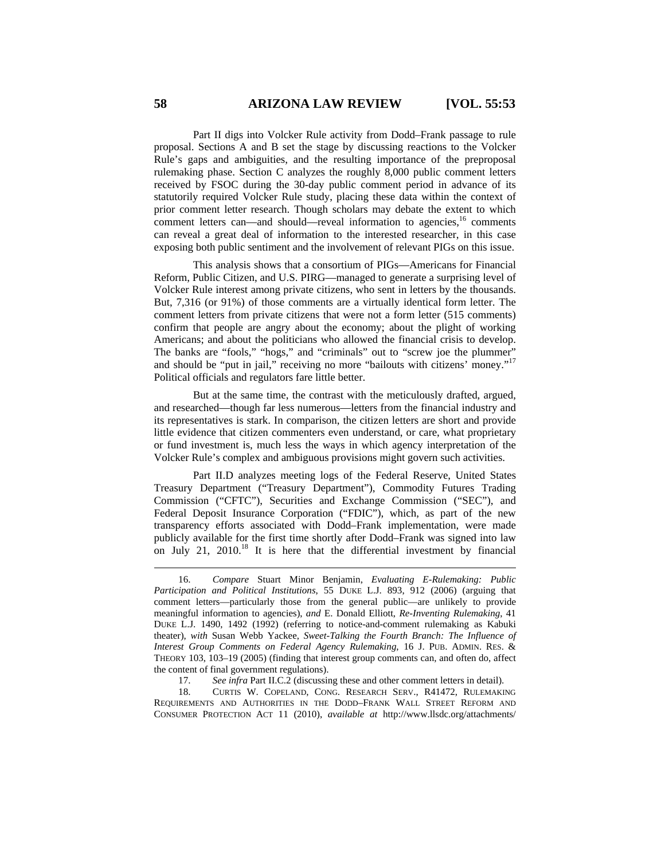Part II digs into Volcker Rule activity from Dodd–Frank passage to rule proposal. Sections A and B set the stage by discussing reactions to the Volcker Rule's gaps and ambiguities, and the resulting importance of the preproposal rulemaking phase. Section C analyzes the roughly 8,000 public comment letters received by FSOC during the 30-day public comment period in advance of its statutorily required Volcker Rule study, placing these data within the context of prior comment letter research. Though scholars may debate the extent to which comment letters can—and should—reveal information to agencies,<sup>16</sup> comments can reveal a great deal of information to the interested researcher, in this case exposing both public sentiment and the involvement of relevant PIGs on this issue.

This analysis shows that a consortium of PIGs—Americans for Financial Reform, Public Citizen, and U.S. PIRG—managed to generate a surprising level of Volcker Rule interest among private citizens, who sent in letters by the thousands. But, 7,316 (or 91%) of those comments are a virtually identical form letter. The comment letters from private citizens that were not a form letter (515 comments) confirm that people are angry about the economy; about the plight of working Americans; and about the politicians who allowed the financial crisis to develop. The banks are "fools," "hogs," and "criminals" out to "screw joe the plummer" and should be "put in jail," receiving no more "bailouts with citizens' money."<sup>17</sup> Political officials and regulators fare little better.

But at the same time, the contrast with the meticulously drafted, argued, and researched—though far less numerous—letters from the financial industry and its representatives is stark. In comparison, the citizen letters are short and provide little evidence that citizen commenters even understand, or care, what proprietary or fund investment is, much less the ways in which agency interpretation of the Volcker Rule's complex and ambiguous provisions might govern such activities.

Part II.D analyzes meeting logs of the Federal Reserve, United States Treasury Department ("Treasury Department"), Commodity Futures Trading Commission ("CFTC"), Securities and Exchange Commission ("SEC"), and Federal Deposit Insurance Corporation ("FDIC"), which, as part of the new transparency efforts associated with Dodd–Frank implementation, were made publicly available for the first time shortly after Dodd–Frank was signed into law on July 21, 2010.<sup>18</sup> It is here that the differential investment by financial

17. *See infra* Part II.C.2 (discussing these and other comment letters in detail).<br>18. CURTIS W. COPELAND, CONG. RESEARCH SERV., R41472, RULEMAKI

 18. CURTIS W. COPELAND, CONG. RESEARCH SERV., R41472, RULEMAKING REQUIREMENTS AND AUTHORITIES IN THE DODD–FRANK WALL STREET REFORM AND CONSUMER PROTECTION ACT 11 (2010), *available at* http://www.llsdc.org/attachments/

 <sup>16.</sup> *Compare* Stuart Minor Benjamin, *Evaluating E-Rulemaking: Public Participation and Political Institutions*, 55 DUKE L.J. 893, 912 (2006) (arguing that comment letters—particularly those from the general public—are unlikely to provide meaningful information to agencies), *and* E. Donald Elliott, *Re-Inventing Rulemaking*, 41 DUKE L.J. 1490, 1492 (1992) (referring to notice-and-comment rulemaking as Kabuki theater), *with* Susan Webb Yackee, *Sweet-Talking the Fourth Branch: The Influence of Interest Group Comments on Federal Agency Rulemaking*, 16 J. PUB. ADMIN. RES. & THEORY 103, 103–19 (2005) (finding that interest group comments can, and often do, affect the content of final government regulations).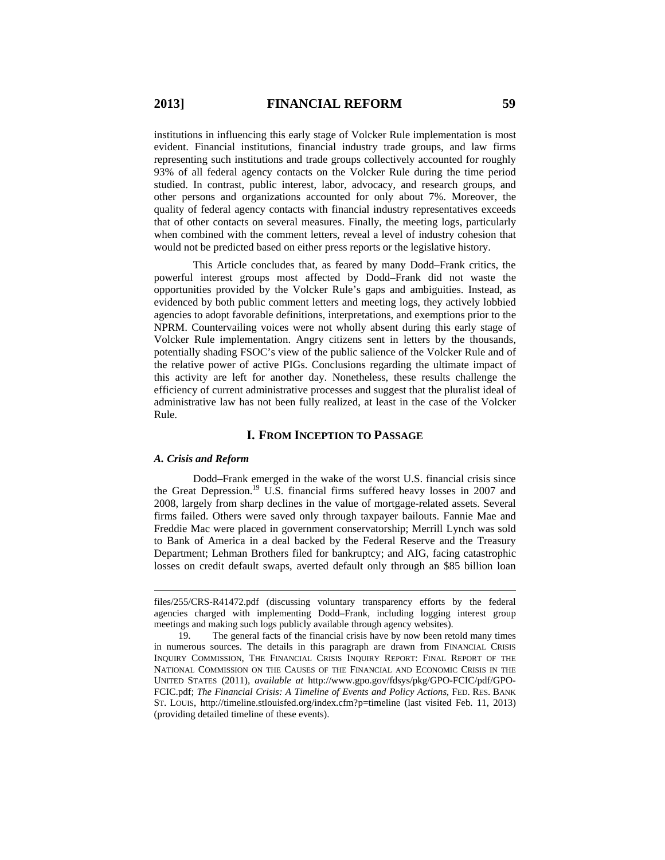institutions in influencing this early stage of Volcker Rule implementation is most evident. Financial institutions, financial industry trade groups, and law firms representing such institutions and trade groups collectively accounted for roughly 93% of all federal agency contacts on the Volcker Rule during the time period studied. In contrast, public interest, labor, advocacy, and research groups, and other persons and organizations accounted for only about 7%. Moreover, the quality of federal agency contacts with financial industry representatives exceeds that of other contacts on several measures. Finally, the meeting logs, particularly when combined with the comment letters, reveal a level of industry cohesion that would not be predicted based on either press reports or the legislative history.

This Article concludes that, as feared by many Dodd–Frank critics, the powerful interest groups most affected by Dodd–Frank did not waste the opportunities provided by the Volcker Rule's gaps and ambiguities. Instead, as evidenced by both public comment letters and meeting logs, they actively lobbied agencies to adopt favorable definitions, interpretations, and exemptions prior to the NPRM. Countervailing voices were not wholly absent during this early stage of Volcker Rule implementation. Angry citizens sent in letters by the thousands, potentially shading FSOC's view of the public salience of the Volcker Rule and of the relative power of active PIGs. Conclusions regarding the ultimate impact of this activity are left for another day. Nonetheless, these results challenge the efficiency of current administrative processes and suggest that the pluralist ideal of administrative law has not been fully realized, at least in the case of the Volcker Rule.

#### **I. FROM INCEPTION TO PASSAGE**

#### *A. Crisis and Reform*

 $\overline{a}$ 

Dodd–Frank emerged in the wake of the worst U.S. financial crisis since the Great Depression.19 U.S. financial firms suffered heavy losses in 2007 and 2008, largely from sharp declines in the value of mortgage-related assets. Several firms failed. Others were saved only through taxpayer bailouts. Fannie Mae and Freddie Mac were placed in government conservatorship; Merrill Lynch was sold to Bank of America in a deal backed by the Federal Reserve and the Treasury Department; Lehman Brothers filed for bankruptcy; and AIG, facing catastrophic losses on credit default swaps, averted default only through an \$85 billion loan

files/255/CRS-R41472.pdf (discussing voluntary transparency efforts by the federal agencies charged with implementing Dodd–Frank, including logging interest group meetings and making such logs publicly available through agency websites).

 <sup>19.</sup> The general facts of the financial crisis have by now been retold many times in numerous sources. The details in this paragraph are drawn from FINANCIAL CRISIS INQUIRY COMMISSION, THE FINANCIAL CRISIS INQUIRY REPORT: FINAL REPORT OF THE NATIONAL COMMISSION ON THE CAUSES OF THE FINANCIAL AND ECONOMIC CRISIS IN THE UNITED STATES (2011), *available at* http://www.gpo.gov/fdsys/pkg/GPO-FCIC/pdf/GPO-FCIC.pdf; *The Financial Crisis: A Timeline of Events and Policy Actions*, FED. RES. BANK ST. LOUIS, http://timeline.stlouisfed.org/index.cfm?p=timeline (last visited Feb. 11, 2013) (providing detailed timeline of these events).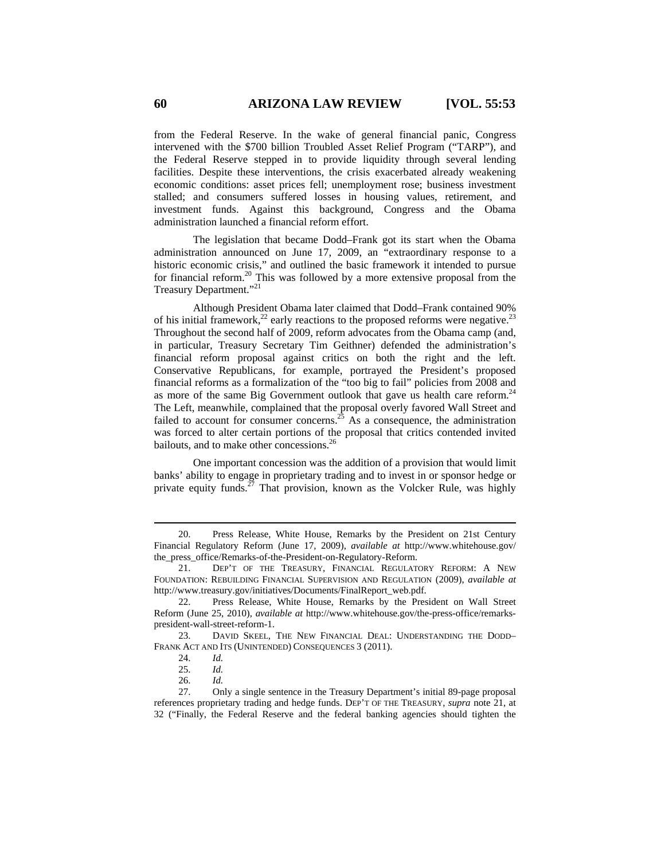from the Federal Reserve. In the wake of general financial panic, Congress intervened with the \$700 billion Troubled Asset Relief Program ("TARP"), and the Federal Reserve stepped in to provide liquidity through several lending facilities. Despite these interventions, the crisis exacerbated already weakening economic conditions: asset prices fell; unemployment rose; business investment stalled; and consumers suffered losses in housing values, retirement, and investment funds. Against this background, Congress and the Obama administration launched a financial reform effort.

The legislation that became Dodd–Frank got its start when the Obama administration announced on June 17, 2009, an "extraordinary response to a historic economic crisis," and outlined the basic framework it intended to pursue for financial reform.<sup>20</sup> This was followed by a more extensive proposal from the Treasury Department."<sup>21</sup>

Although President Obama later claimed that Dodd–Frank contained 90% of his initial framework,<sup>22</sup> early reactions to the proposed reforms were negative.<sup>23</sup> Throughout the second half of 2009, reform advocates from the Obama camp (and, in particular, Treasury Secretary Tim Geithner) defended the administration's financial reform proposal against critics on both the right and the left. Conservative Republicans, for example, portrayed the President's proposed financial reforms as a formalization of the "too big to fail" policies from 2008 and as more of the same Big Government outlook that gave us health care reform.<sup>24</sup> The Left, meanwhile, complained that the proposal overly favored Wall Street and failed to account for consumer concerns.<sup>25</sup> As a consequence, the administration was forced to alter certain portions of the proposal that critics contended invited bailouts, and to make other concessions.<sup>26</sup>

One important concession was the addition of a provision that would limit banks' ability to engage in proprietary trading and to invest in or sponsor hedge or private equity funds.<sup>27</sup> That provision, known as the Volcker Rule, was highly

26. *Id.*

 <sup>20.</sup> Press Release, White House, Remarks by the President on 21st Century Financial Regulatory Reform (June 17, 2009), *available at* http://www.whitehouse.gov/ the\_press\_office/Remarks-of-the-President-on-Regulatory-Reform.

 <sup>21.</sup> DEP'T OF THE TREASURY, FINANCIAL REGULATORY REFORM: A NEW FOUNDATION: REBUILDING FINANCIAL SUPERVISION AND REGULATION (2009), *available at*  http://www.treasury.gov/initiatives/Documents/FinalReport\_web.pdf.

 <sup>22.</sup> Press Release, White House, Remarks by the President on Wall Street Reform (June 25, 2010), *available at* http://www.whitehouse.gov/the-press-office/remarkspresident-wall-street-reform-1.

 <sup>23.</sup> DAVID SKEEL, THE NEW FINANCIAL DEAL: UNDERSTANDING THE DODD– FRANK ACT AND ITS (UNINTENDED) CONSEQUENCES 3 (2011).

 <sup>24.</sup> *Id.*

 <sup>25.</sup> *Id.*

 <sup>27.</sup> Only a single sentence in the Treasury Department's initial 89-page proposal references proprietary trading and hedge funds. DEP'T OF THE TREASURY, *supra* note 21, at 32 ("Finally, the Federal Reserve and the federal banking agencies should tighten the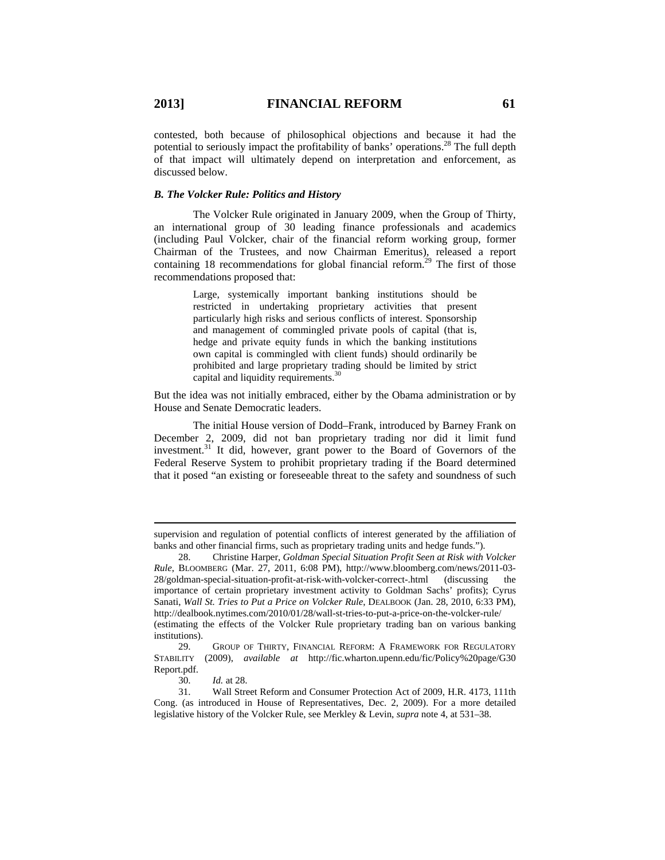contested, both because of philosophical objections and because it had the potential to seriously impact the profitability of banks' operations.<sup>28</sup> The full depth of that impact will ultimately depend on interpretation and enforcement, as discussed below.

#### *B. The Volcker Rule: Politics and History*

The Volcker Rule originated in January 2009, when the Group of Thirty, an international group of 30 leading finance professionals and academics (including Paul Volcker, chair of the financial reform working group, former Chairman of the Trustees, and now Chairman Emeritus), released a report containing 18 recommendations for global financial reform.<sup>29</sup> The first of those recommendations proposed that:

> Large, systemically important banking institutions should be restricted in undertaking proprietary activities that present particularly high risks and serious conflicts of interest. Sponsorship and management of commingled private pools of capital (that is, hedge and private equity funds in which the banking institutions own capital is commingled with client funds) should ordinarily be prohibited and large proprietary trading should be limited by strict capital and liquidity requirements.<sup>30</sup>

But the idea was not initially embraced, either by the Obama administration or by House and Senate Democratic leaders.

The initial House version of Dodd–Frank, introduced by Barney Frank on December 2, 2009, did not ban proprietary trading nor did it limit fund investment.31 It did, however, grant power to the Board of Governors of the Federal Reserve System to prohibit proprietary trading if the Board determined that it posed "an existing or foreseeable threat to the safety and soundness of such

 $\overline{a}$ 

supervision and regulation of potential conflicts of interest generated by the affiliation of banks and other financial firms, such as proprietary trading units and hedge funds.").

 <sup>28.</sup> Christine Harper, *Goldman Special Situation Profit Seen at Risk with Volcker Rule*, BLOOMBERG (Mar. 27, 2011, 6:08 PM), http://www.bloomberg.com/news/2011-03- 28/goldman-special-situation-profit-at-risk-with-volcker-correct-.html (discussing the importance of certain proprietary investment activity to Goldman Sachs' profits); Cyrus Sanati, *Wall St. Tries to Put a Price on Volcker Rule*, DEALBOOK (Jan. 28, 2010, 6:33 PM), http://dealbook.nytimes.com/2010/01/28/wall-st-tries-to-put-a-price-on-the-volcker-rule/ (estimating the effects of the Volcker Rule proprietary trading ban on various banking institutions).

 <sup>29.</sup> GROUP OF THIRTY, FINANCIAL REFORM: A FRAMEWORK FOR REGULATORY STABILITY (2009), *available at* http://fic.wharton.upenn.edu/fic/Policy%20page/G30 Report.pdf.

 <sup>30.</sup> *Id.* at 28.

 <sup>31.</sup> Wall Street Reform and Consumer Protection Act of 2009, H.R. 4173, 111th Cong. (as introduced in House of Representatives, Dec. 2, 2009). For a more detailed legislative history of the Volcker Rule, see Merkley & Levin, *supra* note 4, at 531–38.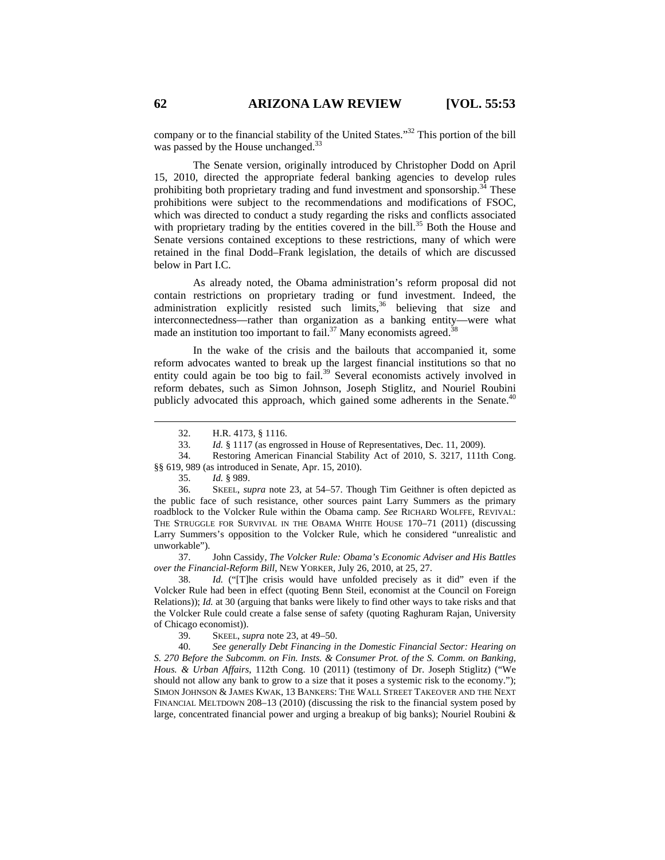company or to the financial stability of the United States."32 This portion of the bill was passed by the House unchanged.<sup>33</sup>

The Senate version, originally introduced by Christopher Dodd on April 15, 2010, directed the appropriate federal banking agencies to develop rules prohibiting both proprietary trading and fund investment and sponsorship.<sup>34</sup> These prohibitions were subject to the recommendations and modifications of FSOC, which was directed to conduct a study regarding the risks and conflicts associated with proprietary trading by the entities covered in the bill.<sup>35</sup> Both the House and Senate versions contained exceptions to these restrictions, many of which were retained in the final Dodd–Frank legislation, the details of which are discussed below in Part I.C.

As already noted, the Obama administration's reform proposal did not contain restrictions on proprietary trading or fund investment. Indeed, the administration explicitly resisted such limits,<sup>36</sup> believing that size and interconnectedness—rather than organization as a banking entity—were what made an institution too important to fail.<sup>37</sup> Many economists agreed.<sup>3</sup>

In the wake of the crisis and the bailouts that accompanied it, some reform advocates wanted to break up the largest financial institutions so that no entity could again be too big to fail.<sup>39</sup> Several economists actively involved in reform debates, such as Simon Johnson, Joseph Stiglitz, and Nouriel Roubini publicly advocated this approach, which gained some adherents in the Senate.<sup>40</sup>

34. Restoring American Financial Stability Act of 2010, S. 3217, 111th Cong.

§§ 619, 989 (as introduced in Senate, Apr. 15, 2010).

35. *Id.* § 989.

 36. SKEEL, *supra* note 23, at 54–57. Though Tim Geithner is often depicted as the public face of such resistance, other sources paint Larry Summers as the primary roadblock to the Volcker Rule within the Obama camp. *See* RICHARD WOLFFE, REVIVAL: THE STRUGGLE FOR SURVIVAL IN THE OBAMA WHITE HOUSE 170–71 (2011) (discussing Larry Summers's opposition to the Volcker Rule, which he considered "unrealistic and unworkable").<br>37.

 37. John Cassidy, *The Volcker Rule: Obama's Economic Adviser and His Battles over the Financial-Reform Bill*, NEW YORKER, July 26, 2010, at 25, 27.

 38. *Id.* ("[T]he crisis would have unfolded precisely as it did" even if the Volcker Rule had been in effect (quoting Benn Steil, economist at the Council on Foreign Relations)); *Id.* at 30 (arguing that banks were likely to find other ways to take risks and that the Volcker Rule could create a false sense of safety (quoting Raghuram Rajan, University of Chicago economist)).

39. SKEEL, *supra* note 23, at 49–50.

 40. *See generally Debt Financing in the Domestic Financial Sector: Hearing on S. 270 Before the Subcomm. on Fin. Insts. & Consumer Prot. of the S. Comm. on Banking, Hous. & Urban Affairs*, 112th Cong. 10 (2011) (testimony of Dr. Joseph Stiglitz) ("We should not allow any bank to grow to a size that it poses a systemic risk to the economy."); SIMON JOHNSON & JAMES KWAK, 13 BANKERS: THE WALL STREET TAKEOVER AND THE NEXT FINANCIAL MELTDOWN 208–13 (2010) (discussing the risk to the financial system posed by large, concentrated financial power and urging a breakup of big banks); Nouriel Roubini &

 <sup>32.</sup> H.R. 4173, § 1116.

 <sup>33.</sup> *Id.* § 1117 (as engrossed in House of Representatives, Dec. 11, 2009).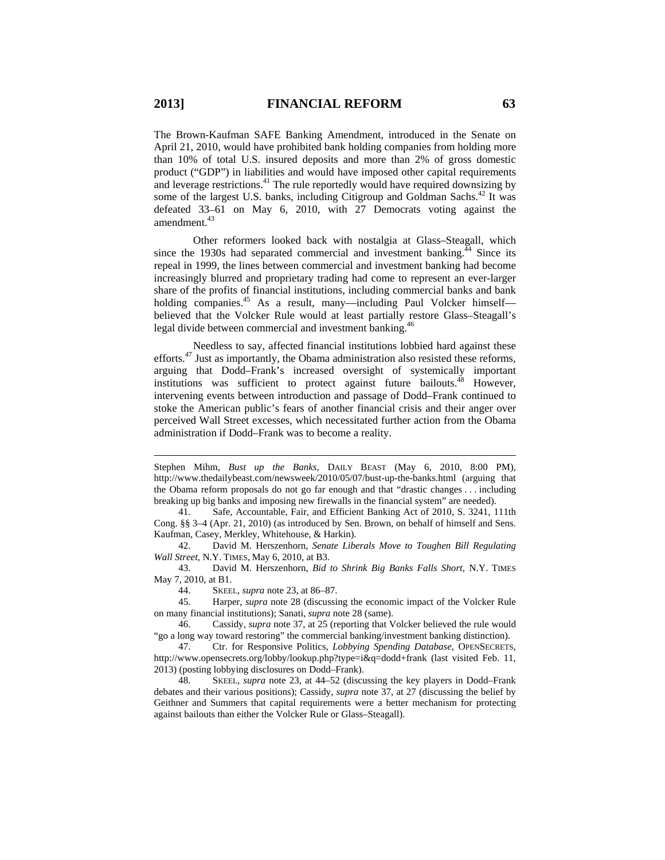$\overline{a}$ 

The Brown-Kaufman SAFE Banking Amendment, introduced in the Senate on April 21, 2010, would have prohibited bank holding companies from holding more than 10% of total U.S. insured deposits and more than 2% of gross domestic product ("GDP") in liabilities and would have imposed other capital requirements and leverage restrictions.<sup>41</sup> The rule reportedly would have required downsizing by some of the largest U.S. banks, including Citigroup and Goldman Sachs.<sup>42</sup> It was defeated 33–61 on May 6, 2010, with 27 Democrats voting against the amendment.<sup>43</sup>

Other reformers looked back with nostalgia at Glass–Steagall, which since the 1930s had separated commercial and investment banking. $^{44}$  Since its repeal in 1999, the lines between commercial and investment banking had become increasingly blurred and proprietary trading had come to represent an ever-larger share of the profits of financial institutions, including commercial banks and bank holding companies.<sup>45</sup> As a result, many—including Paul Volcker himself believed that the Volcker Rule would at least partially restore Glass–Steagall's legal divide between commercial and investment banking.<sup>46</sup>

Needless to say, affected financial institutions lobbied hard against these efforts.47 Just as importantly, the Obama administration also resisted these reforms, arguing that Dodd–Frank's increased oversight of systemically important institutions was sufficient to protect against future bailouts.<sup>48</sup> However, intervening events between introduction and passage of Dodd–Frank continued to stoke the American public's fears of another financial crisis and their anger over perceived Wall Street excesses, which necessitated further action from the Obama administration if Dodd–Frank was to become a reality.

 43. David M. Herszenhorn, *Bid to Shrink Big Banks Falls Short*, N.Y. TIMES May 7, 2010, at B1.

44. SKEEL, *supra* note 23, at 86–87.

 45. Harper, *supra* note 28 (discussing the economic impact of the Volcker Rule on many financial institutions); Sanati, *supra* note 28 (same).

 48. SKEEL, *supra* note 23, at 44–52 (discussing the key players in Dodd–Frank debates and their various positions); Cassidy, *supra* note 37, at 27 (discussing the belief by Geithner and Summers that capital requirements were a better mechanism for protecting against bailouts than either the Volcker Rule or Glass–Steagall).

Stephen Mihm, *Bust up the Banks*, DAILY BEAST (May 6, 2010, 8:00 PM), http://www.thedailybeast.com/newsweek/2010/05/07/bust-up-the-banks.html (arguing that the Obama reform proposals do not go far enough and that "drastic changes . . . including breaking up big banks and imposing new firewalls in the financial system" are needed).

 <sup>41.</sup> Safe, Accountable, Fair, and Efficient Banking Act of 2010, S. 3241, 111th Cong. §§ 3–4 (Apr. 21, 2010) (as introduced by Sen. Brown, on behalf of himself and Sens. Kaufman, Casey, Merkley, Whitehouse, & Harkin).

 <sup>42.</sup> David M. Herszenhorn, *Senate Liberals Move to Toughen Bill Regulating Wall Street*, N.Y. TIMES, May 6, 2010, at B3.

 <sup>46.</sup> Cassidy, *supra* note 37, at 25 (reporting that Volcker believed the rule would "go a long way toward restoring" the commercial banking/investment banking distinction).

 <sup>47.</sup> Ctr. for Responsive Politics, *Lobbying Spending Database*, OPENSECRETS, http://www.opensecrets.org/lobby/lookup.php?type=i&q=dodd+frank (last visited Feb. 11, 2013) (posting lobbying disclosures on Dodd–Frank).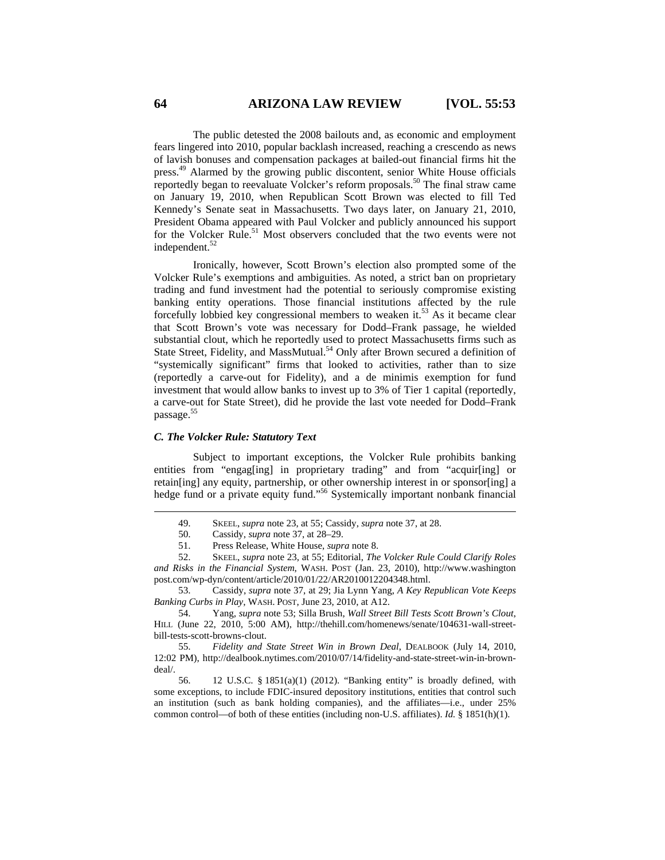The public detested the 2008 bailouts and, as economic and employment fears lingered into 2010, popular backlash increased, reaching a crescendo as news of lavish bonuses and compensation packages at bailed-out financial firms hit the press.49 Alarmed by the growing public discontent, senior White House officials reportedly began to reevaluate Volcker's reform proposals.<sup>50</sup> The final straw came on January 19, 2010, when Republican Scott Brown was elected to fill Ted Kennedy's Senate seat in Massachusetts. Two days later, on January 21, 2010, President Obama appeared with Paul Volcker and publicly announced his support for the Volcker Rule.<sup>51</sup> Most observers concluded that the two events were not independent.<sup>52</sup>

Ironically, however, Scott Brown's election also prompted some of the Volcker Rule's exemptions and ambiguities. As noted, a strict ban on proprietary trading and fund investment had the potential to seriously compromise existing banking entity operations. Those financial institutions affected by the rule forcefully lobbied key congressional members to weaken it.<sup>53</sup> As it became clear that Scott Brown's vote was necessary for Dodd–Frank passage, he wielded substantial clout, which he reportedly used to protect Massachusetts firms such as State Street, Fidelity, and MassMutual.<sup>54</sup> Only after Brown secured a definition of "systemically significant" firms that looked to activities, rather than to size (reportedly a carve-out for Fidelity), and a de minimis exemption for fund investment that would allow banks to invest up to 3% of Tier 1 capital (reportedly, a carve-out for State Street), did he provide the last vote needed for Dodd–Frank passage.55

#### *C. The Volcker Rule: Statutory Text*

Subject to important exceptions, the Volcker Rule prohibits banking entities from "engag[ing] in proprietary trading" and from "acquir[ing] or retain[ing] any equity, partnership, or other ownership interest in or sponsor[ing] a hedge fund or a private equity fund."<sup>56</sup> Systemically important nonbank financial

 52. SKEEL, *supra* note 23, at 55; Editorial, *The Volcker Rule Could Clarify Roles and Risks in the Financial System*, WASH. POST (Jan. 23, 2010), http://www.washington post.com/wp-dyn/content/article/2010/01/22/AR2010012204348.html.

 53. Cassidy, *supra* note 37, at 29; Jia Lynn Yang, *A Key Republican Vote Keeps Banking Curbs in Play*, WASH. POST, June 23, 2010, at A12.

 54. Yang, *supra* note 53; Silla Brush, *Wall Street Bill Tests Scott Brown's Clout*, HILL (June 22, 2010, 5:00 AM), http://thehill.com/homenews/senate/104631-wall-streetbill-tests-scott-browns-clout.

 55. *Fidelity and State Street Win in Brown Deal*, DEALBOOK (July 14, 2010, 12:02 PM), http://dealbook.nytimes.com/2010/07/14/fidelity-and-state-street-win-in-browndeal/.

 56. 12 U.S.C. § 1851(a)(1) (2012). "Banking entity" is broadly defined, with some exceptions, to include FDIC-insured depository institutions, entities that control such an institution (such as bank holding companies), and the affiliates—i.e., under 25% common control—of both of these entities (including non-U.S. affiliates). *Id.* § 1851(h)(1).

 <sup>49.</sup> SKEEL, *supra* note 23, at 55; Cassidy, *supra* note 37, at 28.

 <sup>50.</sup> Cassidy, *supra* note 37, at 28–29.

 <sup>51.</sup> Press Release, White House, *supra* note 8.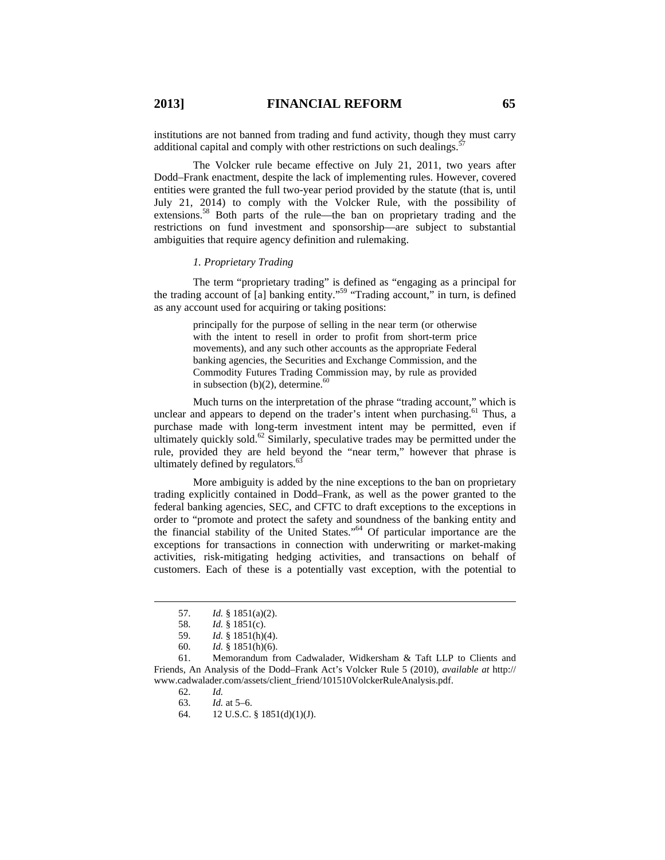institutions are not banned from trading and fund activity, though they must carry additional capital and comply with other restrictions on such dealings.<sup>5</sup>

The Volcker rule became effective on July 21, 2011, two years after Dodd–Frank enactment, despite the lack of implementing rules. However, covered entities were granted the full two-year period provided by the statute (that is, until July 21, 2014) to comply with the Volcker Rule, with the possibility of extensions.<sup>58</sup> Both parts of the rule—the ban on proprietary trading and the restrictions on fund investment and sponsorship—are subject to substantial ambiguities that require agency definition and rulemaking.

#### *1. Proprietary Trading*

The term "proprietary trading" is defined as "engaging as a principal for the trading account of [a] banking entity."<sup>59</sup> "Trading account," in turn, is defined as any account used for acquiring or taking positions:

> principally for the purpose of selling in the near term (or otherwise with the intent to resell in order to profit from short-term price movements), and any such other accounts as the appropriate Federal banking agencies, the Securities and Exchange Commission, and the Commodity Futures Trading Commission may, by rule as provided in subsection (b)(2), determine.<sup>60</sup>

Much turns on the interpretation of the phrase "trading account," which is unclear and appears to depend on the trader's intent when purchasing.<sup>61</sup> Thus, a purchase made with long-term investment intent may be permitted, even if ultimately quickly sold.<sup>62</sup> Similarly, speculative trades may be permitted under the rule, provided they are held beyond the "near term," however that phrase is ultimately defined by regulators.<sup>63</sup>

More ambiguity is added by the nine exceptions to the ban on proprietary trading explicitly contained in Dodd–Frank, as well as the power granted to the federal banking agencies, SEC, and CFTC to draft exceptions to the exceptions in order to "promote and protect the safety and soundness of the banking entity and the financial stability of the United States."64 Of particular importance are the exceptions for transactions in connection with underwriting or market-making activities, risk-mitigating hedging activities, and transactions on behalf of customers. Each of these is a potentially vast exception, with the potential to

64. 12 U.S.C. § 1851(d)(1)(J).

 <sup>57.</sup> *Id.* § 1851(a)(2).

 <sup>58.</sup> *Id.* § 1851(c).

 <sup>59.</sup> *Id.* § 1851(h)(4).

 <sup>60.</sup> *Id.* § 1851(h)(6).

 <sup>61.</sup> Memorandum from Cadwalader, Widkersham & Taft LLP to Clients and Friends, An Analysis of the Dodd–Frank Act's Volcker Rule 5 (2010), *available at* http:// www.cadwalader.com/assets/client\_friend/101510VolckerRuleAnalysis.pdf.

 <sup>62.</sup> *Id.*

 <sup>63.</sup> *Id.* at 5–6.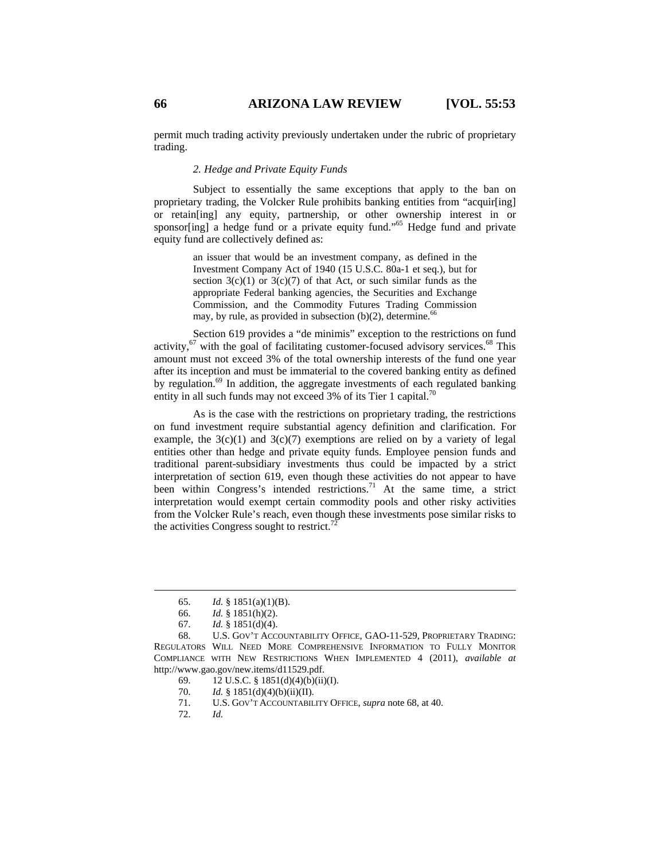permit much trading activity previously undertaken under the rubric of proprietary trading.

#### *2. Hedge and Private Equity Funds*

Subject to essentially the same exceptions that apply to the ban on proprietary trading, the Volcker Rule prohibits banking entities from "acquir[ing] or retain[ing] any equity, partnership, or other ownership interest in or sponsor[ing] a hedge fund or a private equity fund."<sup>65</sup> Hedge fund and private equity fund are collectively defined as:

> an issuer that would be an investment company, as defined in the Investment Company Act of 1940 (15 U.S.C. 80a-1 et seq.), but for section  $3(c)(1)$  or  $3(c)(7)$  of that Act, or such similar funds as the appropriate Federal banking agencies, the Securities and Exchange Commission, and the Commodity Futures Trading Commission may, by rule, as provided in subsection (b)(2), determine.<sup>66</sup>

Section 619 provides a "de minimis" exception to the restrictions on fund activity, $^{67}$  with the goal of facilitating customer-focused advisory services.<sup>68</sup> This amount must not exceed 3% of the total ownership interests of the fund one year after its inception and must be immaterial to the covered banking entity as defined by regulation.<sup>69</sup> In addition, the aggregate investments of each regulated banking entity in all such funds may not exceed 3% of its Tier 1 capital.<sup>70</sup>

As is the case with the restrictions on proprietary trading, the restrictions on fund investment require substantial agency definition and clarification. For example, the  $3(c)(1)$  and  $3(c)(7)$  exemptions are relied on by a variety of legal entities other than hedge and private equity funds. Employee pension funds and traditional parent-subsidiary investments thus could be impacted by a strict interpretation of section 619, even though these activities do not appear to have been within Congress's intended restrictions.<sup>71</sup> At the same time, a strict interpretation would exempt certain commodity pools and other risky activities from the Volcker Rule's reach, even though these investments pose similar risks to the activities Congress sought to restrict.<sup>72</sup>

72. *Id.*

 <sup>65.</sup> *Id.* § 1851(a)(1)(B).

 <sup>66.</sup> *Id.* § 1851(h)(2).

 <sup>67.</sup> *Id.* § 1851(d)(4).

 <sup>68.</sup> U.S. GOV'T ACCOUNTABILITY OFFICE, GAO-11-529, PROPRIETARY TRADING: REGULATORS WILL NEED MORE COMPREHENSIVE INFORMATION TO FULLY MONITOR COMPLIANCE WITH NEW RESTRICTIONS WHEN IMPLEMENTED 4 (2011), *available at*  http://www.gao.gov/new.items/d11529.pdf.

<sup>69. 12</sup> U.S.C. §  $1851(d)(4)(b)(ii)(I)$ .

<sup>70.</sup> *Id.* § 1851(d)(4)(b)(ii)(II).

 <sup>71.</sup> U.S. GOV'T ACCOUNTABILITY OFFICE, *supra* note 68, at 40.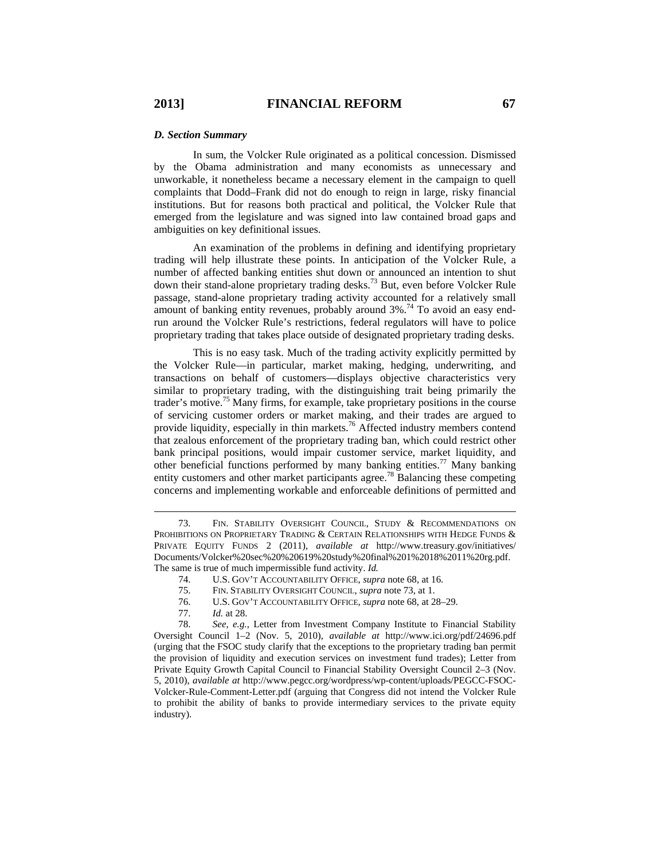#### *D. Section Summary*

In sum, the Volcker Rule originated as a political concession. Dismissed by the Obama administration and many economists as unnecessary and unworkable, it nonetheless became a necessary element in the campaign to quell complaints that Dodd–Frank did not do enough to reign in large, risky financial institutions. But for reasons both practical and political, the Volcker Rule that emerged from the legislature and was signed into law contained broad gaps and ambiguities on key definitional issues.

An examination of the problems in defining and identifying proprietary trading will help illustrate these points. In anticipation of the Volcker Rule, a number of affected banking entities shut down or announced an intention to shut down their stand-alone proprietary trading desks.<sup>73</sup> But, even before Volcker Rule passage, stand-alone proprietary trading activity accounted for a relatively small amount of banking entity revenues, probably around 3%.<sup>74</sup> To avoid an easy endrun around the Volcker Rule's restrictions, federal regulators will have to police proprietary trading that takes place outside of designated proprietary trading desks.

This is no easy task. Much of the trading activity explicitly permitted by the Volcker Rule—in particular, market making, hedging, underwriting, and transactions on behalf of customers—displays objective characteristics very similar to proprietary trading, with the distinguishing trait being primarily the trader's motive.<sup>75</sup> Many firms, for example, take proprietary positions in the course of servicing customer orders or market making, and their trades are argued to provide liquidity, especially in thin markets.<sup>76</sup> Affected industry members contend that zealous enforcement of the proprietary trading ban, which could restrict other bank principal positions, would impair customer service, market liquidity, and other beneficial functions performed by many banking entities.<sup>77</sup> Many banking entity customers and other market participants agree.<sup>78</sup> Balancing these competing concerns and implementing workable and enforceable definitions of permitted and

77. *Id.* at 28.

 78. *See, e.g.*, Letter from Investment Company Institute to Financial Stability Oversight Council 1–2 (Nov. 5, 2010), *available at* http://www.ici.org/pdf/24696.pdf (urging that the FSOC study clarify that the exceptions to the proprietary trading ban permit the provision of liquidity and execution services on investment fund trades); Letter from Private Equity Growth Capital Council to Financial Stability Oversight Council 2–3 (Nov. 5, 2010), *available at* http://www.pegcc.org/wordpress/wp-content/uploads/PEGCC-FSOC-Volcker-Rule-Comment-Letter.pdf (arguing that Congress did not intend the Volcker Rule to prohibit the ability of banks to provide intermediary services to the private equity industry).

 <sup>73.</sup> FIN. STABILITY OVERSIGHT COUNCIL, STUDY & RECOMMENDATIONS ON PROHIBITIONS ON PROPRIETARY TRADING & CERTAIN RELATIONSHIPS WITH HEDGE FUNDS & PRIVATE EQUITY FUNDS 2 (2011), *available at* http://www.treasury.gov/initiatives/ Documents/Volcker%20sec%20%20619%20study%20final%201%2018%2011%20rg.pdf. The same is true of much impermissible fund activity. *Id.*

 <sup>74.</sup> U.S. GOV'T ACCOUNTABILITY OFFICE, *supra* note 68, at 16.

 <sup>75.</sup> FIN. STABILITY OVERSIGHT COUNCIL, *supra* note 73, at 1.

 <sup>76.</sup> U.S. GOV'T ACCOUNTABILITY OFFICE, *supra* note 68, at 28–29.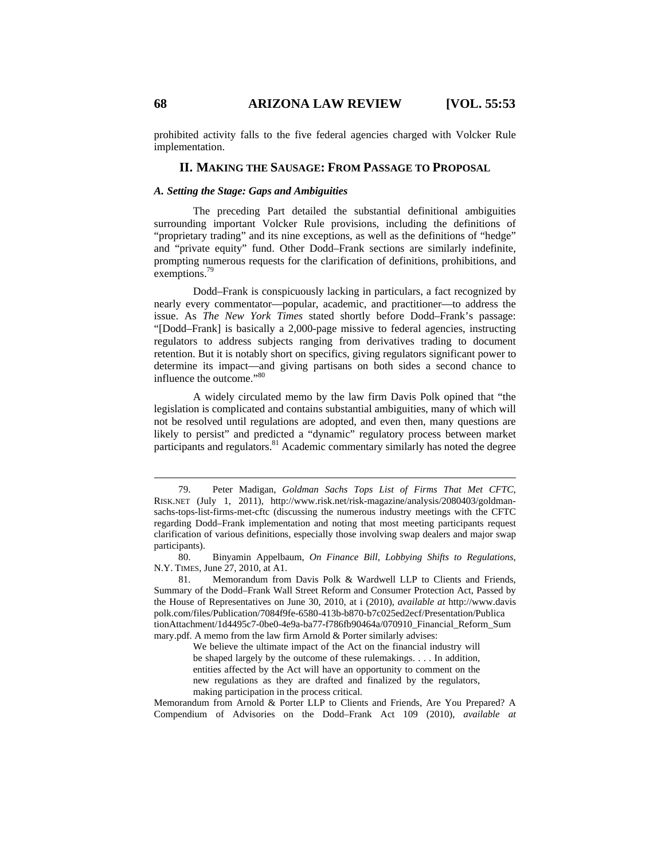prohibited activity falls to the five federal agencies charged with Volcker Rule implementation.

#### **II. MAKING THE SAUSAGE: FROM PASSAGE TO PROPOSAL**

#### *A. Setting the Stage: Gaps and Ambiguities*

The preceding Part detailed the substantial definitional ambiguities surrounding important Volcker Rule provisions, including the definitions of "proprietary trading" and its nine exceptions, as well as the definitions of "hedge" and "private equity" fund. Other Dodd–Frank sections are similarly indefinite, prompting numerous requests for the clarification of definitions, prohibitions, and exemptions.<sup>79</sup>

Dodd–Frank is conspicuously lacking in particulars, a fact recognized by nearly every commentator—popular, academic, and practitioner—to address the issue. As *The New York Times* stated shortly before Dodd–Frank's passage: "[Dodd–Frank] is basically a 2,000-page missive to federal agencies, instructing regulators to address subjects ranging from derivatives trading to document retention. But it is notably short on specifics, giving regulators significant power to determine its impact—and giving partisans on both sides a second chance to influence the outcome."80

A widely circulated memo by the law firm Davis Polk opined that "the legislation is complicated and contains substantial ambiguities, many of which will not be resolved until regulations are adopted, and even then, many questions are likely to persist" and predicted a "dynamic" regulatory process between market participants and regulators.<sup>81</sup> Academic commentary similarly has noted the degree

 <sup>79.</sup> Peter Madigan, *Goldman Sachs Tops List of Firms That Met CFTC*, RISK.NET (July 1, 2011), http://www.risk.net/risk-magazine/analysis/2080403/goldmansachs-tops-list-firms-met-cftc (discussing the numerous industry meetings with the CFTC regarding Dodd–Frank implementation and noting that most meeting participants request clarification of various definitions, especially those involving swap dealers and major swap participants).

 <sup>80.</sup> Binyamin Appelbaum, *On Finance Bill, Lobbying Shifts to Regulations*, N.Y. TIMES, June 27, 2010, at A1.

 <sup>81.</sup> Memorandum from Davis Polk & Wardwell LLP to Clients and Friends, Summary of the Dodd–Frank Wall Street Reform and Consumer Protection Act, Passed by the House of Representatives on June 30, 2010, at i (2010), *available at* http://www.davis polk.com/files/Publication/7084f9fe-6580-413b-b870-b7c025ed2ecf/Presentation/Publica tionAttachment/1d4495c7-0be0-4e9a-ba77-f786fb90464a/070910\_Financial\_Reform\_Sum mary.pdf. A memo from the law firm Arnold & Porter similarly advises:

We believe the ultimate impact of the Act on the financial industry will be shaped largely by the outcome of these rulemakings. . . . In addition, entities affected by the Act will have an opportunity to comment on the new regulations as they are drafted and finalized by the regulators, making participation in the process critical.

Memorandum from Arnold & Porter LLP to Clients and Friends, Are You Prepared? A Compendium of Advisories on the Dodd–Frank Act 109 (2010), *available at*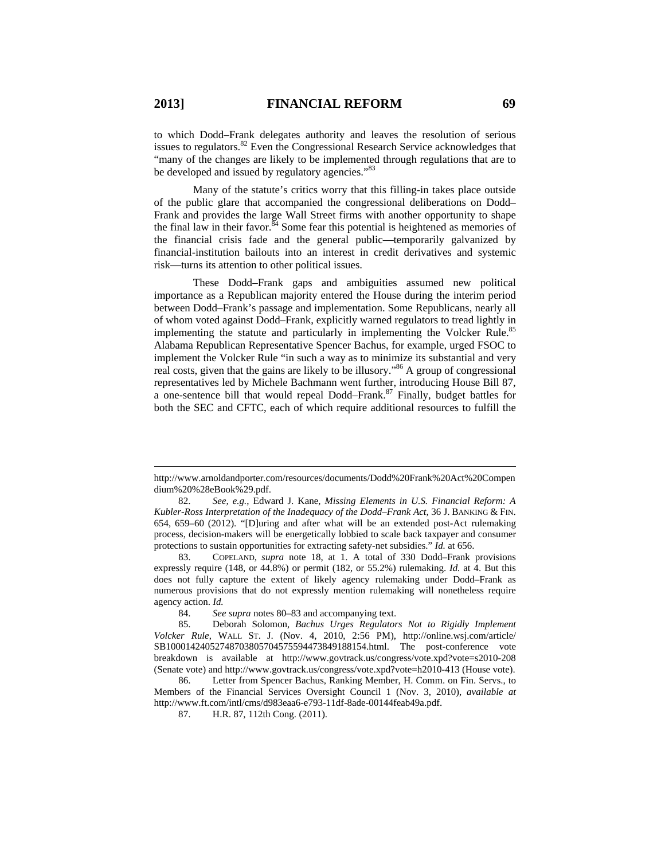$\overline{a}$ 

to which Dodd–Frank delegates authority and leaves the resolution of serious issues to regulators. $82$  Even the Congressional Research Service acknowledges that "many of the changes are likely to be implemented through regulations that are to be developed and issued by regulatory agencies."<sup>83</sup>

Many of the statute's critics worry that this filling-in takes place outside of the public glare that accompanied the congressional deliberations on Dodd– Frank and provides the large Wall Street firms with another opportunity to shape the final law in their favor. $84$  Some fear this potential is heightened as memories of the financial crisis fade and the general public—temporarily galvanized by financial-institution bailouts into an interest in credit derivatives and systemic risk—turns its attention to other political issues.

These Dodd–Frank gaps and ambiguities assumed new political importance as a Republican majority entered the House during the interim period between Dodd–Frank's passage and implementation. Some Republicans, nearly all of whom voted against Dodd–Frank, explicitly warned regulators to tread lightly in implementing the statute and particularly in implementing the Volcker Rule.<sup>8</sup> Alabama Republican Representative Spencer Bachus, for example, urged FSOC to implement the Volcker Rule "in such a way as to minimize its substantial and very real costs, given that the gains are likely to be illusory."86 A group of congressional representatives led by Michele Bachmann went further, introducing House Bill 87, a one-sentence bill that would repeal Dodd–Frank.87 Finally, budget battles for both the SEC and CFTC, each of which require additional resources to fulfill the

http://www.arnoldandporter.com/resources/documents/Dodd%20Frank%20Act%20Compen dium%20%28eBook%29.pdf.

 <sup>82.</sup> *See, e.g.*, Edward J. Kane, *Missing Elements in U.S. Financial Reform: A Kubler-Ross Interpretation of the Inadequacy of the Dodd–Frank Act*, 36 J. BANKING & FIN. 654, 659–60 (2012). "[D]uring and after what will be an extended post-Act rulemaking process, decision-makers will be energetically lobbied to scale back taxpayer and consumer protections to sustain opportunities for extracting safety-net subsidies." *Id.* at 656.

 <sup>83.</sup> COPELAND, *supra* note 18, at 1. A total of 330 Dodd–Frank provisions expressly require (148, or 44.8%) or permit (182, or 55.2%) rulemaking. *Id.* at 4. But this does not fully capture the extent of likely agency rulemaking under Dodd–Frank as numerous provisions that do not expressly mention rulemaking will nonetheless require agency action. *Id.* 

 <sup>84.</sup> *See supra* notes 80–83 and accompanying text.

 <sup>85.</sup> Deborah Solomon, *Bachus Urges Regulators Not to Rigidly Implement Volcker Rule*, WALL ST. J. (Nov. 4, 2010, 2:56 PM), http://online.wsj.com/article/ SB10001424052748703805704575594473849188154.html. The post-conference vote breakdown is available at http://www.govtrack.us/congress/vote.xpd?vote=s2010-208 (Senate vote) and http://www.govtrack.us/congress/vote.xpd?vote=h2010-413 (House vote).

 <sup>86.</sup> Letter from Spencer Bachus, Ranking Member, H. Comm. on Fin. Servs., to Members of the Financial Services Oversight Council 1 (Nov. 3, 2010), *available at*  http://www.ft.com/intl/cms/d983eaa6-e793-11df-8ade-00144feab49a.pdf.

 <sup>87.</sup> H.R. 87, 112th Cong. (2011).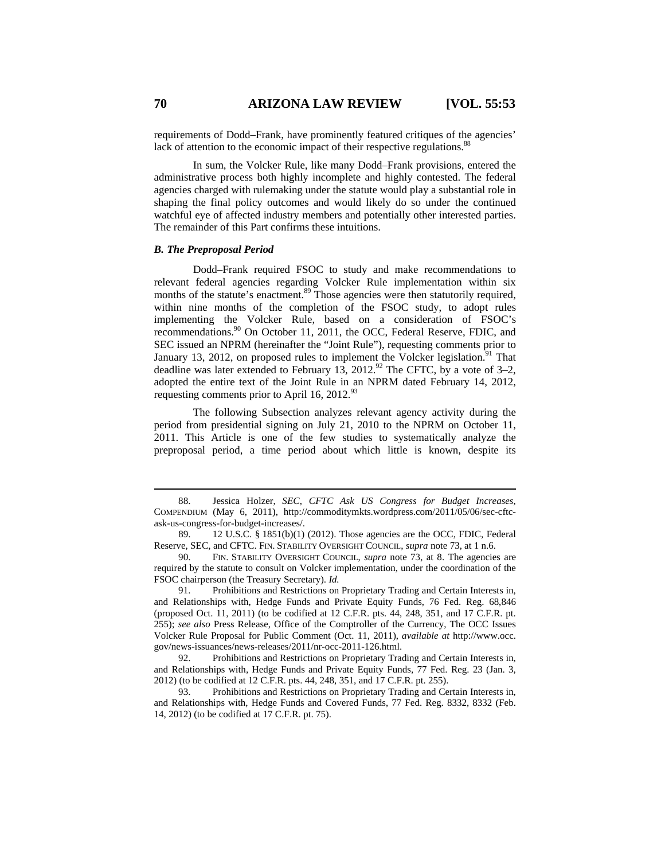requirements of Dodd–Frank, have prominently featured critiques of the agencies' lack of attention to the economic impact of their respective regulations.<sup>88</sup>

In sum, the Volcker Rule, like many Dodd–Frank provisions, entered the administrative process both highly incomplete and highly contested. The federal agencies charged with rulemaking under the statute would play a substantial role in shaping the final policy outcomes and would likely do so under the continued watchful eye of affected industry members and potentially other interested parties. The remainder of this Part confirms these intuitions.

#### *B. The Preproposal Period*

Dodd–Frank required FSOC to study and make recommendations to relevant federal agencies regarding Volcker Rule implementation within six months of the statute's enactment.<sup>89</sup> Those agencies were then statutorily required, within nine months of the completion of the FSOC study, to adopt rules implementing the Volcker Rule, based on a consideration of FSOC's recommendations.90 On October 11, 2011, the OCC, Federal Reserve, FDIC, and SEC issued an NPRM (hereinafter the "Joint Rule"), requesting comments prior to January 13, 2012, on proposed rules to implement the Volcker legislation.<sup>91</sup> That deadline was later extended to February 13, 2012.<sup>92</sup> The CFTC, by a vote of 3–2, adopted the entire text of the Joint Rule in an NPRM dated February 14, 2012, requesting comments prior to April 16, 2012.93

The following Subsection analyzes relevant agency activity during the period from presidential signing on July 21, 2010 to the NPRM on October 11, 2011. This Article is one of the few studies to systematically analyze the preproposal period, a time period about which little is known, despite its

 91. Prohibitions and Restrictions on Proprietary Trading and Certain Interests in, and Relationships with, Hedge Funds and Private Equity Funds, 76 Fed. Reg. 68,846 (proposed Oct. 11, 2011) (to be codified at 12 C.F.R. pts. 44, 248, 351, and 17 C.F.R. pt. 255); *see also* Press Release, Office of the Comptroller of the Currency, The OCC Issues Volcker Rule Proposal for Public Comment (Oct. 11, 2011), *available at* http://www.occ. gov/news-issuances/news-releases/2011/nr-occ-2011-126.html.

 <sup>88.</sup> Jessica Holzer, *SEC, CFTC Ask US Congress for Budget Increases*, COMPENDIUM (May 6, 2011), http://commoditymkts.wordpress.com/2011/05/06/sec-cftcask-us-congress-for-budget-increases/.

 <sup>89. 12</sup> U.S.C. § 1851(b)(1) (2012). Those agencies are the OCC, FDIC, Federal Reserve, SEC, and CFTC. FIN. STABILITY OVERSIGHT COUNCIL, *supra* note 73, at 1 n.6.

 <sup>90.</sup> FIN. STABILITY OVERSIGHT COUNCIL, *supra* note 73, at 8. The agencies are required by the statute to consult on Volcker implementation, under the coordination of the FSOC chairperson (the Treasury Secretary). *Id.*

 <sup>92.</sup> Prohibitions and Restrictions on Proprietary Trading and Certain Interests in, and Relationships with, Hedge Funds and Private Equity Funds, 77 Fed. Reg. 23 (Jan. 3, 2012) (to be codified at 12 C.F.R. pts. 44, 248, 351, and 17 C.F.R. pt. 255).

 <sup>93.</sup> Prohibitions and Restrictions on Proprietary Trading and Certain Interests in, and Relationships with, Hedge Funds and Covered Funds, 77 Fed. Reg. 8332, 8332 (Feb. 14, 2012) (to be codified at 17 C.F.R. pt. 75).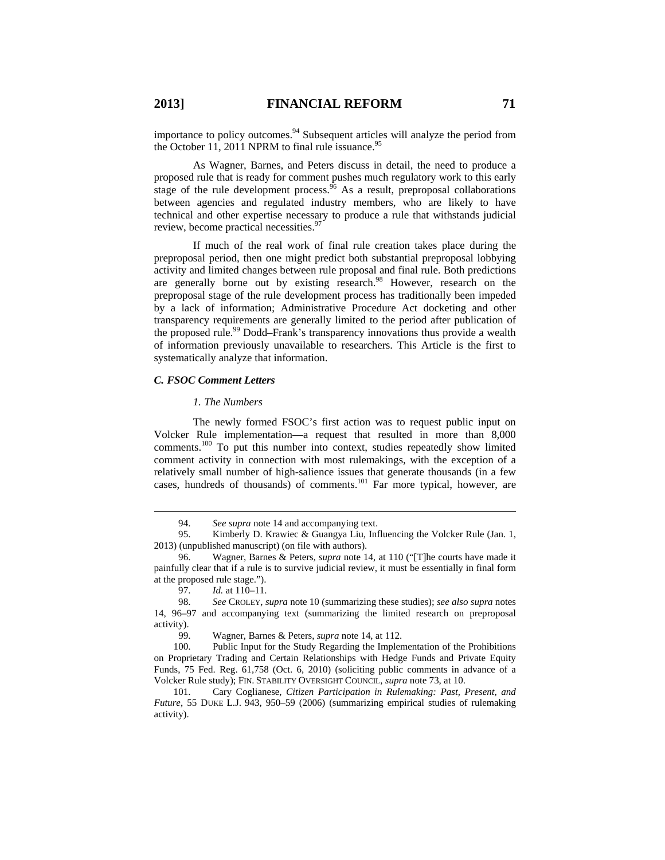importance to policy outcomes.<sup>94</sup> Subsequent articles will analyze the period from the October 11, 2011 NPRM to final rule issuance.<sup>95</sup>

As Wagner, Barnes, and Peters discuss in detail, the need to produce a proposed rule that is ready for comment pushes much regulatory work to this early stage of the rule development process.  $96$  As a result, preproposal collaborations between agencies and regulated industry members, who are likely to have technical and other expertise necessary to produce a rule that withstands judicial review, become practical necessities.<sup>97</sup>

If much of the real work of final rule creation takes place during the preproposal period, then one might predict both substantial preproposal lobbying activity and limited changes between rule proposal and final rule. Both predictions are generally borne out by existing research.<sup>98</sup> However, research on the preproposal stage of the rule development process has traditionally been impeded by a lack of information; Administrative Procedure Act docketing and other transparency requirements are generally limited to the period after publication of the proposed rule.<sup>99</sup> Dodd–Frank's transparency innovations thus provide a wealth of information previously unavailable to researchers. This Article is the first to systematically analyze that information.

#### *C. FSOC Comment Letters*

#### *1. The Numbers*

The newly formed FSOC's first action was to request public input on Volcker Rule implementation—a request that resulted in more than 8,000 comments.100 To put this number into context, studies repeatedly show limited comment activity in connection with most rulemakings, with the exception of a relatively small number of high-salience issues that generate thousands (in a few cases, hundreds of thousands) of comments.<sup>101</sup> Far more typical, however, are

99. Wagner, Barnes & Peters, *supra* note 14, at 112.

100. Public Input for the Study Regarding the Implementation of the Prohibitions on Proprietary Trading and Certain Relationships with Hedge Funds and Private Equity Funds, 75 Fed. Reg. 61,758 (Oct. 6, 2010) (soliciting public comments in advance of a Volcker Rule study); FIN. STABILITY OVERSIGHT COUNCIL, *supra* note 73, at 10.

101. Cary Coglianese, *Citizen Participation in Rulemaking: Past, Present, and Future*, 55 DUKE L.J. 943, 950–59 (2006) (summarizing empirical studies of rulemaking activity).

 <sup>94.</sup> *See supra* note 14 and accompanying text.

 <sup>95.</sup> Kimberly D. Krawiec & Guangya Liu, Influencing the Volcker Rule (Jan. 1, 2013) (unpublished manuscript) (on file with authors).

 <sup>96.</sup> Wagner, Barnes & Peters, *supra* note 14, at 110 ("[T]he courts have made it painfully clear that if a rule is to survive judicial review, it must be essentially in final form at the proposed rule stage.").

 <sup>97.</sup> *Id.* at 110–11.

 <sup>98.</sup> *See* CROLEY, *supra* note 10 (summarizing these studies); *see also supra* notes 14, 96–97 and accompanying text (summarizing the limited research on preproposal activity).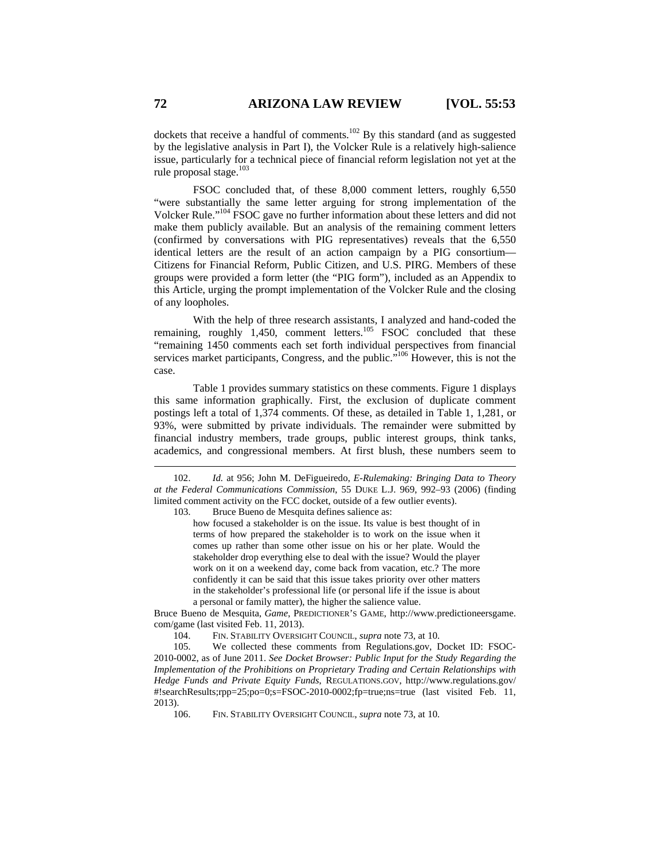dockets that receive a handful of comments.<sup>102</sup> By this standard (and as suggested by the legislative analysis in Part I), the Volcker Rule is a relatively high-salience issue, particularly for a technical piece of financial reform legislation not yet at the rule proposal stage.<sup>103</sup>

FSOC concluded that, of these 8,000 comment letters, roughly 6,550 "were substantially the same letter arguing for strong implementation of the Volcker Rule."104 FSOC gave no further information about these letters and did not make them publicly available. But an analysis of the remaining comment letters (confirmed by conversations with PIG representatives) reveals that the 6,550 identical letters are the result of an action campaign by a PIG consortium— Citizens for Financial Reform, Public Citizen, and U.S. PIRG. Members of these groups were provided a form letter (the "PIG form"), included as an Appendix to this Article, urging the prompt implementation of the Volcker Rule and the closing of any loopholes.

With the help of three research assistants, I analyzed and hand-coded the remaining, roughly  $1,450$ , comment letters.<sup>105</sup> FSOC concluded that these "remaining 1450 comments each set forth individual perspectives from financial services market participants, Congress, and the public.<sup>7106</sup> However, this is not the case.

Table 1 provides summary statistics on these comments. Figure 1 displays this same information graphically. First, the exclusion of duplicate comment postings left a total of 1,374 comments. Of these, as detailed in Table 1, 1,281, or 93%, were submitted by private individuals. The remainder were submitted by financial industry members, trade groups, public interest groups, think tanks, academics, and congressional members. At first blush, these numbers seem to

103. Bruce Bueno de Mesquita defines salience as:

how focused a stakeholder is on the issue. Its value is best thought of in terms of how prepared the stakeholder is to work on the issue when it comes up rather than some other issue on his or her plate. Would the stakeholder drop everything else to deal with the issue? Would the player work on it on a weekend day, come back from vacation, etc.? The more confidently it can be said that this issue takes priority over other matters in the stakeholder's professional life (or personal life if the issue is about a personal or family matter), the higher the salience value.

Bruce Bueno de Mesquita, *Game*, PREDICTIONER'S GAME, http://www.predictioneersgame. com/game (last visited Feb. 11, 2013).

104. FIN. STABILITY OVERSIGHT COUNCIL, *supra* note 73, at 10.

105. We collected these comments from Regulations.gov, Docket ID: FSOC-2010-0002, as of June 2011. *See Docket Browser: Public Input for the Study Regarding the Implementation of the Prohibitions on Proprietary Trading and Certain Relationships with Hedge Funds and Private Equity Funds*, REGULATIONS.GOV, http://www.regulations.gov/ #!searchResults;rpp=25;po=0;s=FSOC-2010-0002;fp=true;ns=true (last visited Feb. 11, 2013).

106. FIN. STABILITY OVERSIGHT COUNCIL, *supra* note 73, at 10.

 <sup>102.</sup> *Id.* at 956; John M. DeFigueiredo, *E-Rulemaking: Bringing Data to Theory at the Federal Communications Commission*, 55 DUKE L.J. 969, 992–93 (2006) (finding limited comment activity on the FCC docket, outside of a few outlier events).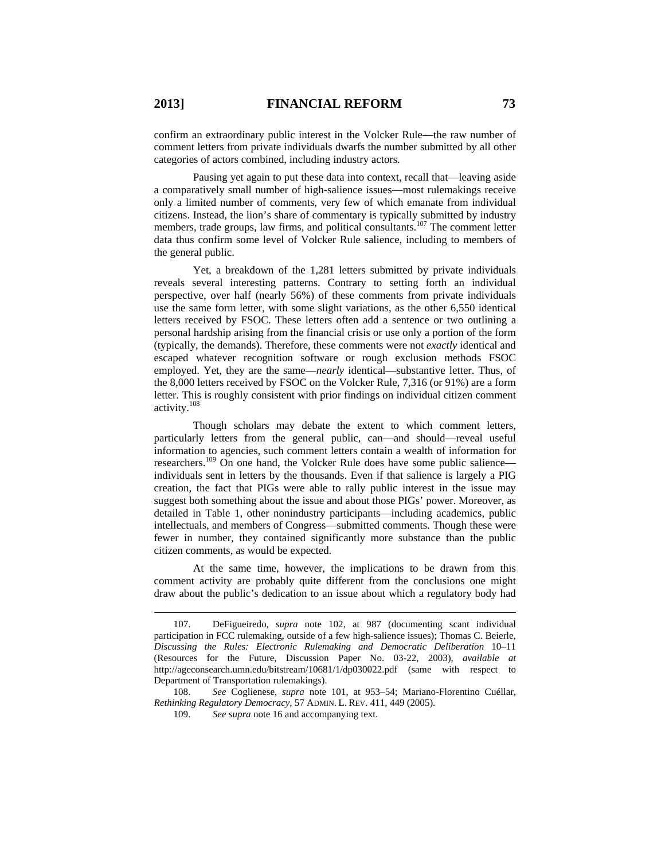confirm an extraordinary public interest in the Volcker Rule—the raw number of comment letters from private individuals dwarfs the number submitted by all other categories of actors combined, including industry actors.

Pausing yet again to put these data into context, recall that—leaving aside a comparatively small number of high-salience issues—most rulemakings receive only a limited number of comments, very few of which emanate from individual citizens. Instead, the lion's share of commentary is typically submitted by industry members, trade groups, law firms, and political consultants.<sup>107</sup> The comment letter data thus confirm some level of Volcker Rule salience, including to members of the general public.

Yet, a breakdown of the 1,281 letters submitted by private individuals reveals several interesting patterns. Contrary to setting forth an individual perspective, over half (nearly 56%) of these comments from private individuals use the same form letter, with some slight variations, as the other 6,550 identical letters received by FSOC. These letters often add a sentence or two outlining a personal hardship arising from the financial crisis or use only a portion of the form (typically, the demands). Therefore, these comments were not *exactly* identical and escaped whatever recognition software or rough exclusion methods FSOC employed. Yet, they are the same—*nearly* identical—substantive letter. Thus, of the 8,000 letters received by FSOC on the Volcker Rule, 7,316 (or 91%) are a form letter. This is roughly consistent with prior findings on individual citizen comment activity.<sup>108</sup>

Though scholars may debate the extent to which comment letters, particularly letters from the general public, can—and should—reveal useful information to agencies, such comment letters contain a wealth of information for researchers.<sup>109</sup> On one hand, the Volcker Rule does have some public salience individuals sent in letters by the thousands. Even if that salience is largely a PIG creation, the fact that PIGs were able to rally public interest in the issue may suggest both something about the issue and about those PIGs' power. Moreover, as detailed in Table 1, other nonindustry participants—including academics, public intellectuals, and members of Congress—submitted comments. Though these were fewer in number, they contained significantly more substance than the public citizen comments, as would be expected.

At the same time, however, the implications to be drawn from this comment activity are probably quite different from the conclusions one might draw about the public's dedication to an issue about which a regulatory body had

 <sup>107.</sup> DeFigueiredo, *supra* note 102, at 987 (documenting scant individual participation in FCC rulemaking, outside of a few high-salience issues); Thomas C. Beierle, *Discussing the Rules: Electronic Rulemaking and Democratic Deliberation* 10–11 (Resources for the Future, Discussion Paper No. 03-22, 2003), *available at* http://ageconsearch.umn.edu/bitstream/10681/1/dp030022.pdf (same with respect to Department of Transportation rulemakings).

<sup>108.</sup> *See* Coglienese, *supra* note 101, at 953–54; Mariano-Florentino Cuéllar, *Rethinking Regulatory Democracy*, 57 ADMIN. L. REV. 411, 449 (2005).

<sup>109.</sup> *See supra* note 16 and accompanying text.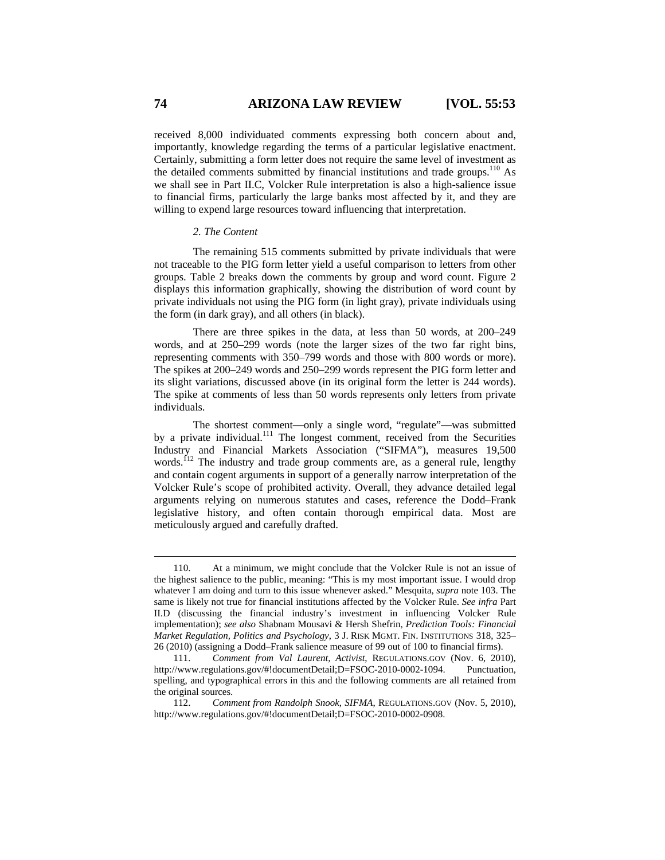received 8,000 individuated comments expressing both concern about and, importantly, knowledge regarding the terms of a particular legislative enactment. Certainly, submitting a form letter does not require the same level of investment as the detailed comments submitted by financial institutions and trade groups.<sup>110</sup> As we shall see in Part II.C, Volcker Rule interpretation is also a high-salience issue to financial firms, particularly the large banks most affected by it, and they are willing to expend large resources toward influencing that interpretation.

#### *2. The Content*

The remaining 515 comments submitted by private individuals that were not traceable to the PIG form letter yield a useful comparison to letters from other groups. Table 2 breaks down the comments by group and word count. Figure 2 displays this information graphically, showing the distribution of word count by private individuals not using the PIG form (in light gray), private individuals using the form (in dark gray), and all others (in black).

There are three spikes in the data, at less than 50 words, at 200–249 words, and at 250–299 words (note the larger sizes of the two far right bins, representing comments with 350–799 words and those with 800 words or more). The spikes at 200–249 words and 250–299 words represent the PIG form letter and its slight variations, discussed above (in its original form the letter is 244 words). The spike at comments of less than 50 words represents only letters from private individuals.

The shortest comment—only a single word, "regulate"—was submitted by a private individual.<sup>111</sup> The longest comment, received from the Securities Industry and Financial Markets Association ("SIFMA"), measures 19,500 words.<sup> $112$ </sup> The industry and trade group comments are, as a general rule, lengthy and contain cogent arguments in support of a generally narrow interpretation of the Volcker Rule's scope of prohibited activity. Overall, they advance detailed legal arguments relying on numerous statutes and cases, reference the Dodd–Frank legislative history, and often contain thorough empirical data. Most are meticulously argued and carefully drafted.

 <sup>110.</sup> At a minimum, we might conclude that the Volcker Rule is not an issue of the highest salience to the public, meaning: "This is my most important issue. I would drop whatever I am doing and turn to this issue whenever asked." Mesquita, *supra* note 103. The same is likely not true for financial institutions affected by the Volcker Rule. *See infra* Part II.D (discussing the financial industry's investment in influencing Volcker Rule implementation); *see also* Shabnam Mousavi & Hersh Shefrin, *Prediction Tools: Financial Market Regulation, Politics and Psychology*, 3 J. RISK MGMT. FIN. INSTITUTIONS 318, 325– 26 (2010) (assigning a Dodd–Frank salience measure of 99 out of 100 to financial firms).

<sup>111.</sup> *Comment from Val Laurent, Activist*, REGULATIONS.GOV (Nov. 6, 2010), http://www.regulations.gov/#!documentDetail;D=FSOC-2010-0002-1094. Punctuation, spelling, and typographical errors in this and the following comments are all retained from the original sources.

<sup>112.</sup> *Comment from Randolph Snook, SIFMA*, REGULATIONS.GOV (Nov. 5, 2010), http://www.regulations.gov/#!documentDetail;D=FSOC-2010-0002-0908.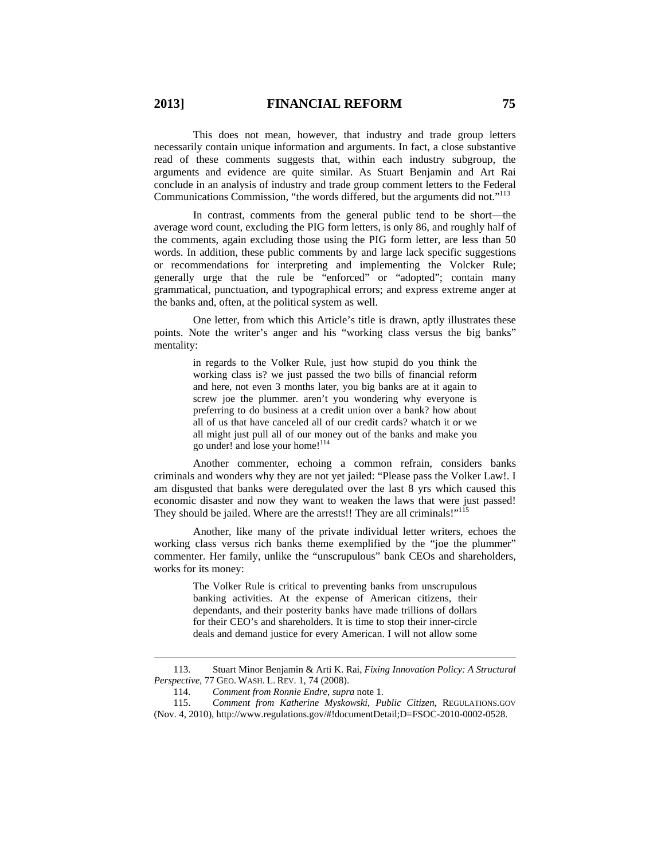This does not mean, however, that industry and trade group letters necessarily contain unique information and arguments. In fact, a close substantive read of these comments suggests that, within each industry subgroup, the arguments and evidence are quite similar. As Stuart Benjamin and Art Rai conclude in an analysis of industry and trade group comment letters to the Federal Communications Commission, "the words differed, but the arguments did not."<sup>113</sup>

In contrast, comments from the general public tend to be short—the average word count, excluding the PIG form letters, is only 86, and roughly half of the comments, again excluding those using the PIG form letter, are less than 50 words. In addition, these public comments by and large lack specific suggestions or recommendations for interpreting and implementing the Volcker Rule; generally urge that the rule be "enforced" or "adopted"; contain many grammatical, punctuation, and typographical errors; and express extreme anger at the banks and, often, at the political system as well.

One letter, from which this Article's title is drawn, aptly illustrates these points. Note the writer's anger and his "working class versus the big banks" mentality:

> in regards to the Volker Rule, just how stupid do you think the working class is? we just passed the two bills of financial reform and here, not even 3 months later, you big banks are at it again to screw joe the plummer. aren't you wondering why everyone is preferring to do business at a credit union over a bank? how about all of us that have canceled all of our credit cards? whatch it or we all might just pull all of our money out of the banks and make you go under! and lose your home!<sup>114</sup>

Another commenter, echoing a common refrain, considers banks criminals and wonders why they are not yet jailed: "Please pass the Volker Law!. I am disgusted that banks were deregulated over the last 8 yrs which caused this economic disaster and now they want to weaken the laws that were just passed! They should be jailed. Where are the arrests!! They are all criminals!"<sup>11</sup>

Another, like many of the private individual letter writers, echoes the working class versus rich banks theme exemplified by the "joe the plummer" commenter. Her family, unlike the "unscrupulous" bank CEOs and shareholders, works for its money:

> The Volker Rule is critical to preventing banks from unscrupulous banking activities. At the expense of American citizens, their dependants, and their posterity banks have made trillions of dollars for their CEO's and shareholders. It is time to stop their inner-circle deals and demand justice for every American. I will not allow some

 <sup>113.</sup> Stuart Minor Benjamin & Arti K. Rai, *Fixing Innovation Policy: A Structural Perspective*, 77 GEO. WASH. L. REV. 1, 74 (2008).

<sup>114.</sup> *Comment from Ronnie Endre*, *supra* note 1.

<sup>115.</sup> *Comment from Katherine Myskowski, Public Citizen*, REGULATIONS.GOV (Nov. 4, 2010), http://www.regulations.gov/#!documentDetail;D=FSOC-2010-0002-0528.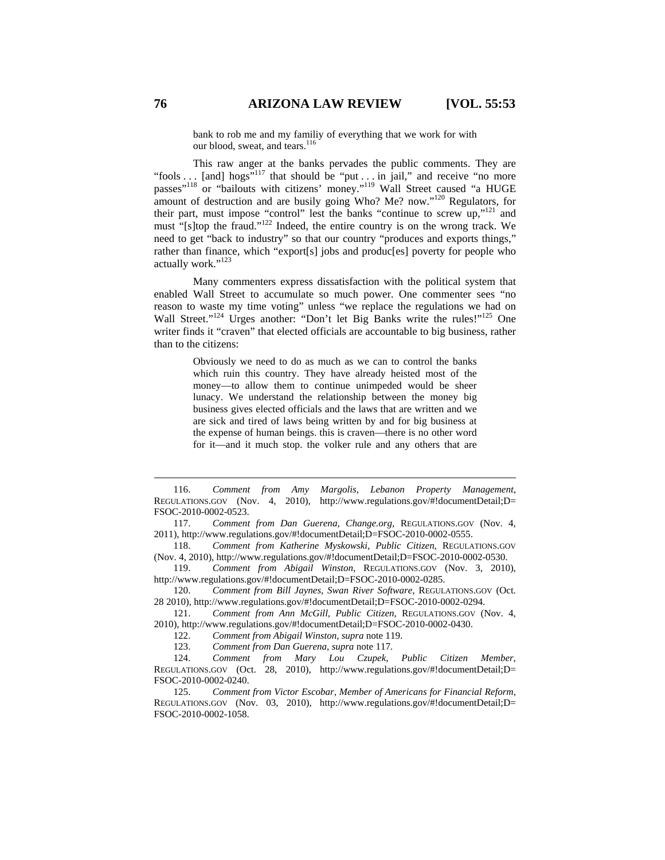bank to rob me and my familiy of everything that we work for with our blood, sweat, and tears.<sup>116</sup>

This raw anger at the banks pervades the public comments. They are "fools . . . [and] hogs"<sup>117</sup> that should be "put . . . in jail," and receive "no more passes"<sup>118</sup> or "bailouts with citizens' money."<sup>119</sup> Wall Street caused "a HUGE amount of destruction and are busily going Who? Me? now."<sup>120</sup> Regulators, for their part, must impose "control" lest the banks "continue to screw up,"121 and must "[s]top the fraud."<sup>122</sup> Indeed, the entire country is on the wrong track. We need to get "back to industry" so that our country "produces and exports things," rather than finance, which "export[s] jobs and produc[es] poverty for people who actually work."<sup>123</sup>

Many commenters express dissatisfaction with the political system that enabled Wall Street to accumulate so much power. One commenter sees "no reason to waste my time voting" unless "we replace the regulations we had on Wall Street."<sup>124</sup> Urges another: "Don't let Big Banks write the rules!"<sup>125</sup> One writer finds it "craven" that elected officials are accountable to big business, rather than to the citizens:

> Obviously we need to do as much as we can to control the banks which ruin this country. They have already heisted most of the money—to allow them to continue unimpeded would be sheer lunacy. We understand the relationship between the money big business gives elected officials and the laws that are written and we are sick and tired of laws being written by and for big business at the expense of human beings. this is craven—there is no other word for it—and it much stop. the volker rule and any others that are

 116. *Comment from Amy Margolis, Lebanon Property Management*, REGULATIONS.GOV (Nov. 4, 2010), http://www.regulations.gov/#!documentDetail;D= FSOC-2010-0002-0523.

117. *Comment from Dan Guerena, Change.org*, REGULATIONS.GOV (Nov. 4, 2011), http://www.regulations.gov/#!documentDetail;D=FSOC-2010-0002-0555.

118. *Comment from Katherine Myskowski, Public Citizen*, REGULATIONS.GOV (Nov. 4, 2010), http://www.regulations.gov/#!documentDetail;D=FSOC-2010-0002-0530.

119. *Comment from Abigail Winston*, REGULATIONS.GOV (Nov. 3, 2010), http://www.regulations.gov/#!documentDetail;D=FSOC-2010-0002-0285.

120. *Comment from Bill Jaynes, Swan River Software*, REGULATIONS.GOV (Oct. 28 2010), http://www.regulations.gov/#!documentDetail;D=FSOC-2010-0002-0294.

121. *Comment from Ann McGill, Public Citizen*, REGULATIONS.GOV (Nov. 4, 2010), http://www.regulations.gov/#!documentDetail;D=FSOC-2010-0002-0430.

122. *Comment from Abigail Winston*, *supra* note 119.

123. *Comment from Dan Guerena*, *supra* note 117.

124. *Comment from Mary Lou Czupek, Public Citizen Member*, REGULATIONS.GOV (Oct. 28, 2010), http://www.regulations.gov/#!documentDetail;D= FSOC-2010-0002-0240.

125. *Comment from Victor Escobar, Member of Americans for Financial Reform*, REGULATIONS.GOV (Nov. 03, 2010), http://www.regulations.gov/#!documentDetail;D= FSOC-2010-0002-1058.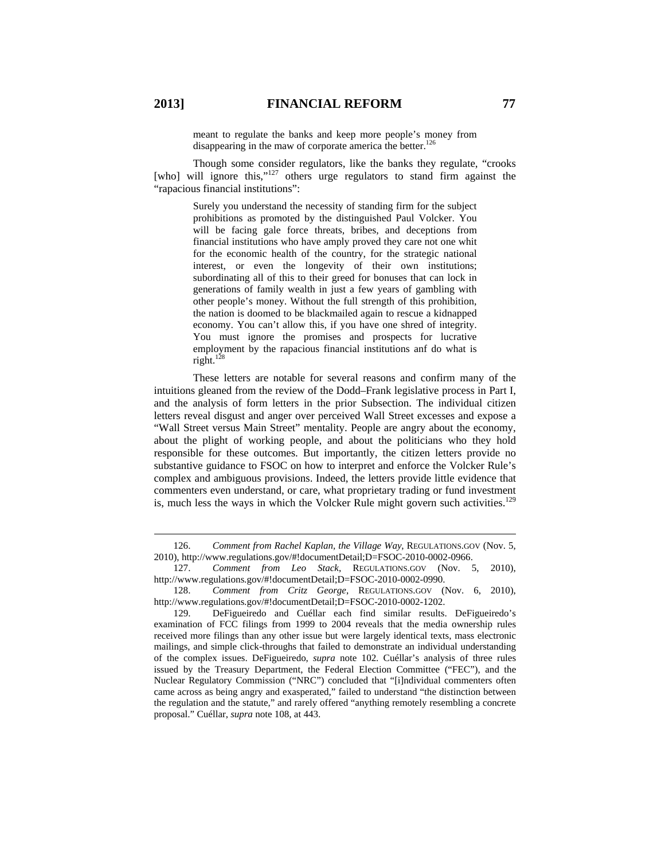meant to regulate the banks and keep more people's money from disappearing in the maw of corporate america the better.<sup>126</sup>

Though some consider regulators, like the banks they regulate, "crooks [who] will ignore this,"<sup>127</sup> others urge regulators to stand firm against the "rapacious financial institutions":

> Surely you understand the necessity of standing firm for the subject prohibitions as promoted by the distinguished Paul Volcker. You will be facing gale force threats, bribes, and deceptions from financial institutions who have amply proved they care not one whit for the economic health of the country, for the strategic national interest, or even the longevity of their own institutions; subordinating all of this to their greed for bonuses that can lock in generations of family wealth in just a few years of gambling with other people's money. Without the full strength of this prohibition, the nation is doomed to be blackmailed again to rescue a kidnapped economy. You can't allow this, if you have one shred of integrity. You must ignore the promises and prospects for lucrative employment by the rapacious financial institutions anf do what is right.<sup>128</sup>

These letters are notable for several reasons and confirm many of the intuitions gleaned from the review of the Dodd–Frank legislative process in Part I, and the analysis of form letters in the prior Subsection. The individual citizen letters reveal disgust and anger over perceived Wall Street excesses and expose a "Wall Street versus Main Street" mentality. People are angry about the economy, about the plight of working people, and about the politicians who they hold responsible for these outcomes. But importantly, the citizen letters provide no substantive guidance to FSOC on how to interpret and enforce the Volcker Rule's complex and ambiguous provisions. Indeed, the letters provide little evidence that commenters even understand, or care, what proprietary trading or fund investment is, much less the ways in which the Volcker Rule might govern such activities.<sup>129</sup>

 <sup>126.</sup> *Comment from Rachel Kaplan, the Village Way*, REGULATIONS.GOV (Nov. 5, 2010), http://www.regulations.gov/#!documentDetail;D=FSOC-2010-0002-0966.

<sup>127.</sup> *Comment from Leo Stack*, REGULATIONS.GOV (Nov. 5, 2010), http://www.regulations.gov/#!documentDetail;D=FSOC-2010-0002-0990.

<sup>128.</sup> *Comment from Critz George*, REGULATIONS.GOV (Nov. 6, 2010), http://www.regulations.gov/#!documentDetail;D=FSOC-2010-0002-1202.

<sup>129.</sup> DeFigueiredo and Cuéllar each find similar results. DeFigueiredo's examination of FCC filings from 1999 to 2004 reveals that the media ownership rules received more filings than any other issue but were largely identical texts, mass electronic mailings, and simple click-throughs that failed to demonstrate an individual understanding of the complex issues. DeFigueiredo, *supra* note 102. Cuéllar's analysis of three rules issued by the Treasury Department, the Federal Election Committee ("FEC"), and the Nuclear Regulatory Commission ("NRC") concluded that "[i]ndividual commenters often came across as being angry and exasperated," failed to understand "the distinction between the regulation and the statute," and rarely offered "anything remotely resembling a concrete proposal." Cuéllar, *supra* note 108, at 443.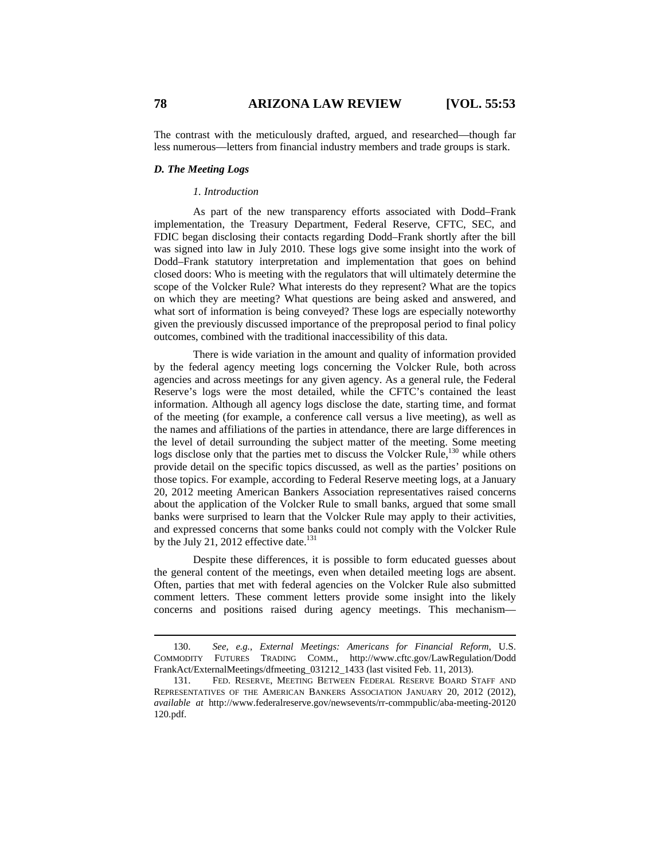The contrast with the meticulously drafted, argued, and researched—though far less numerous—letters from financial industry members and trade groups is stark.

#### *D. The Meeting Logs*

#### *1. Introduction*

As part of the new transparency efforts associated with Dodd–Frank implementation, the Treasury Department, Federal Reserve, CFTC, SEC, and FDIC began disclosing their contacts regarding Dodd–Frank shortly after the bill was signed into law in July 2010. These logs give some insight into the work of Dodd–Frank statutory interpretation and implementation that goes on behind closed doors: Who is meeting with the regulators that will ultimately determine the scope of the Volcker Rule? What interests do they represent? What are the topics on which they are meeting? What questions are being asked and answered, and what sort of information is being conveyed? These logs are especially noteworthy given the previously discussed importance of the preproposal period to final policy outcomes, combined with the traditional inaccessibility of this data.

There is wide variation in the amount and quality of information provided by the federal agency meeting logs concerning the Volcker Rule, both across agencies and across meetings for any given agency. As a general rule, the Federal Reserve's logs were the most detailed, while the CFTC's contained the least information. Although all agency logs disclose the date, starting time, and format of the meeting (for example, a conference call versus a live meeting), as well as the names and affiliations of the parties in attendance, there are large differences in the level of detail surrounding the subject matter of the meeting. Some meeting logs disclose only that the parties met to discuss the Volcker Rule,<sup>130</sup> while others provide detail on the specific topics discussed, as well as the parties' positions on those topics. For example, according to Federal Reserve meeting logs, at a January 20, 2012 meeting American Bankers Association representatives raised concerns about the application of the Volcker Rule to small banks, argued that some small banks were surprised to learn that the Volcker Rule may apply to their activities, and expressed concerns that some banks could not comply with the Volcker Rule by the July 21, 2012 effective date. $131$ 

Despite these differences, it is possible to form educated guesses about the general content of the meetings, even when detailed meeting logs are absent. Often, parties that met with federal agencies on the Volcker Rule also submitted comment letters. These comment letters provide some insight into the likely concerns and positions raised during agency meetings. This mechanism—

 <sup>130.</sup> *See, e.g.*, *External Meetings: Americans for Financial Reform*, U.S. COMMODITY FUTURES TRADING COMM., http://www.cftc.gov/LawRegulation/Dodd FrankAct/ExternalMeetings/dfmeeting\_031212\_1433 (last visited Feb. 11, 2013).

<sup>131.</sup> FED. RESERVE, MEETING BETWEEN FEDERAL RESERVE BOARD STAFF AND REPRESENTATIVES OF THE AMERICAN BANKERS ASSOCIATION JANUARY 20, 2012 (2012), *available at* http://www.federalreserve.gov/newsevents/rr-commpublic/aba-meeting-20120 120.pdf.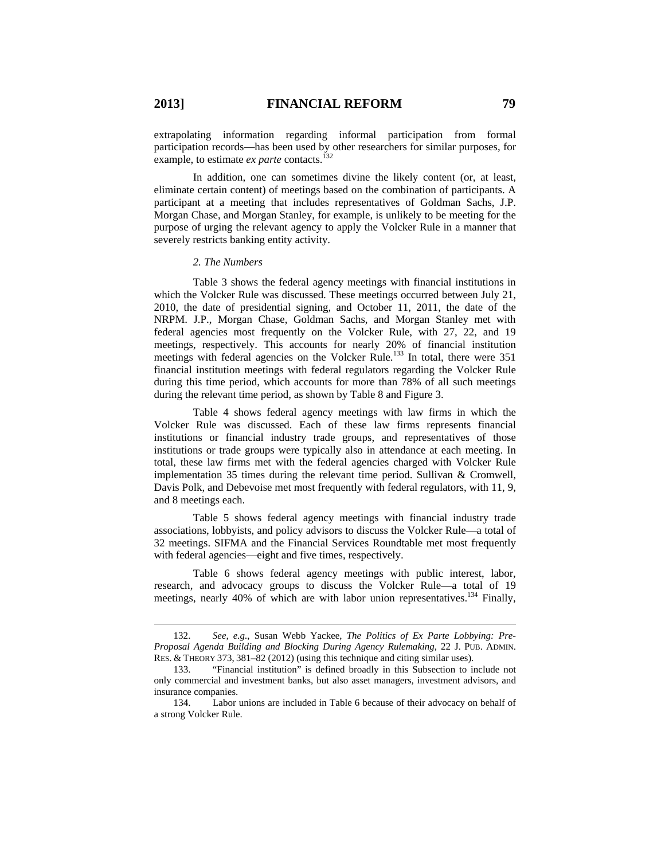extrapolating information regarding informal participation from formal participation records—has been used by other researchers for similar purposes, for example, to estimate *ex parte* contacts.<sup>132</sup>

In addition, one can sometimes divine the likely content (or, at least, eliminate certain content) of meetings based on the combination of participants. A participant at a meeting that includes representatives of Goldman Sachs, J.P. Morgan Chase, and Morgan Stanley, for example, is unlikely to be meeting for the purpose of urging the relevant agency to apply the Volcker Rule in a manner that severely restricts banking entity activity.

#### *2. The Numbers*

Table 3 shows the federal agency meetings with financial institutions in which the Volcker Rule was discussed. These meetings occurred between July 21, 2010, the date of presidential signing, and October 11, 2011, the date of the NRPM. J.P., Morgan Chase, Goldman Sachs, and Morgan Stanley met with federal agencies most frequently on the Volcker Rule, with 27, 22, and 19 meetings, respectively. This accounts for nearly 20% of financial institution meetings with federal agencies on the Volcker Rule.<sup>133</sup> In total, there were 351 financial institution meetings with federal regulators regarding the Volcker Rule during this time period, which accounts for more than 78% of all such meetings during the relevant time period, as shown by Table 8 and Figure 3.

Table 4 shows federal agency meetings with law firms in which the Volcker Rule was discussed. Each of these law firms represents financial institutions or financial industry trade groups, and representatives of those institutions or trade groups were typically also in attendance at each meeting. In total, these law firms met with the federal agencies charged with Volcker Rule implementation 35 times during the relevant time period. Sullivan & Cromwell, Davis Polk, and Debevoise met most frequently with federal regulators, with 11, 9, and 8 meetings each.

Table 5 shows federal agency meetings with financial industry trade associations, lobbyists, and policy advisors to discuss the Volcker Rule—a total of 32 meetings. SIFMA and the Financial Services Roundtable met most frequently with federal agencies—eight and five times, respectively.

Table 6 shows federal agency meetings with public interest, labor, research, and advocacy groups to discuss the Volcker Rule—a total of 19 meetings, nearly 40% of which are with labor union representatives.<sup>134</sup> Finally,

 <sup>132.</sup> *See, e.g.*, Susan Webb Yackee, *The Politics of Ex Parte Lobbying: Pre-Proposal Agenda Building and Blocking During Agency Rulemaking*, 22 J. PUB. ADMIN. RES. & THEORY 373, 381–82 (2012) (using this technique and citing similar uses).

<sup>133. &</sup>quot;Financial institution" is defined broadly in this Subsection to include not only commercial and investment banks, but also asset managers, investment advisors, and insurance companies.

<sup>134.</sup> Labor unions are included in Table 6 because of their advocacy on behalf of a strong Volcker Rule.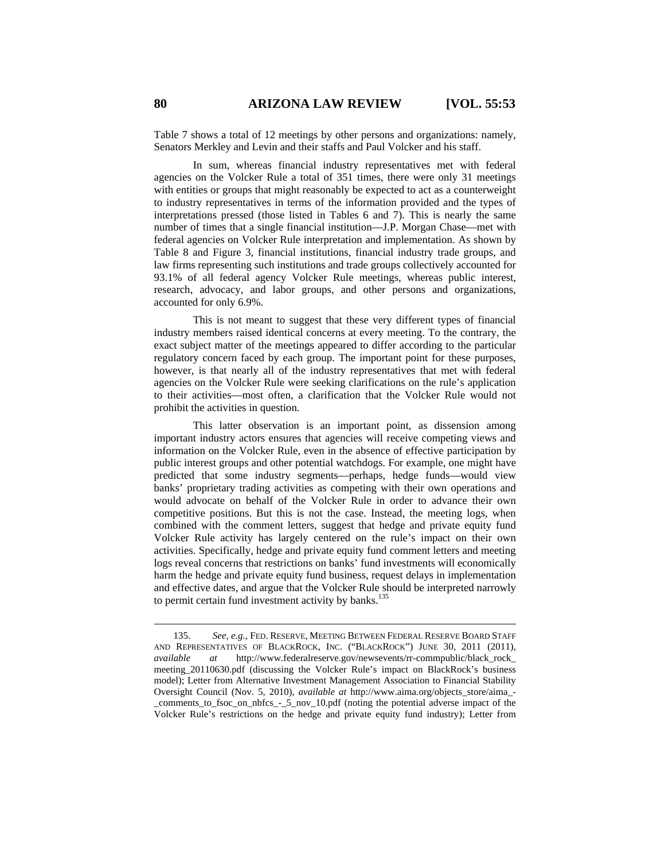Table 7 shows a total of 12 meetings by other persons and organizations: namely, Senators Merkley and Levin and their staffs and Paul Volcker and his staff.

In sum, whereas financial industry representatives met with federal agencies on the Volcker Rule a total of 351 times, there were only 31 meetings with entities or groups that might reasonably be expected to act as a counterweight to industry representatives in terms of the information provided and the types of interpretations pressed (those listed in Tables 6 and 7). This is nearly the same number of times that a single financial institution—J.P. Morgan Chase—met with federal agencies on Volcker Rule interpretation and implementation. As shown by Table 8 and Figure 3, financial institutions, financial industry trade groups, and law firms representing such institutions and trade groups collectively accounted for 93.1% of all federal agency Volcker Rule meetings, whereas public interest, research, advocacy, and labor groups, and other persons and organizations, accounted for only 6.9%.

This is not meant to suggest that these very different types of financial industry members raised identical concerns at every meeting. To the contrary, the exact subject matter of the meetings appeared to differ according to the particular regulatory concern faced by each group. The important point for these purposes, however, is that nearly all of the industry representatives that met with federal agencies on the Volcker Rule were seeking clarifications on the rule's application to their activities—most often, a clarification that the Volcker Rule would not prohibit the activities in question.

This latter observation is an important point, as dissension among important industry actors ensures that agencies will receive competing views and information on the Volcker Rule, even in the absence of effective participation by public interest groups and other potential watchdogs. For example, one might have predicted that some industry segments—perhaps, hedge funds—would view banks' proprietary trading activities as competing with their own operations and would advocate on behalf of the Volcker Rule in order to advance their own competitive positions. But this is not the case. Instead, the meeting logs, when combined with the comment letters, suggest that hedge and private equity fund Volcker Rule activity has largely centered on the rule's impact on their own activities. Specifically, hedge and private equity fund comment letters and meeting logs reveal concerns that restrictions on banks' fund investments will economically harm the hedge and private equity fund business, request delays in implementation and effective dates, and argue that the Volcker Rule should be interpreted narrowly to permit certain fund investment activity by banks. $135$ 

 <sup>135.</sup> *See, e.g.*, FED. RESERVE, MEETING BETWEEN FEDERAL RESERVE BOARD STAFF AND REPRESENTATIVES OF BLACKROCK, INC. ("BLACKROCK") JUNE 30, 2011 (2011), *available at* http://www.federalreserve.gov/newsevents/rr-commpublic/black\_rock\_ meeting\_20110630.pdf (discussing the Volcker Rule's impact on BlackRock's business model); Letter from Alternative Investment Management Association to Financial Stability Oversight Council (Nov. 5, 2010), *available at* http://www.aima.org/objects\_store/aima\_- \_comments\_to\_fsoc\_on\_nbfcs\_-\_5\_nov\_10.pdf (noting the potential adverse impact of the Volcker Rule's restrictions on the hedge and private equity fund industry); Letter from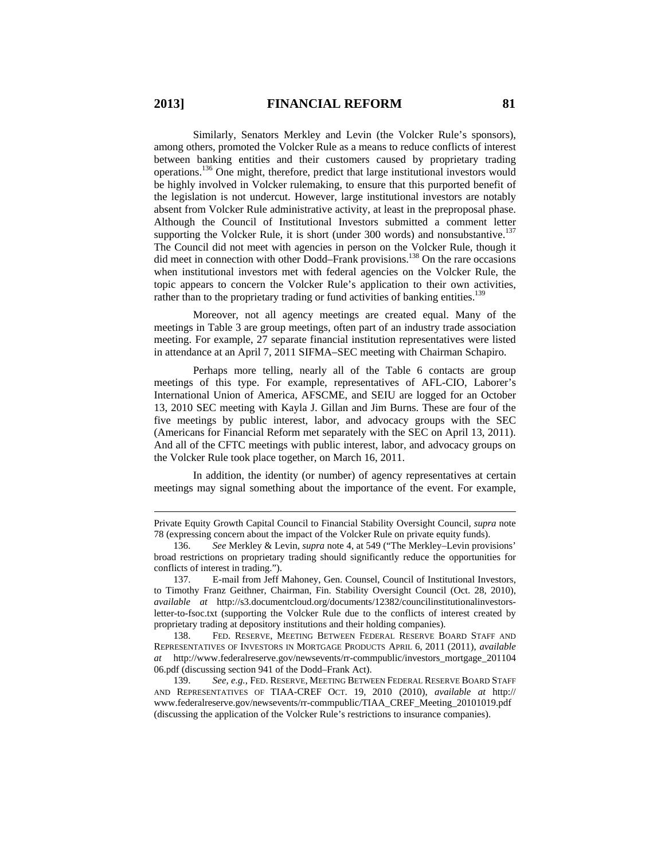Similarly, Senators Merkley and Levin (the Volcker Rule's sponsors), among others, promoted the Volcker Rule as a means to reduce conflicts of interest between banking entities and their customers caused by proprietary trading operations.136 One might, therefore, predict that large institutional investors would be highly involved in Volcker rulemaking, to ensure that this purported benefit of the legislation is not undercut. However, large institutional investors are notably absent from Volcker Rule administrative activity, at least in the preproposal phase. Although the Council of Institutional Investors submitted a comment letter supporting the Volcker Rule, it is short (under 300 words) and nonsubstantive.<sup>137</sup> The Council did not meet with agencies in person on the Volcker Rule, though it did meet in connection with other Dodd–Frank provisions.<sup>138</sup> On the rare occasions when institutional investors met with federal agencies on the Volcker Rule, the topic appears to concern the Volcker Rule's application to their own activities, rather than to the proprietary trading or fund activities of banking entities.<sup>139</sup>

Moreover, not all agency meetings are created equal. Many of the meetings in Table 3 are group meetings, often part of an industry trade association meeting. For example, 27 separate financial institution representatives were listed in attendance at an April 7, 2011 SIFMA–SEC meeting with Chairman Schapiro.

Perhaps more telling, nearly all of the Table 6 contacts are group meetings of this type. For example, representatives of AFL-CIO, Laborer's International Union of America, AFSCME, and SEIU are logged for an October 13, 2010 SEC meeting with Kayla J. Gillan and Jim Burns. These are four of the five meetings by public interest, labor, and advocacy groups with the SEC (Americans for Financial Reform met separately with the SEC on April 13, 2011). And all of the CFTC meetings with public interest, labor, and advocacy groups on the Volcker Rule took place together, on March 16, 2011.

In addition, the identity (or number) of agency representatives at certain meetings may signal something about the importance of the event. For example,

 $\overline{a}$ 

Private Equity Growth Capital Council to Financial Stability Oversight Council*, supra* note 78 (expressing concern about the impact of the Volcker Rule on private equity funds).

<sup>136.</sup> *See* Merkley & Levin, *supra* note 4, at 549 ("The Merkley–Levin provisions' broad restrictions on proprietary trading should significantly reduce the opportunities for conflicts of interest in trading.").

<sup>137.</sup> E-mail from Jeff Mahoney, Gen. Counsel, Council of Institutional Investors, to Timothy Franz Geithner, Chairman, Fin. Stability Oversight Council (Oct. 28, 2010), *available at* http://s3.documentcloud.org/documents/12382/councilinstitutionalinvestorsletter-to-fsoc.txt (supporting the Volcker Rule due to the conflicts of interest created by proprietary trading at depository institutions and their holding companies).

<sup>138.</sup> FED. RESERVE, MEETING BETWEEN FEDERAL RESERVE BOARD STAFF AND REPRESENTATIVES OF INVESTORS IN MORTGAGE PRODUCTS APRIL 6, 2011 (2011), *available at* http://www.federalreserve.gov/newsevents/rr-commpublic/investors\_mortgage\_201104 06.pdf (discussing section 941 of the Dodd–Frank Act).

<sup>139.</sup> *See, e.g.*, FED. RESERVE, MEETING BETWEEN FEDERAL RESERVE BOARD STAFF AND REPRESENTATIVES OF TIAA-CREF OCT. 19, 2010 (2010), *available at* http:// www.federalreserve.gov/newsevents/rr-commpublic/TIAA\_CREF\_Meeting\_20101019.pdf (discussing the application of the Volcker Rule's restrictions to insurance companies).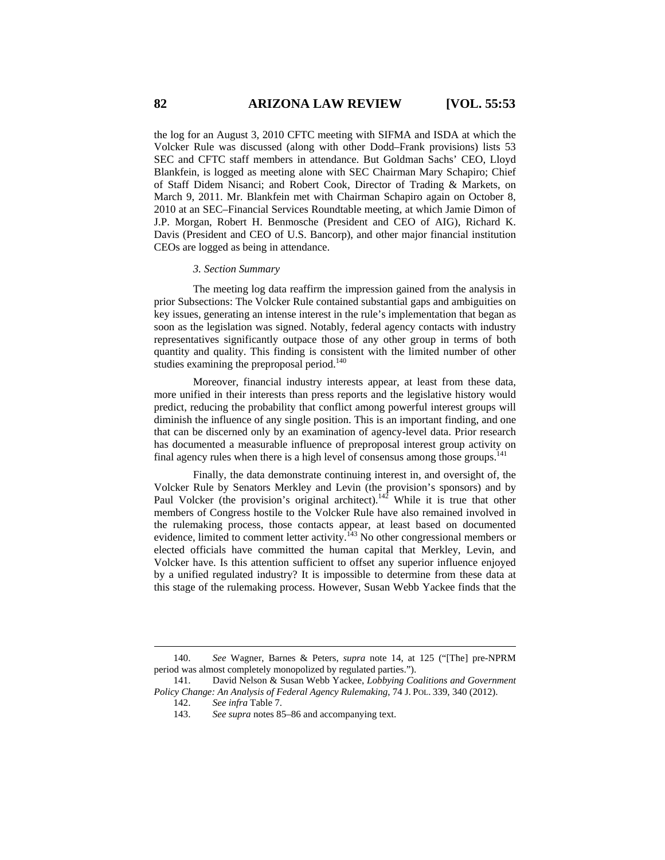the log for an August 3, 2010 CFTC meeting with SIFMA and ISDA at which the Volcker Rule was discussed (along with other Dodd–Frank provisions) lists 53 SEC and CFTC staff members in attendance. But Goldman Sachs' CEO, Lloyd Blankfein, is logged as meeting alone with SEC Chairman Mary Schapiro; Chief of Staff Didem Nisanci; and Robert Cook, Director of Trading & Markets, on March 9, 2011. Mr. Blankfein met with Chairman Schapiro again on October 8, 2010 at an SEC–Financial Services Roundtable meeting, at which Jamie Dimon of J.P. Morgan, Robert H. Benmosche (President and CEO of AIG), Richard K. Davis (President and CEO of U.S. Bancorp), and other major financial institution CEOs are logged as being in attendance.

#### *3. Section Summary*

The meeting log data reaffirm the impression gained from the analysis in prior Subsections: The Volcker Rule contained substantial gaps and ambiguities on key issues, generating an intense interest in the rule's implementation that began as soon as the legislation was signed. Notably, federal agency contacts with industry representatives significantly outpace those of any other group in terms of both quantity and quality. This finding is consistent with the limited number of other studies examining the preproposal period. $140$ 

Moreover, financial industry interests appear, at least from these data, more unified in their interests than press reports and the legislative history would predict, reducing the probability that conflict among powerful interest groups will diminish the influence of any single position. This is an important finding, and one that can be discerned only by an examination of agency-level data. Prior research has documented a measurable influence of preproposal interest group activity on final agency rules when there is a high level of consensus among those groups. $^{141}$ 

Finally, the data demonstrate continuing interest in, and oversight of, the Volcker Rule by Senators Merkley and Levin (the provision's sponsors) and by Paul Volcker (the provision's original architect).<sup>142</sup> While it is true that other members of Congress hostile to the Volcker Rule have also remained involved in the rulemaking process, those contacts appear, at least based on documented evidence, limited to comment letter activity.<sup>143</sup> No other congressional members or elected officials have committed the human capital that Merkley, Levin, and Volcker have. Is this attention sufficient to offset any superior influence enjoyed by a unified regulated industry? It is impossible to determine from these data at this stage of the rulemaking process. However, Susan Webb Yackee finds that the

 <sup>140.</sup> *See* Wagner, Barnes & Peters, *supra* note 14, at 125 ("[The] pre-NPRM period was almost completely monopolized by regulated parties.").

<sup>141.</sup> David Nelson & Susan Webb Yackee, *Lobbying Coalitions and Government Policy Change: An Analysis of Federal Agency Rulemaking*, 74 J. POL. 339, 340 (2012).

<sup>142.</sup> *See infra* Table 7.

<sup>143.</sup> *See supra* notes 85–86 and accompanying text.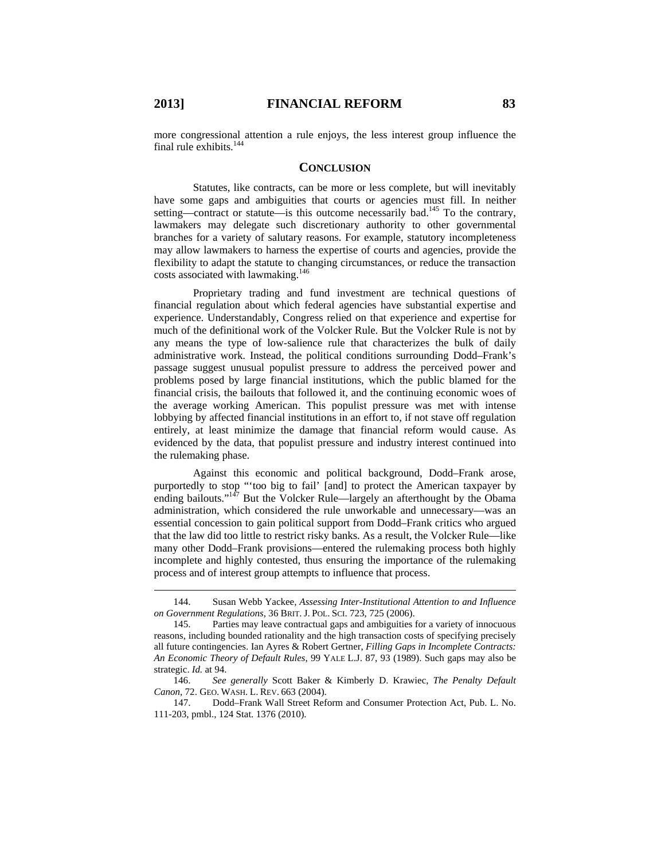more congressional attention a rule enjoys, the less interest group influence the final rule exhibits. $144$ 

#### **CONCLUSION**

Statutes, like contracts, can be more or less complete, but will inevitably have some gaps and ambiguities that courts or agencies must fill. In neither setting—contract or statute—is this outcome necessarily bad.<sup>145</sup> To the contrary, lawmakers may delegate such discretionary authority to other governmental branches for a variety of salutary reasons. For example, statutory incompleteness may allow lawmakers to harness the expertise of courts and agencies, provide the flexibility to adapt the statute to changing circumstances, or reduce the transaction costs associated with lawmaking.<sup>146</sup>

Proprietary trading and fund investment are technical questions of financial regulation about which federal agencies have substantial expertise and experience. Understandably, Congress relied on that experience and expertise for much of the definitional work of the Volcker Rule. But the Volcker Rule is not by any means the type of low-salience rule that characterizes the bulk of daily administrative work. Instead, the political conditions surrounding Dodd–Frank's passage suggest unusual populist pressure to address the perceived power and problems posed by large financial institutions, which the public blamed for the financial crisis, the bailouts that followed it, and the continuing economic woes of the average working American. This populist pressure was met with intense lobbying by affected financial institutions in an effort to, if not stave off regulation entirely, at least minimize the damage that financial reform would cause. As evidenced by the data, that populist pressure and industry interest continued into the rulemaking phase.

Against this economic and political background, Dodd–Frank arose, purportedly to stop "'too big to fail' [and] to protect the American taxpayer by ending bailouts."<sup>147</sup> But the Volcker Rule—largely an afterthought by the Obama administration, which considered the rule unworkable and unnecessary—was an essential concession to gain political support from Dodd–Frank critics who argued that the law did too little to restrict risky banks. As a result, the Volcker Rule—like many other Dodd–Frank provisions—entered the rulemaking process both highly incomplete and highly contested, thus ensuring the importance of the rulemaking process and of interest group attempts to influence that process.

147. Dodd–Frank Wall Street Reform and Consumer Protection Act, Pub. L. No. 111-203, pmbl., 124 Stat. 1376 (2010).

 <sup>144.</sup> Susan Webb Yackee, *Assessing Inter-Institutional Attention to and Influence on Government Regulations*, 36 BRIT. J. POL. SCI. 723, 725 (2006).

<sup>145.</sup> Parties may leave contractual gaps and ambiguities for a variety of innocuous reasons, including bounded rationality and the high transaction costs of specifying precisely all future contingencies. Ian Ayres & Robert Gertner, *Filling Gaps in Incomplete Contracts: An Economic Theory of Default Rules*, 99 YALE L.J. 87, 93 (1989). Such gaps may also be strategic. *Id.* at 94.

<sup>146.</sup> *See generally* Scott Baker & Kimberly D. Krawiec, *The Penalty Default Canon*, 72. GEO. WASH. L. REV. 663 (2004).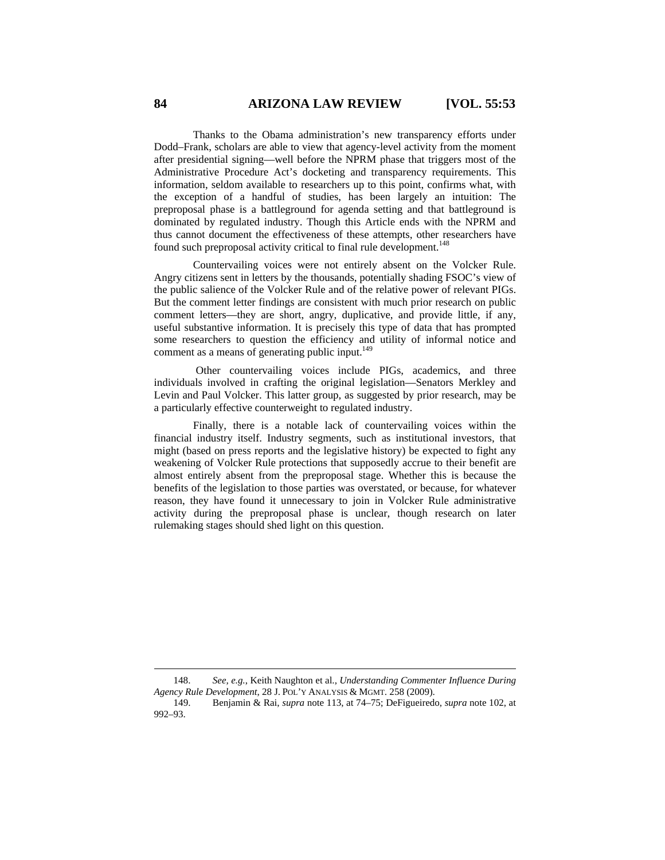Thanks to the Obama administration's new transparency efforts under Dodd–Frank, scholars are able to view that agency-level activity from the moment after presidential signing—well before the NPRM phase that triggers most of the Administrative Procedure Act's docketing and transparency requirements. This information, seldom available to researchers up to this point, confirms what, with the exception of a handful of studies, has been largely an intuition: The preproposal phase is a battleground for agenda setting and that battleground is dominated by regulated industry. Though this Article ends with the NPRM and thus cannot document the effectiveness of these attempts, other researchers have found such preproposal activity critical to final rule development.<sup>148</sup>

Countervailing voices were not entirely absent on the Volcker Rule. Angry citizens sent in letters by the thousands, potentially shading FSOC's view of the public salience of the Volcker Rule and of the relative power of relevant PIGs. But the comment letter findings are consistent with much prior research on public comment letters—they are short, angry, duplicative, and provide little, if any, useful substantive information. It is precisely this type of data that has prompted some researchers to question the efficiency and utility of informal notice and comment as a means of generating public input. $149$ 

 Other countervailing voices include PIGs, academics, and three individuals involved in crafting the original legislation—Senators Merkley and Levin and Paul Volcker. This latter group, as suggested by prior research, may be a particularly effective counterweight to regulated industry.

Finally, there is a notable lack of countervailing voices within the financial industry itself. Industry segments, such as institutional investors, that might (based on press reports and the legislative history) be expected to fight any weakening of Volcker Rule protections that supposedly accrue to their benefit are almost entirely absent from the preproposal stage. Whether this is because the benefits of the legislation to those parties was overstated, or because, for whatever reason, they have found it unnecessary to join in Volcker Rule administrative activity during the preproposal phase is unclear, though research on later rulemaking stages should shed light on this question.

 <sup>148.</sup> *See, e.g.*, Keith Naughton et al., *Understanding Commenter Influence During Agency Rule Development*, 28 J. POL'Y ANALYSIS & MGMT. 258 (2009).

<sup>149.</sup> Benjamin & Rai, *supra* note 113, at 74–75; DeFigueiredo, *supra* note 102, at 992–93.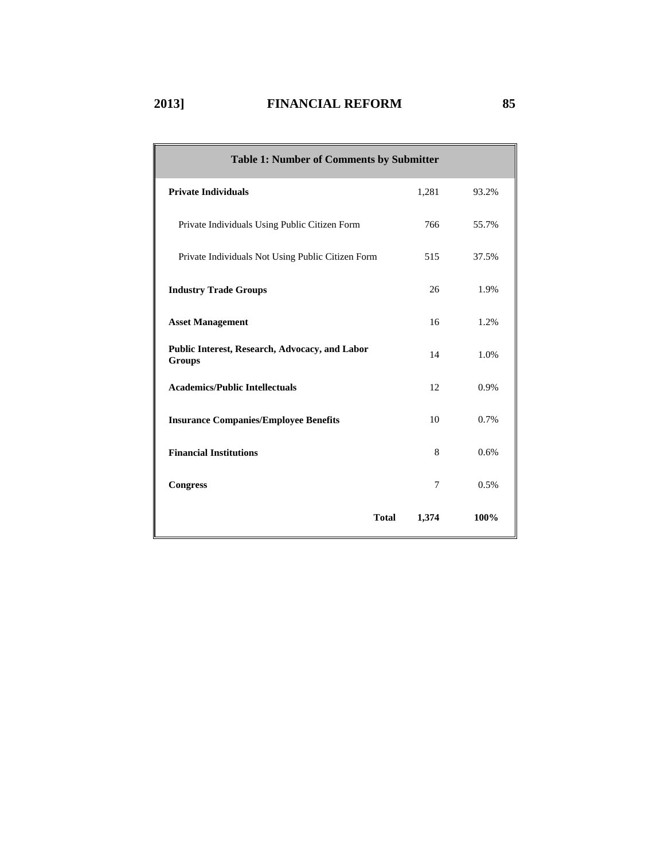| Table 1: Number of Comments by Submitter                        |                |       |
|-----------------------------------------------------------------|----------------|-------|
| <b>Private Individuals</b>                                      | 1,281          | 93.2% |
| Private Individuals Using Public Citizen Form                   | 766            | 55.7% |
| Private Individuals Not Using Public Citizen Form               | 515            | 37.5% |
| <b>Industry Trade Groups</b>                                    | 26             | 1.9%  |
| <b>Asset Management</b>                                         | 16             | 1.2%  |
| Public Interest, Research, Advocacy, and Labor<br><b>Groups</b> | 14             | 1.0%  |
| <b>Academics/Public Intellectuals</b>                           | 12             | 0.9%  |
| <b>Insurance Companies/Employee Benefits</b>                    | 10             | 0.7%  |
| <b>Financial Institutions</b>                                   | 8              | 0.6%  |
| <b>Congress</b>                                                 | $\overline{7}$ | 0.5%  |
| <b>Total</b>                                                    | 1,374          | 100%  |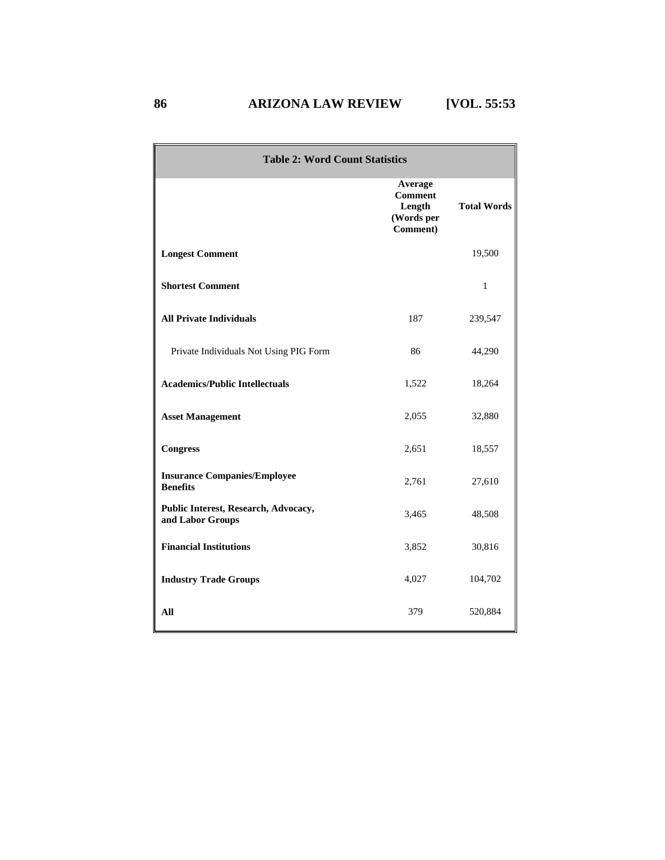| <b>Table 2: Word Count Statistics</b>                    |                                                               |                    |  |  |  |  |  |  |
|----------------------------------------------------------|---------------------------------------------------------------|--------------------|--|--|--|--|--|--|
|                                                          | Average<br><b>Comment</b><br>Length<br>(Words per<br>Comment) | <b>Total Words</b> |  |  |  |  |  |  |
| <b>Longest Comment</b>                                   |                                                               | 19,500             |  |  |  |  |  |  |
| <b>Shortest Comment</b>                                  |                                                               | $\mathbf{1}$       |  |  |  |  |  |  |
| <b>All Private Individuals</b>                           | 187                                                           | 239,547            |  |  |  |  |  |  |
| Private Individuals Not Using PIG Form                   | 86                                                            | 44,290             |  |  |  |  |  |  |
| <b>Academics/Public Intellectuals</b>                    | 1,522                                                         | 18,264             |  |  |  |  |  |  |
| <b>Asset Management</b>                                  | 2,055                                                         | 32,880             |  |  |  |  |  |  |
| <b>Congress</b>                                          | 2,651                                                         | 18,557             |  |  |  |  |  |  |
| <b>Insurance Companies/Employee</b><br><b>Benefits</b>   | 2,761                                                         | 27,610             |  |  |  |  |  |  |
| Public Interest, Research, Advocacy,<br>and Labor Groups | 3,465                                                         | 48,508             |  |  |  |  |  |  |
| <b>Financial Institutions</b>                            | 3,852                                                         | 30,816             |  |  |  |  |  |  |
| <b>Industry Trade Groups</b>                             | 4,027                                                         | 104,702            |  |  |  |  |  |  |
| All                                                      | 379                                                           | 520,884            |  |  |  |  |  |  |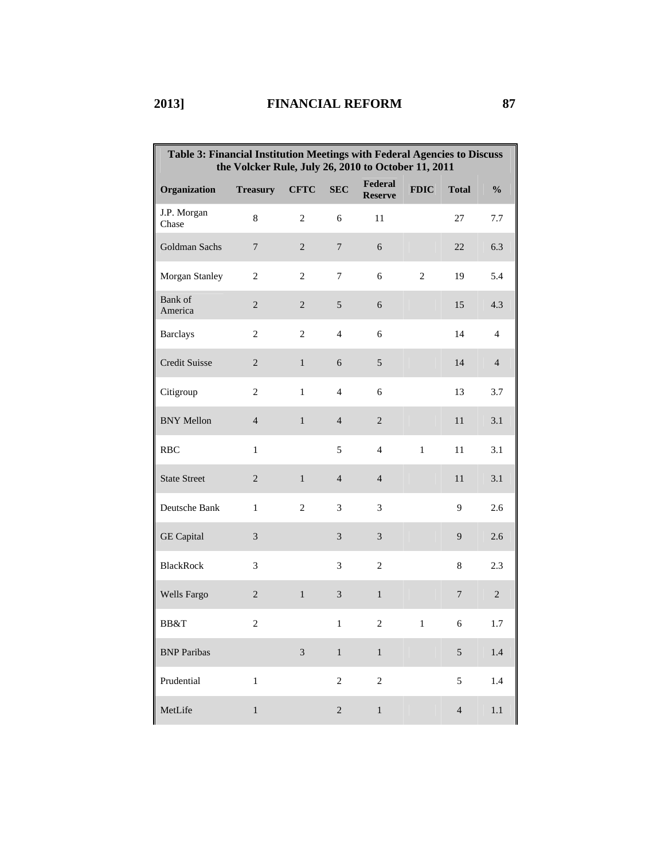| Table 3: Financial Institution Meetings with Federal Agencies to Discuss<br>the Volcker Rule, July 26, 2010 to October 11, 2011 |                  |                |                |                           |                |                |                |  |  |
|---------------------------------------------------------------------------------------------------------------------------------|------------------|----------------|----------------|---------------------------|----------------|----------------|----------------|--|--|
| Organization                                                                                                                    | <b>Treasury</b>  | <b>CFTC</b>    | <b>SEC</b>     | Federal<br><b>Reserve</b> | <b>FDIC</b>    | <b>Total</b>   | $\frac{0}{0}$  |  |  |
| J.P. Morgan<br>Chase                                                                                                            | 8                | $\overline{2}$ | 6              | 11                        |                | 27             | 7.7            |  |  |
| Goldman Sachs                                                                                                                   | 7                | $\sqrt{2}$     | $\overline{7}$ | 6                         |                | 22             | 6.3            |  |  |
| Morgan Stanley                                                                                                                  | $\mathbf{2}$     | $\mathbf{2}$   | 7              | 6                         | $\overline{2}$ | 19             | 5.4            |  |  |
| Bank of<br>America                                                                                                              | $\boldsymbol{2}$ | $\sqrt{2}$     | 5              | $\sqrt{6}$                |                | 15             | 4.3            |  |  |
| <b>Barclays</b>                                                                                                                 | 2                | $\overline{2}$ | $\overline{4}$ | 6                         |                | 14             | $\overline{4}$ |  |  |
| <b>Credit Suisse</b>                                                                                                            | $\overline{2}$   | $\mathbf{1}$   | 6              | $\sqrt{5}$                |                | 14             | $\overline{4}$ |  |  |
| Citigroup                                                                                                                       | $\overline{c}$   | $\mathbf{1}$   | $\overline{4}$ | 6                         |                | 13             | 3.7            |  |  |
| <b>BNY Mellon</b>                                                                                                               | $\overline{4}$   | $\,1\,$        | $\overline{4}$ | $\sqrt{2}$                |                | 11             | 3.1            |  |  |
| <b>RBC</b>                                                                                                                      | $\mathbf{1}$     |                | 5              | $\overline{4}$            | $\mathbf{1}$   | 11             | 3.1            |  |  |
| <b>State Street</b>                                                                                                             | $\overline{2}$   | $\mathbf{1}$   | $\overline{4}$ | $\overline{4}$            |                | 11             | 3.1            |  |  |
| Deutsche Bank                                                                                                                   | $\mathbf{1}$     | $\mathfrak{2}$ | 3              | 3                         |                | 9              | 2.6            |  |  |
| <b>GE</b> Capital                                                                                                               | 3                |                | 3              | 3                         |                | 9              | 2.6            |  |  |
| <b>BlackRock</b>                                                                                                                | 3                |                | 3              | $\sqrt{2}$                |                | $\,8\,$        | 2.3            |  |  |
| Wells Fargo                                                                                                                     | $\overline{2}$   | $\mathbf{1}$   | 3              | $\mathbf{1}$              |                | $\overline{7}$ | $\overline{c}$ |  |  |
| BB&T                                                                                                                            | $\overline{c}$   |                | $\mathbf{1}$   | $\overline{c}$            | 1              | 6              | 1.7            |  |  |
| <b>BNP</b> Paribas                                                                                                              |                  | 3              | $\mathbf{1}$   | $\mathbf{1}$              |                | $\mathfrak{S}$ | 1.4            |  |  |
| Prudential                                                                                                                      | $\mathbf 1$      |                | $\overline{2}$ | $\sqrt{2}$                |                | 5              | 1.4            |  |  |
| MetLife                                                                                                                         | $\,1$            |                | $\sqrt{2}$     | $\,1$                     |                | $\overline{4}$ | 1.1            |  |  |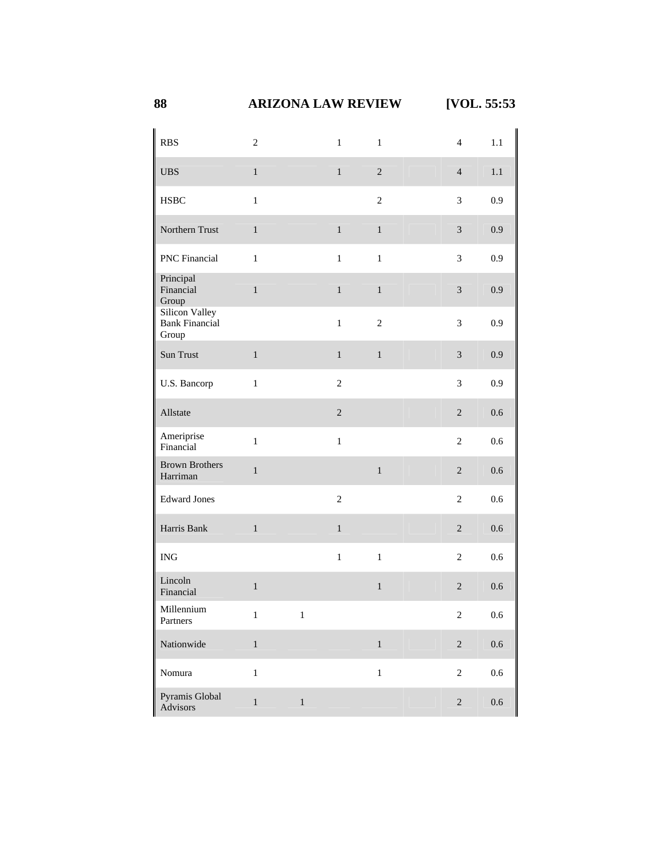## **88 ARIZONA LAW REVIEW [VOL. 55:53**

| <b>RBS</b>                                       | $\overline{2}$ |              | $\mathbf{1}$   | $\mathbf{1}$   | $\overline{4}$   | 1.1     |
|--------------------------------------------------|----------------|--------------|----------------|----------------|------------------|---------|
| <b>UBS</b>                                       | $\,1$          |              | $\,1\,$        | $\sqrt{2}$     | $\overline{4}$   | $1.1\,$ |
| <b>HSBC</b>                                      | $\mathbf{1}$   |              |                | $\overline{c}$ | 3                | 0.9     |
| Northern Trust                                   | $\mathbf{1}$   |              | $\mathbf{1}$   | $\mathbf{1}$   | $\mathfrak{Z}$   | 0.9     |
| <b>PNC</b> Financial                             | $\mathbf{1}$   |              | $\mathbf{1}$   | $\mathbf{1}$   | 3                | 0.9     |
| Principal<br>Financial<br>Group                  | $\mathbf 1$    |              | $\,1\,$        | $\mathbf{1}$   | $\mathfrak{Z}$   | 0.9     |
| Silicon Valley<br><b>Bank Financial</b><br>Group |                |              | $\mathbf{1}$   | $\overline{c}$ | 3                | 0.9     |
| Sun Trust                                        | $\mathbf{1}$   |              | $\mathbf{1}$   | $\mathbf{1}$   | $\mathfrak{Z}$   | 0.9     |
| U.S. Bancorp                                     | $\mathbf{1}$   |              | $\overline{c}$ |                | 3                | 0.9     |
| Allstate                                         |                |              | $\sqrt{2}$     |                | $\sqrt{2}$       | 0.6     |
| Ameriprise<br>Financial                          | $\mathbf{1}$   |              | $\,1$          |                | $\overline{c}$   | 0.6     |
| <b>Brown Brothers</b><br>Harriman                | $\,1$          |              |                | $\,1\,$        | $\sqrt{2}$       | 0.6     |
| <b>Edward Jones</b>                              |                |              | $\overline{c}$ |                | $\overline{c}$   | 0.6     |
| Harris Bank                                      | $\mathbf 1$    |              | $\mathbf{1}$   |                | $\overline{2}$   | 0.6     |
| $\rm{ING}$                                       |                |              | $\mathbf{1}$   | $\mathbf{1}$   | $\boldsymbol{2}$ | 0.6     |
| Lincoln<br>Financial                             | $\mathbf{1}$   |              |                | $\mathbf 1$    | $\overline{2}$   | 0.6     |
| Millennium<br>Partners                           | $\mathbf{1}$   | $\mathbf{1}$ |                |                | $\mathfrak{2}$   | $0.6\,$ |
| Nationwide                                       | $\,1$          |              |                | $\,1\,$        | $\overline{c}$   | $0.6\,$ |
| Nomura                                           | $\,1$          |              |                | $\,1$          | $\boldsymbol{2}$ | $0.6\,$ |
| Pyramis Global<br>Advisors                       | $\,1\,$        | $\,1\,$      |                |                | $\sqrt{2}$       | $0.6\,$ |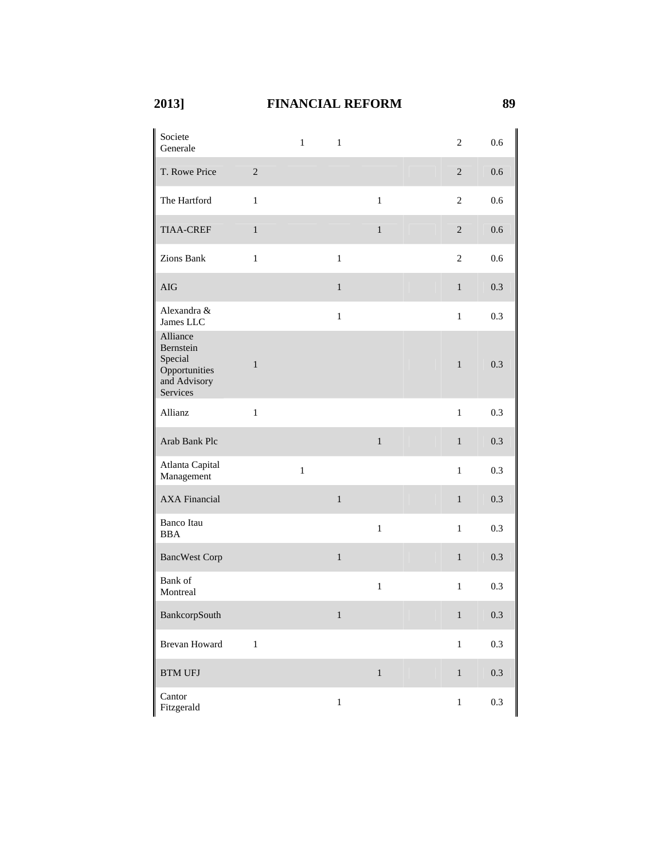| Societe<br>Generale                                                           |              | $\mathbf{1}$ | $\mathbf{1}$ |              | $\overline{c}$         | 0.6     |
|-------------------------------------------------------------------------------|--------------|--------------|--------------|--------------|------------------------|---------|
| T. Rowe Price                                                                 | $\sqrt{2}$   |              |              |              | $\mathbf{2}$           | 0.6     |
| The Hartford                                                                  | $\mathbf{1}$ |              |              | $\mathbf{1}$ | $\overline{2}$         | 0.6     |
| <b>TIAA-CREF</b>                                                              | $\mathbf{1}$ |              |              | $\mathbf{1}$ | $\overline{2}$         | 0.6     |
| Zions Bank                                                                    | $\mathbf{1}$ |              | $\mathbf{1}$ |              | $\mathbf{2}$           | 0.6     |
| <b>AIG</b>                                                                    |              |              | $\mathbf{1}$ |              | $\mathbf{1}$           | 0.3     |
| Alexandra &<br>James LLC                                                      |              |              | $\,1$        |              | $\mathbf{1}$           | 0.3     |
| Alliance<br>Bernstein<br>Special<br>Opportunities<br>and Advisory<br>Services | $\,1\,$      |              |              |              | $\mathbf{1}$           | 0.3     |
| Allianz                                                                       | $\,1\,$      |              |              |              | $\mathbf{1}$           | 0.3     |
| Arab Bank Plc                                                                 |              |              |              | $\,1\,$      | $\mathbf{1}$           | 0.3     |
| Atlanta Capital<br>Management                                                 |              | $\,1\,$      |              |              | $\mathbf 1$            | 0.3     |
| <b>AXA Financial</b>                                                          |              |              | $\,1\,$      |              | $\mathbf{1}$           | 0.3     |
| Banco Itau<br>BBA                                                             |              |              |              | $\,1$        | $\mathbf{1}$           | 0.3     |
| <b>BancWest Corp</b>                                                          |              |              | $\,1\,$      |              | $\mathbf{1}$           | 0.3     |
| Bank of<br>Montreal                                                           |              |              |              | $\,1$        | $\,1$                  | 0.3     |
| BankcorpSouth                                                                 |              |              | 1            |              | $1 \quad \blacksquare$ | 0.3     |
| <b>Brevan Howard</b>                                                          | $\mathbf{1}$ |              |              |              | $\mathbf 1$            | 0.3     |
| <b>BTM UFJ</b>                                                                |              |              |              | $\,1$        | $\mathbf{1}$           | 0.3     |
| Cantor<br>Fitzgerald                                                          |              |              | $\,1$        |              | $\,1$                  | $0.3\,$ |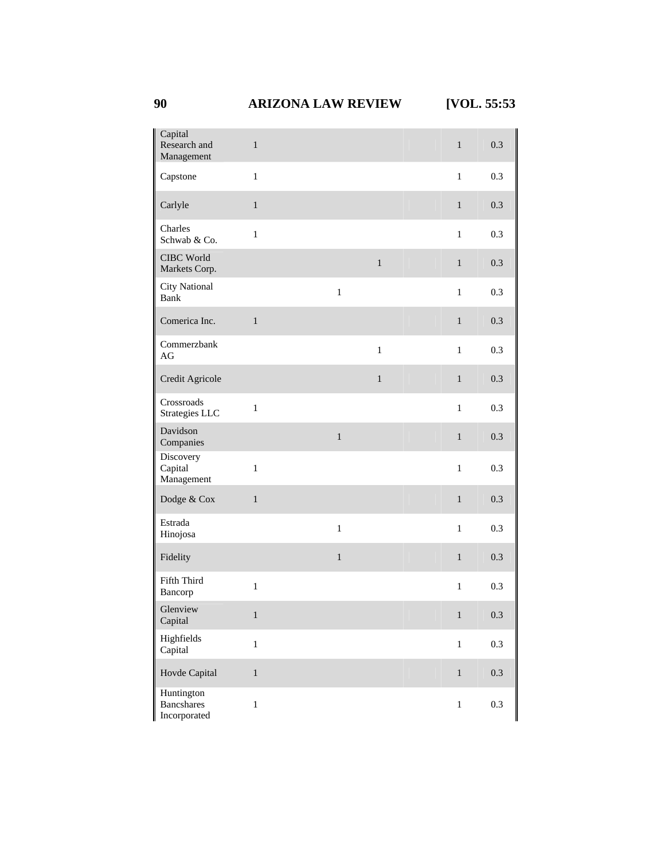| Capital<br>Research and<br>Management           | $\mathbf{1}$ |              |              | $\mathbf{1}$ | 0.3 |
|-------------------------------------------------|--------------|--------------|--------------|--------------|-----|
| Capstone                                        | $\mathbf{1}$ |              |              | $\mathbf{1}$ | 0.3 |
| Carlyle                                         | $\,1\,$      |              |              | $\mathbf{1}$ | 0.3 |
| Charles<br>Schwab & Co.                         | $\mathbf{1}$ |              |              | $\mathbf{1}$ | 0.3 |
| CIBC World<br>Markets Corp.                     |              |              | $\,1\,$      | $\mathbf{1}$ | 0.3 |
| <b>City National</b><br><b>Bank</b>             |              | $\mathbf{1}$ |              | $\mathbf{1}$ | 0.3 |
| Comerica Inc.                                   | $\mathbf{1}$ |              |              | $\mathbf{1}$ | 0.3 |
| Commerzbank<br>AG                               |              |              | $\,1\,$      | $\mathbf{1}$ | 0.3 |
| Credit Agricole                                 |              |              | $\mathbf{1}$ | $\mathbf{1}$ | 0.3 |
| Crossroads<br>Strategies LLC                    | $\,1$        |              |              | $\mathbf{1}$ | 0.3 |
| Davidson<br>Companies                           |              | $\mathbf 1$  |              | $\mathbf{1}$ | 0.3 |
| Discovery<br>Capital<br>Management              | $\mathbf{1}$ |              |              | $\mathbf{1}$ | 0.3 |
| Dodge & Cox                                     | $\,1\,$      |              |              | $\mathbf{1}$ | 0.3 |
| Estrada<br>Hinojosa                             |              | $\,1$        |              | $\mathbf{1}$ | 0.3 |
| Fidelity                                        |              | $\,1$        |              | $\,1$        | 0.3 |
| Fifth Third<br>Bancorp                          | $\mathbf 1$  |              |              | $\mathbf{1}$ | 0.3 |
| Glenview<br>Capital                             | $\mathbf{1}$ |              |              | $1 -$        | 0.3 |
| Highfields<br>Capital                           | $\,1$        |              |              | $\mathbf{1}$ | 0.3 |
| Hovde Capital                                   | $\,1\,$      |              |              | $\,1\,$      | 0.3 |
| Huntington<br><b>Bancshares</b><br>Incorporated | $\,1$        |              |              | $\mathbf{1}$ | 0.3 |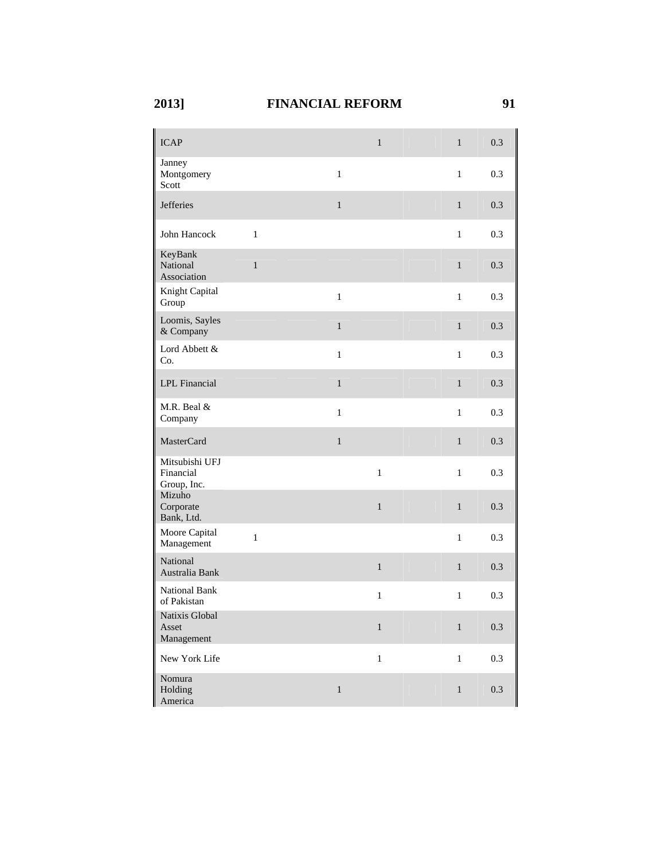| <b>ICAP</b>                                |              |              | $\mathbf{1}$ | $\,1$        | 0.3     |
|--------------------------------------------|--------------|--------------|--------------|--------------|---------|
| Janney<br>Montgomery<br>Scott              |              | $\mathbf{1}$ |              | $\mathbf{1}$ | 0.3     |
| <b>Jefferies</b>                           |              | $\mathbf{1}$ |              | $\mathbf{1}$ | 0.3     |
| John Hancock                               | $\mathbf{1}$ |              |              | $\mathbf{1}$ | 0.3     |
| KeyBank<br>National<br>Association         | $\mathbf{1}$ |              |              | $\mathbf{1}$ | 0.3     |
| Knight Capital<br>Group                    |              | $\mathbf{1}$ |              | $\mathbf{1}$ | 0.3     |
| Loomis, Sayles<br>& Company                |              | $\mathbf{1}$ |              | $\,1$        | 0.3     |
| Lord Abbett &<br>Co.                       |              | $\mathbf{1}$ |              | $\mathbf{1}$ | 0.3     |
| LPL Financial                              |              | $\mathbf{1}$ |              | $\mathbf{1}$ | 0.3     |
| M.R. Beal &<br>Company                     |              | $\mathbf{1}$ |              | $\mathbf{1}$ | 0.3     |
| <b>MasterCard</b>                          |              | $\mathbf{1}$ |              | $\mathbf{1}$ | 0.3     |
| Mitsubishi UFJ<br>Financial<br>Group, Inc. |              |              | $\mathbf{1}$ | $\mathbf{1}$ | 0.3     |
| Mizuho<br>Corporate<br>Bank, Ltd.          |              |              | $\mathbf{1}$ | $\,1$        | 0.3     |
| Moore Capital<br>Management                | $\mathbf{1}$ |              |              | $\mathbf{1}$ | 0.3     |
| National<br>Australia Bank                 |              |              | $\,1\,$      | $\,1$        | 0.3     |
| <b>National Bank</b><br>of Pakistan        |              |              | $\,1\,$      | $\,1$        | 0.3     |
| Natixis Global<br>Asset<br>Management      |              |              | $\mathbf{1}$ | $\,1$        | 0.3     |
| New York Life                              |              |              | $\,1$        | $\mathbf{1}$ | $0.3\,$ |
| Nomura<br>Holding<br>America               |              | $\,1$        |              | $\mathbf 1$  | 0.3     |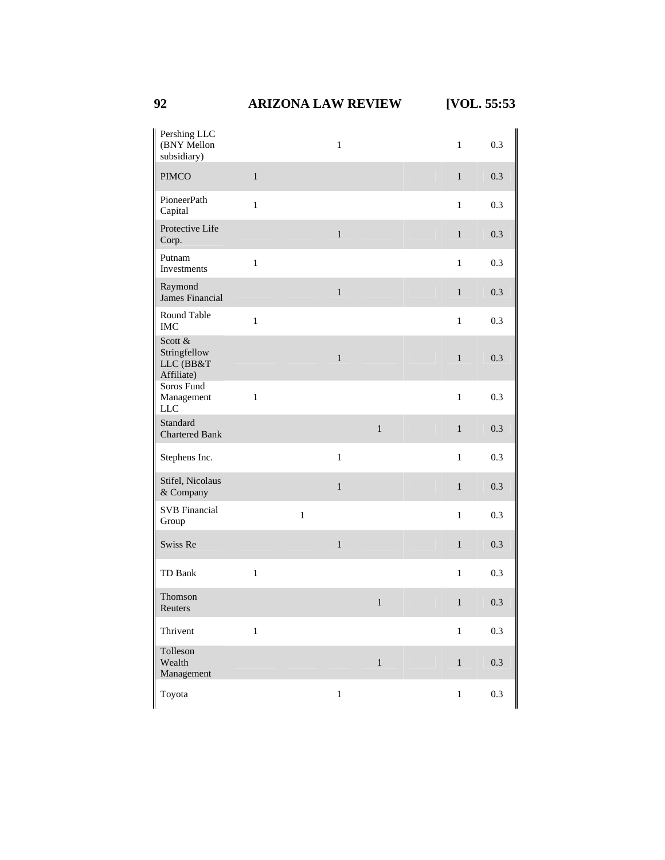**92 ARIZONA LAW REVIEW [VOL. 55:53** 

| Pershing LLC<br>(BNY Mellon<br>subsidiary)         |              |             | $\mathbf{1}$ |              | $\mathbf{1}$ | 0.3     |
|----------------------------------------------------|--------------|-------------|--------------|--------------|--------------|---------|
| <b>PIMCO</b>                                       | $\,1$        |             |              |              | $\mathbf{1}$ | 0.3     |
| PioneerPath<br>Capital                             | $\mathbf{1}$ |             |              |              | $\mathbf{1}$ | 0.3     |
| Protective Life<br>Corp.                           |              |             | $\mathbf{1}$ |              | $\mathbf{1}$ | 0.3     |
| Putnam<br>Investments                              | $\mathbf{1}$ |             |              |              | $\mathbf{1}$ | 0.3     |
| Raymond<br>James Financial                         |              |             | $\,1\,$      |              | $\mathbf{1}$ | 0.3     |
| Round Table<br><b>IMC</b>                          | $\mathbf 1$  |             |              |              | $\mathbf{1}$ | 0.3     |
| Scott &<br>Stringfellow<br>LLC (BB&T<br>Affiliate) |              |             | $\mathbf{1}$ |              | $\mathbf{1}$ | 0.3     |
| Soros Fund<br>Management<br><b>LLC</b>             | $\mathbf 1$  |             |              |              | $\mathbf{1}$ | 0.3     |
| Standard<br><b>Chartered Bank</b>                  |              |             |              | $\,1\,$      | $\mathbf 1$  | 0.3     |
| Stephens Inc.                                      |              |             | $\mathbf{1}$ |              | $\mathbf{1}$ | 0.3     |
| Stifel, Nicolaus<br>& Company                      |              |             | $\,1$        |              | $\mathbf{1}$ | 0.3     |
| <b>SVB</b> Financial<br>Group                      |              | $\mathbf 1$ |              |              | $\mathbf{1}$ | 0.3     |
| Swiss Re                                           |              |             | $\,1$        |              | $\mathbf{1}$ | 0.3     |
| TD Bank                                            | $\,1\,$      |             |              |              | $\mathbf{1}$ | 0.3     |
| Thomson<br>Reuters                                 |              |             |              | $\mathbf{1}$ | $\mathbf{1}$ | 0.3     |
| Thrivent                                           | $\mathbf 1$  |             |              |              | $\mathbf{1}$ | 0.3     |
| Tolleson<br>Wealth<br>Management                   |              |             |              | $\,1$        | $\,1$        | $0.3\,$ |
| Toyota                                             |              |             | $\,1$        |              | $\,1$        | 0.3     |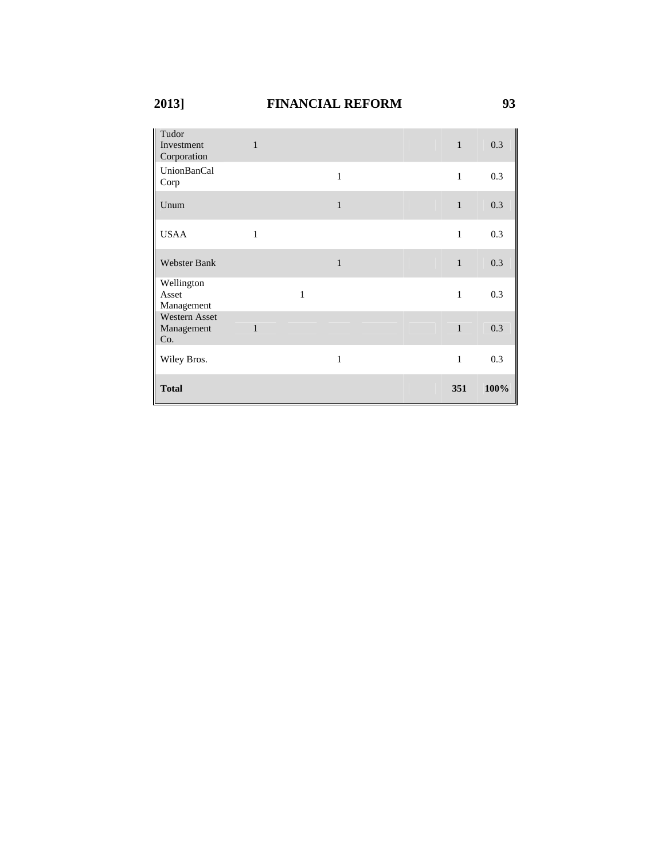| Tudor<br>Investment<br>Corporation        | 1            |              |              |  | $\mathbf{1}$ | 0.3  |
|-------------------------------------------|--------------|--------------|--------------|--|--------------|------|
| UnionBanCal<br>Corp                       |              |              | $\mathbf{1}$ |  | $\mathbf{1}$ | 0.3  |
| Unum                                      |              |              | $\mathbf{1}$ |  | $\mathbf{1}$ | 0.3  |
| <b>USAA</b>                               | $\mathbf{1}$ |              |              |  | $\mathbf{1}$ | 0.3  |
| Webster Bank                              |              |              | $\mathbf{1}$ |  | $\mathbf{1}$ | 0.3  |
| Wellington<br>Asset<br>Management         |              | $\mathbf{1}$ |              |  | $\mathbf{1}$ | 0.3  |
| <b>Western Asset</b><br>Management<br>Co. | $\mathbf{1}$ |              |              |  | $\mathbf{1}$ | 0.3  |
| Wiley Bros.                               |              |              | 1            |  | 1            | 0.3  |
| <b>Total</b>                              |              |              |              |  | 351          | 100% |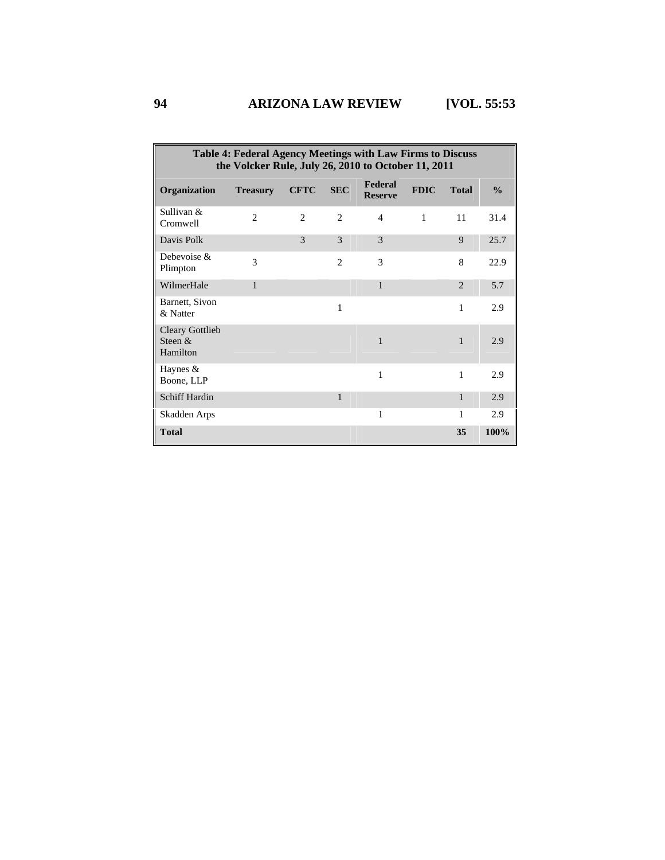| Table 4: Federal Agency Meetings with Law Firms to Discuss<br>the Volcker Rule, July 26, 2010 to October 11, 2011 |                 |                |                |                           |              |                |               |  |
|-------------------------------------------------------------------------------------------------------------------|-----------------|----------------|----------------|---------------------------|--------------|----------------|---------------|--|
| Organization                                                                                                      | <b>Treasury</b> | <b>CFTC</b>    | <b>SEC</b>     | Federal<br><b>Reserve</b> | <b>FDIC</b>  | <b>Total</b>   | $\frac{0}{0}$ |  |
| Sullivan &<br>Cromwell                                                                                            | $\overline{2}$  | $\overline{c}$ | $\overline{c}$ | 4                         | $\mathbf{1}$ | 11             | 31.4          |  |
| Davis Polk                                                                                                        |                 | 3              | 3              | 3                         |              | 9              | 25.7          |  |
| Debevoise $\&$<br>Plimpton                                                                                        | 3               |                | 2              | 3                         |              | 8              | 22.9          |  |
| WilmerHale                                                                                                        | $\mathbf{1}$    |                |                | 1                         |              | $\overline{2}$ | 5.7           |  |
| Barnett, Sivon<br>& Natter                                                                                        |                 |                | 1              |                           |              | 1              | 2.9           |  |
| <b>Cleary Gottlieb</b><br>Steen &<br>Hamilton                                                                     |                 |                |                | 1                         |              | $\mathbf{1}$   | 2.9           |  |
| Haynes &<br>Boone, LLP                                                                                            |                 |                |                | 1                         |              | 1              | 2.9           |  |
| <b>Schiff Hardin</b>                                                                                              |                 |                | $\mathbf{1}$   |                           |              | $\mathbf{1}$   | 2.9           |  |
| Skadden Arps                                                                                                      |                 |                |                | 1                         |              | 1              | 2.9           |  |
| <b>Total</b>                                                                                                      |                 |                |                |                           |              | 35             | 100%          |  |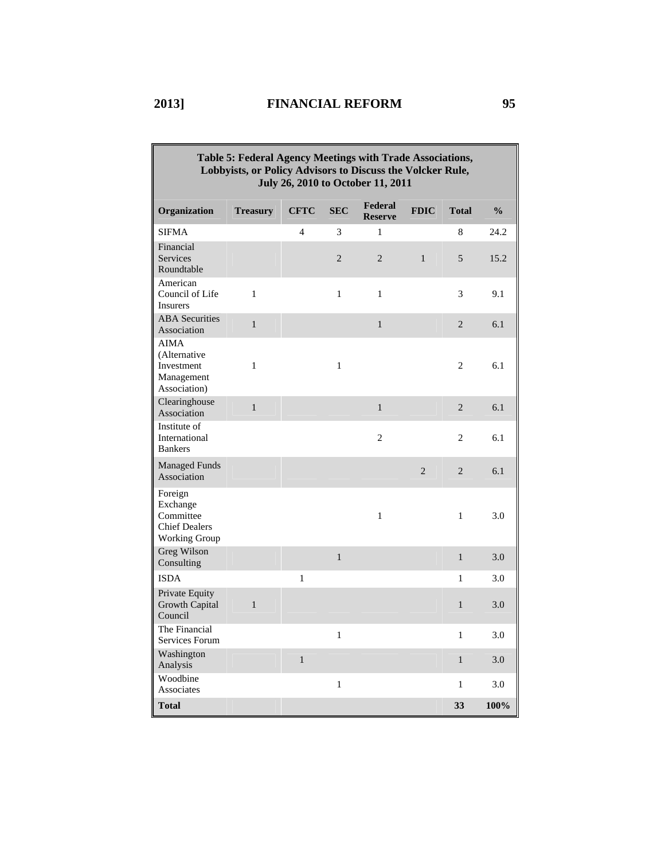| Table 5: Federal Agency Meetings with Trade Associations,<br>Lobbyists, or Policy Advisors to Discuss the Volcker Rule,<br>July 26, 2010 to October 11, 2011 |                 |              |                |                           |                |                |               |  |  |  |
|--------------------------------------------------------------------------------------------------------------------------------------------------------------|-----------------|--------------|----------------|---------------------------|----------------|----------------|---------------|--|--|--|
| Organization                                                                                                                                                 | <b>Treasury</b> | <b>CFTC</b>  | <b>SEC</b>     | Federal<br><b>Reserve</b> | <b>FDIC</b>    | <b>Total</b>   | $\frac{0}{0}$ |  |  |  |
| <b>SIFMA</b>                                                                                                                                                 |                 | 4            | 3              | 1                         |                | 8              | 24.2          |  |  |  |
| Financial<br>Services<br>Roundtable                                                                                                                          |                 |              | $\overline{2}$ | $\overline{2}$            | $\mathbf{1}$   | 5              | 15.2          |  |  |  |
| American<br>Council of Life<br>Insurers                                                                                                                      | $\mathbf{1}$    |              | $\mathbf{1}$   | $\mathbf{1}$              |                | 3              | 9.1           |  |  |  |
| <b>ABA</b> Securities<br>Association                                                                                                                         | $\mathbf{1}$    |              |                | $\mathbf{1}$              |                | $\overline{2}$ | 6.1           |  |  |  |
| <b>AIMA</b><br>(Alternative<br>Investment<br>Management<br>Association)                                                                                      | $\mathbf{1}$    |              | $\mathbf{1}$   |                           |                | $\overline{c}$ | 6.1           |  |  |  |
| Clearinghouse<br>Association                                                                                                                                 | $\mathbf{1}$    |              |                | $\mathbf{1}$              |                | $\overline{2}$ | 6.1           |  |  |  |
| Institute of<br>International<br><b>Bankers</b>                                                                                                              |                 |              |                | $\overline{c}$            |                | $\overline{c}$ | 6.1           |  |  |  |
| <b>Managed Funds</b><br>Association                                                                                                                          |                 |              |                |                           | $\overline{2}$ | $\overline{2}$ | 6.1           |  |  |  |
| Foreign<br>Exchange<br>Committee<br><b>Chief Dealers</b><br><b>Working Group</b>                                                                             |                 |              |                | $\mathbf{1}$              |                | $\mathbf{1}$   | 3.0           |  |  |  |
| Greg Wilson<br>Consulting                                                                                                                                    |                 |              | $\mathbf{1}$   |                           |                | $\mathbf{1}$   | 3.0           |  |  |  |
| <b>ISDA</b>                                                                                                                                                  |                 | 1            |                |                           |                | 1              | 3.0           |  |  |  |
| Private Equity<br>Growth Capital<br>Council                                                                                                                  | $\mathbf{1}$    |              |                |                           |                | $\mathbf{1}$   | 3.0           |  |  |  |
| The Financial<br>Services Forum                                                                                                                              |                 |              | $\mathbf{1}$   |                           |                | $\mathbf{1}$   | 3.0           |  |  |  |
| Washington<br>Analysis                                                                                                                                       |                 | $\mathbf{1}$ |                |                           |                | $\mathbf{1}$   | 3.0           |  |  |  |
| Woodbine<br>Associates                                                                                                                                       |                 |              | $\mathbf{1}$   |                           |                | $\mathbf{1}$   | 3.0           |  |  |  |
| <b>Total</b>                                                                                                                                                 |                 |              |                |                           |                | 33             | 100%          |  |  |  |

 $\overline{\mathbf{u}}$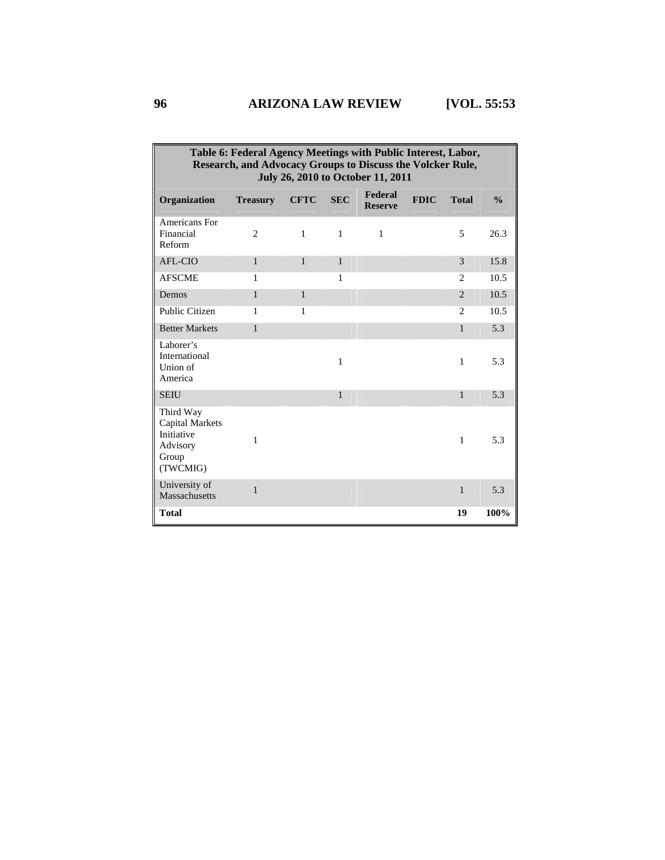| Table 6: Federal Agency Meetings with Public Interest, Labor,<br>Research, and Advocacy Groups to Discuss the Volcker Rule,<br>July 26, 2010 to October 11, 2011 |                 |              |              |                           |             |                |               |
|------------------------------------------------------------------------------------------------------------------------------------------------------------------|-----------------|--------------|--------------|---------------------------|-------------|----------------|---------------|
| Organization                                                                                                                                                     | <b>Treasury</b> | <b>CFTC</b>  | <b>SEC</b>   | Federal<br><b>Reserve</b> | <b>FDIC</b> | <b>Total</b>   | $\frac{0}{0}$ |
| <b>Americans For</b><br>Financial<br>Reform                                                                                                                      | $\overline{c}$  | 1            | 1            | 1                         |             | 5              | 26.3          |
| AFL-CIO                                                                                                                                                          | $\mathbf{1}$    | $\mathbf{1}$ | 1            |                           |             | 3              | 15.8          |
| <b>AFSCME</b>                                                                                                                                                    | 1               |              | 1            |                           |             | 2              | 10.5          |
| Demos                                                                                                                                                            | $\mathbf{1}$    | $\mathbf{1}$ |              |                           |             | $\overline{2}$ | 10.5          |
| Public Citizen                                                                                                                                                   | 1               | 1            |              |                           |             | $\overline{c}$ | 10.5          |
| <b>Better Markets</b>                                                                                                                                            | 1               |              |              |                           |             | $\mathbf{1}$   | 5.3           |
| Laborer's<br>International<br>Union of<br>America                                                                                                                |                 |              | 1            |                           |             | 1              | 5.3           |
| <b>SEIU</b>                                                                                                                                                      |                 |              | $\mathbf{1}$ |                           |             | $\mathbf{1}$   | 5.3           |
| Third Way<br><b>Capital Markets</b><br>Initiative<br>Advisory<br>Group<br>(TWCMIG)                                                                               | 1               |              |              |                           |             | 1              | 5.3           |
| University of<br>Massachusetts                                                                                                                                   | $\mathbf{1}$    |              |              |                           |             | $\mathbf{1}$   | 5.3           |
| <b>Total</b>                                                                                                                                                     |                 |              |              |                           |             | 19             | 100%          |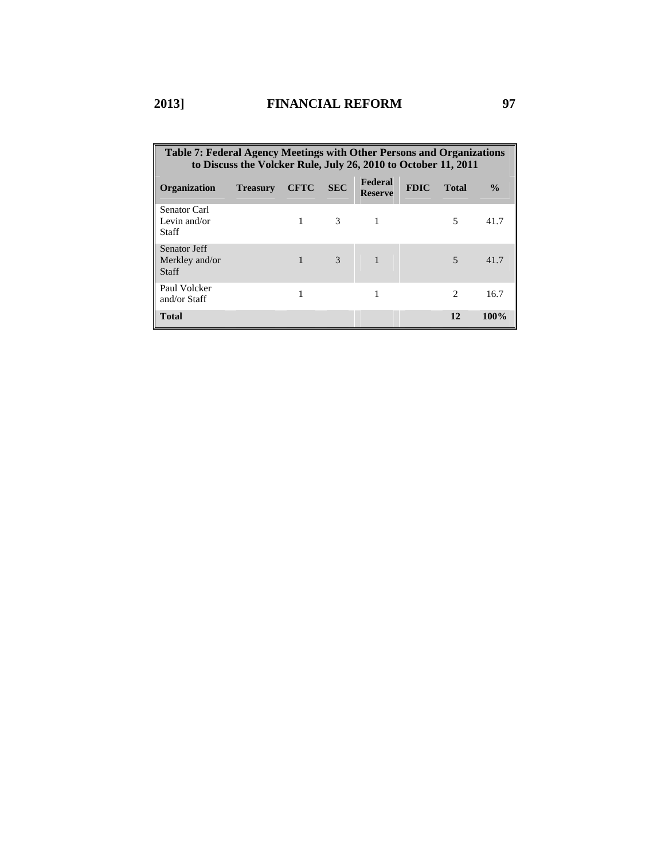| Table 7: Federal Agency Meetings with Other Persons and Organizations<br>to Discuss the Volcker Rule, July 26, 2010 to October 11, 2011 |                 |             |               |                           |             |                             |               |  |
|-----------------------------------------------------------------------------------------------------------------------------------------|-----------------|-------------|---------------|---------------------------|-------------|-----------------------------|---------------|--|
| <b>Organization</b>                                                                                                                     | <b>Treasury</b> | <b>CFTC</b> | <b>SEC</b>    | Federal<br><b>Reserve</b> | <b>FDIC</b> | <b>Total</b>                | $\frac{0}{0}$ |  |
| Senator Carl<br>Levin and/or<br><b>Staff</b>                                                                                            |                 |             | 3             |                           |             | 5                           | 41.7          |  |
| Senator Jeff<br>Merkley and/or<br><b>Staff</b>                                                                                          |                 |             | $\mathcal{R}$ |                           |             | $\overline{\phantom{0}}$    | 41.7          |  |
| Paul Volcker<br>and/or Staff                                                                                                            |                 |             |               |                           |             | $\mathcal{D}_{\mathcal{A}}$ | 16.7          |  |
| <b>Total</b>                                                                                                                            |                 |             |               |                           |             | 12                          | 100%          |  |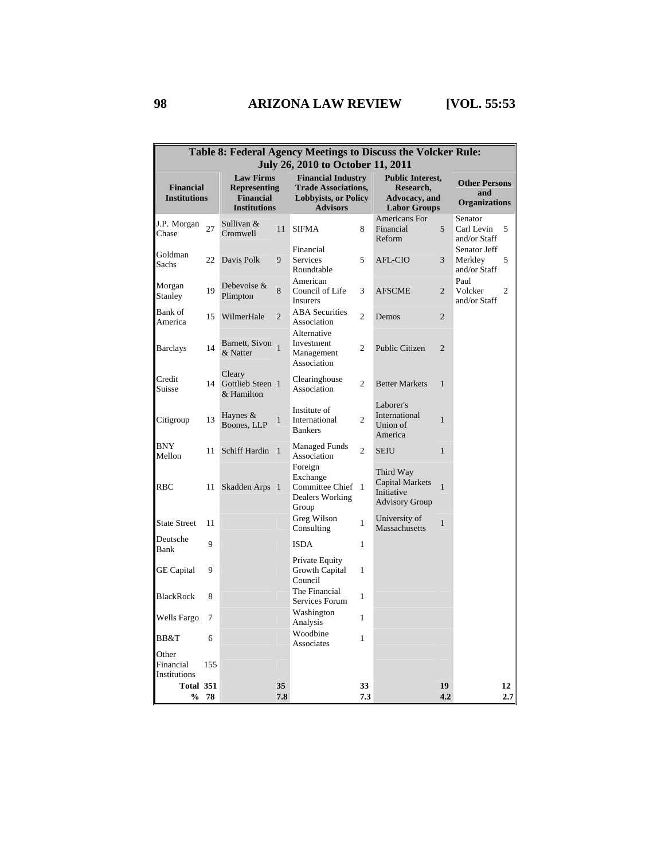| Table 8: Federal Agency Meetings to Discuss the Volcker Rule:<br>July 26, 2010 to October 11, 2011 |     |                                                                                    |                |                                                                                                           |                |                                                                              |                |                                                     |                |
|----------------------------------------------------------------------------------------------------|-----|------------------------------------------------------------------------------------|----------------|-----------------------------------------------------------------------------------------------------------|----------------|------------------------------------------------------------------------------|----------------|-----------------------------------------------------|----------------|
| <b>Financial</b><br><b>Institutions</b>                                                            |     | <b>Law Firms</b><br><b>Representing</b><br><b>Financial</b><br><b>Institutions</b> |                | <b>Financial Industry</b><br><b>Trade Associations,</b><br><b>Lobbyists, or Policy</b><br><b>Advisors</b> |                | <b>Public Interest,</b><br>Research,<br>Advocacy, and<br><b>Labor Groups</b> |                | <b>Other Persons</b><br>and<br><b>Organizations</b> |                |
| J.P. Morgan<br>Chase                                                                               | 27  | Sullivan &<br>Cromwell                                                             | 11             | <b>SIFMA</b>                                                                                              | 8              | Americans For<br>Financial<br>Reform                                         | 5              | Senator<br>Carl Levin<br>and/or Staff               | 5              |
| Goldman<br>Sachs                                                                                   | 22  | Davis Polk                                                                         | 9              | Financial<br>Services<br>Roundtable                                                                       | 5              | AFL-CIO                                                                      | 3              | Senator Jeff<br>Merkley<br>and/or Staff             | 5              |
| Morgan<br>Stanley                                                                                  | 19  | Debevoise &<br>Plimpton                                                            | 8              | American<br>Council of Life<br><b>Insurers</b>                                                            | 3              | <b>AFSCME</b>                                                                | $\overline{2}$ | Paul<br>Volcker<br>and/or Staff                     | $\overline{c}$ |
| Bank of<br>America                                                                                 | 15  | WilmerHale                                                                         | $\overline{2}$ | <b>ABA</b> Securities<br>Association                                                                      | $\overline{2}$ | Demos                                                                        | $\overline{2}$ |                                                     |                |
| <b>Barclays</b>                                                                                    | 14  | Barnett, Sivon 1<br>& Natter                                                       |                | Alternative<br>Investment<br>Management<br>Association                                                    | $\overline{c}$ | Public Citizen                                                               | $\overline{2}$ |                                                     |                |
| Credit<br>Suisse                                                                                   | 14  | Cleary<br>Gottlieb Steen 1<br>& Hamilton                                           |                | Clearinghouse<br>Association                                                                              | 2              | <b>Better Markets</b>                                                        | $\mathbf{1}$   |                                                     |                |
| Citigroup                                                                                          | 13  | Haynes $&$<br>Boones, LLP                                                          | $\mathbf{1}$   | Institute of<br>International<br><b>Bankers</b>                                                           | 2              | Laborer's<br>International<br>Union of<br>America                            | $\mathbf{1}$   |                                                     |                |
| <b>BNY</b><br>Mellon                                                                               | 11  | Schiff Hardin                                                                      | $\overline{1}$ | <b>Managed Funds</b><br>Association                                                                       | $\overline{2}$ | <b>SEIU</b>                                                                  | $\mathbf{1}$   |                                                     |                |
| <b>RBC</b>                                                                                         | 11  | Skadden Arps 1                                                                     |                | Foreign<br>Exchange<br>Committee Chief<br>Dealers Working<br>Group                                        | -1             | Third Way<br><b>Capital Markets</b><br>Initiative<br><b>Advisory Group</b>   | $\mathbf{1}$   |                                                     |                |
| <b>State Street</b>                                                                                | 11  |                                                                                    |                | Greg Wilson<br>Consulting                                                                                 | $\mathbf{1}$   | University of<br>Massachusetts                                               | $\mathbf{1}$   |                                                     |                |
| Deutsche<br>Bank                                                                                   | 9   |                                                                                    |                | <b>ISDA</b>                                                                                               | $\mathbf{1}$   |                                                                              |                |                                                     |                |
| <b>GE</b> Capital                                                                                  | 9   |                                                                                    |                | Private Equity<br>Growth Capital<br>Council                                                               | 1              |                                                                              |                |                                                     |                |
| <b>BlackRock</b>                                                                                   | 8   |                                                                                    |                | The Financial<br>Services Forum                                                                           | 1              |                                                                              |                |                                                     |                |
| Wells Fargo                                                                                        | 7   |                                                                                    |                | Washington<br>Analysis                                                                                    | $\mathbf{1}$   |                                                                              |                |                                                     |                |
| BB&T                                                                                               | 6   |                                                                                    |                | Woodbine<br>Associates                                                                                    | $\mathbf{1}$   |                                                                              |                |                                                     |                |
| Other<br>Financial<br>Institutions                                                                 | 155 |                                                                                    |                |                                                                                                           |                |                                                                              |                |                                                     |                |
| Total 351<br>$\frac{0}{0}$                                                                         | 78  |                                                                                    | 35<br>7.8      |                                                                                                           | 33<br>7.3      |                                                                              | 19<br>4.2      |                                                     | 12<br>2.7      |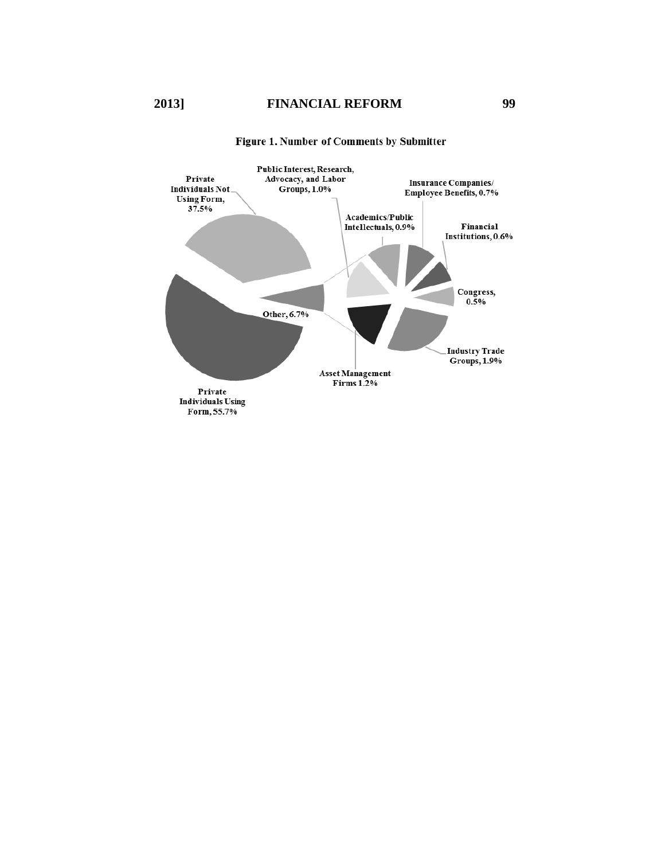

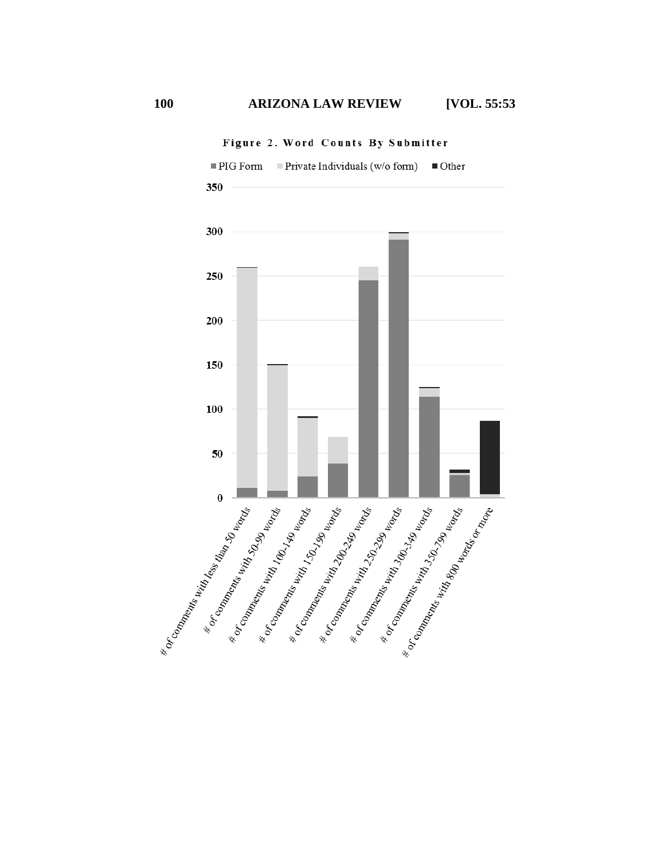

Figure 2. Word Counts By Submitter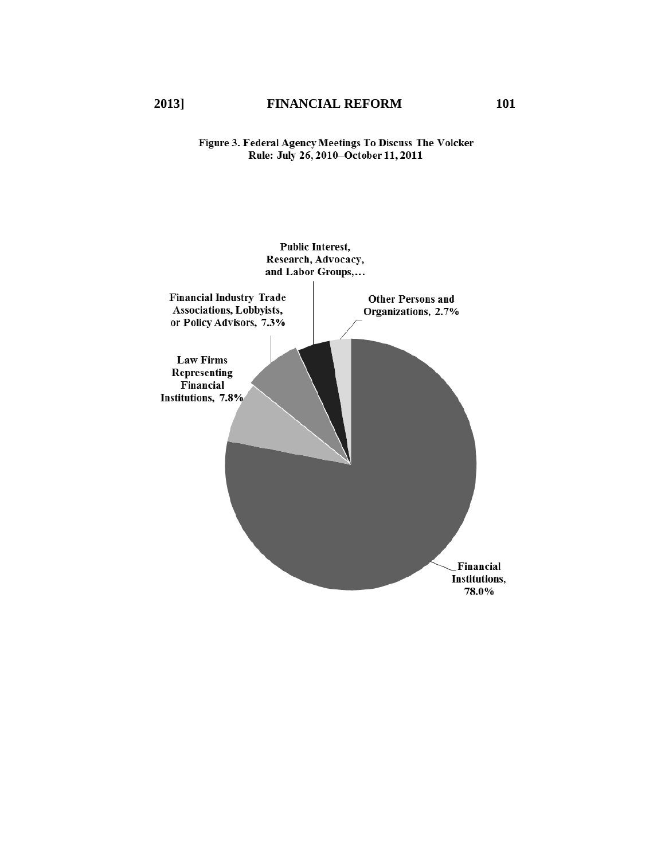# Figure 3. Federal Agency Meetings To Discuss The Volcker<br>Rule: July 26, 2010–October 11, 2011

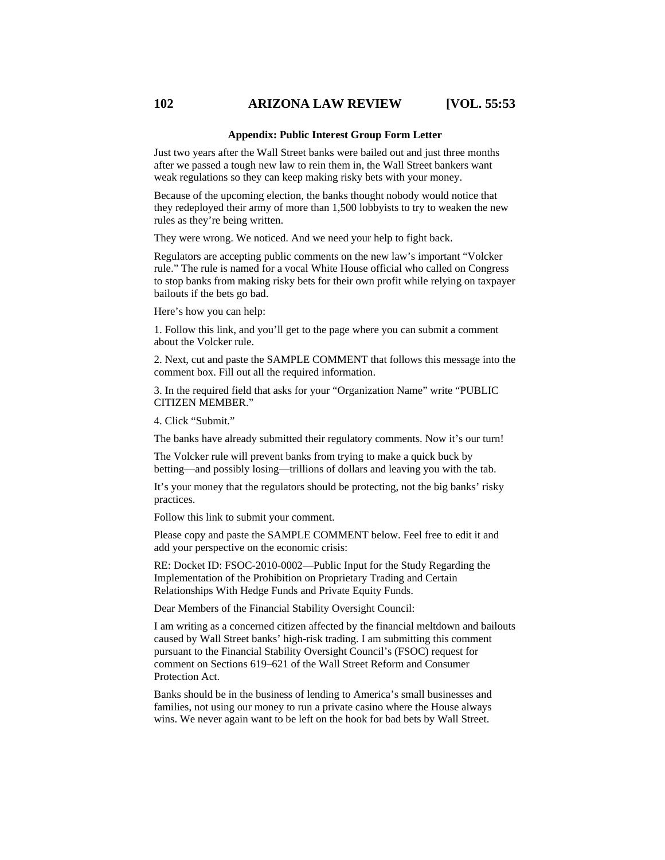#### **102 ARIZONA LAW REVIEW [VOL. 55:53**

#### **Appendix: Public Interest Group Form Letter**

Just two years after the Wall Street banks were bailed out and just three months after we passed a tough new law to rein them in, the Wall Street bankers want weak regulations so they can keep making risky bets with your money.

Because of the upcoming election, the banks thought nobody would notice that they redeployed their army of more than 1,500 lobbyists to try to weaken the new rules as they're being written.

They were wrong. We noticed. And we need your help to fight back.

Regulators are accepting public comments on the new law's important "Volcker rule." The rule is named for a vocal White House official who called on Congress to stop banks from making risky bets for their own profit while relying on taxpayer bailouts if the bets go bad.

Here's how you can help:

1. Follow this link, and you'll get to the page where you can submit a comment about the Volcker rule.

2. Next, cut and paste the SAMPLE COMMENT that follows this message into the comment box. Fill out all the required information.

3. In the required field that asks for your "Organization Name" write "PUBLIC CITIZEN MEMBER."

4. Click "Submit."

The banks have already submitted their regulatory comments. Now it's our turn!

The Volcker rule will prevent banks from trying to make a quick buck by betting—and possibly losing—trillions of dollars and leaving you with the tab.

It's your money that the regulators should be protecting, not the big banks' risky practices.

Follow this link to submit your comment.

Please copy and paste the SAMPLE COMMENT below. Feel free to edit it and add your perspective on the economic crisis:

RE: Docket ID: FSOC-2010-0002—Public Input for the Study Regarding the Implementation of the Prohibition on Proprietary Trading and Certain Relationships With Hedge Funds and Private Equity Funds.

Dear Members of the Financial Stability Oversight Council:

I am writing as a concerned citizen affected by the financial meltdown and bailouts caused by Wall Street banks' high-risk trading. I am submitting this comment pursuant to the Financial Stability Oversight Council's (FSOC) request for comment on Sections 619–621 of the Wall Street Reform and Consumer Protection Act.

Banks should be in the business of lending to America's small businesses and families, not using our money to run a private casino where the House always wins. We never again want to be left on the hook for bad bets by Wall Street.